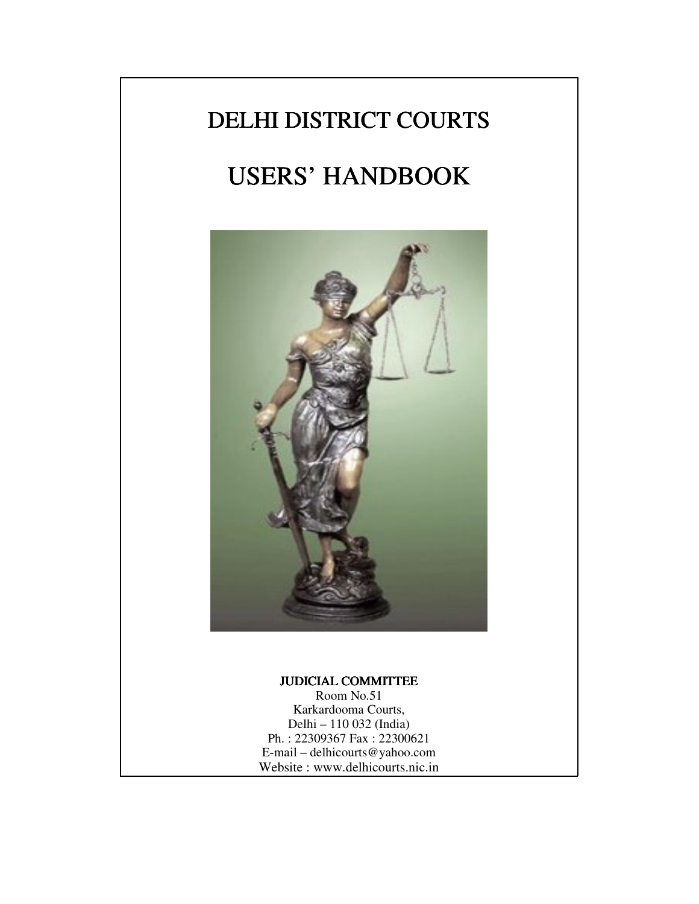# DELHI DISTRICT COURTS

# USERS' HANDBOOK



#### JUDICIAL COMMITTEE

Room No.51 Karkardooma Courts, Delhi – 110 032 (India) Ph. : 22309367 Fax : 22300621 E-mail – delhicourts@yahoo.com Website : www.delhicourts.nic.in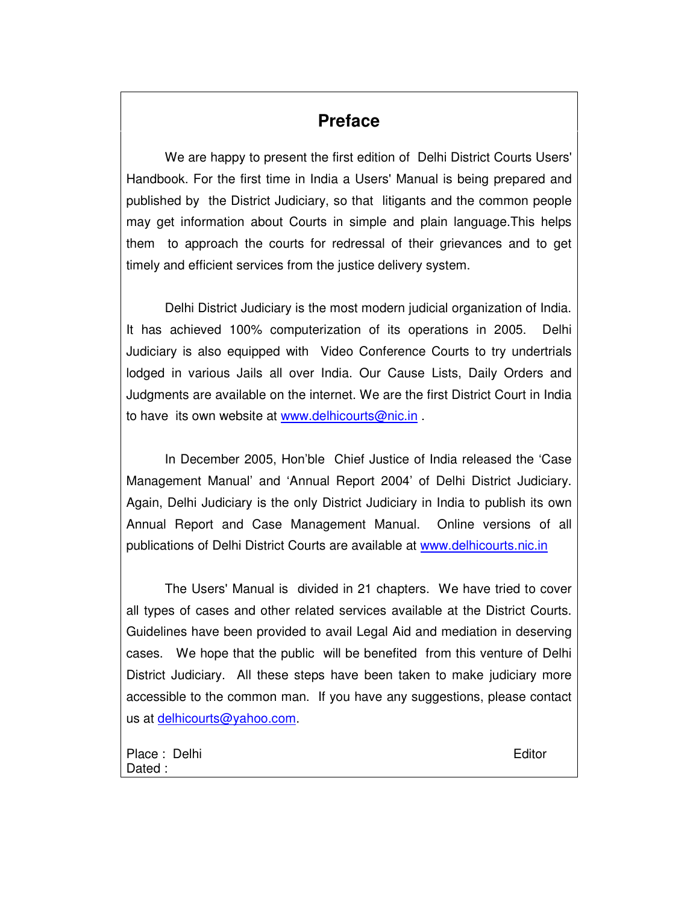## **Preface**

We are happy to present the first edition of Delhi District Courts Users' Handbook. For the first time in India a Users' Manual is being prepared and published by the District Judiciary, so that litigants and the common people may get information about Courts in simple and plain language.This helps them to approach the courts for redressal of their grievances and to get timely and efficient services from the justice delivery system.

Delhi District Judiciary is the most modern judicial organization of India. It has achieved 100% computerization of its operations in 2005. Delhi Judiciary is also equipped with Video Conference Courts to try undertrials lodged in various Jails all over India. Our Cause Lists, Daily Orders and Judgments are available on the internet. We are the first District Court in India to have its own website at www.delhicourts@nic.in

In December 2005, Hon'ble Chief Justice of India released the 'Case Management Manual' and 'Annual Report 2004' of Delhi District Judiciary. Again, Delhi Judiciary is the only District Judiciary in India to publish its own Annual Report and Case Management Manual. Online versions of all publications of Delhi District Courts are available at www.delhicourts.nic.in

The Users' Manual is divided in 21 chapters. We have tried to cover all types of cases and other related services available at the District Courts. Guidelines have been provided to avail Legal Aid and mediation in deserving cases. We hope that the public will be benefited from this venture of Delhi District Judiciary. All these steps have been taken to make judiciary more accessible to the common man. If you have any suggestions, please contact us at delhicourts@yahoo.com.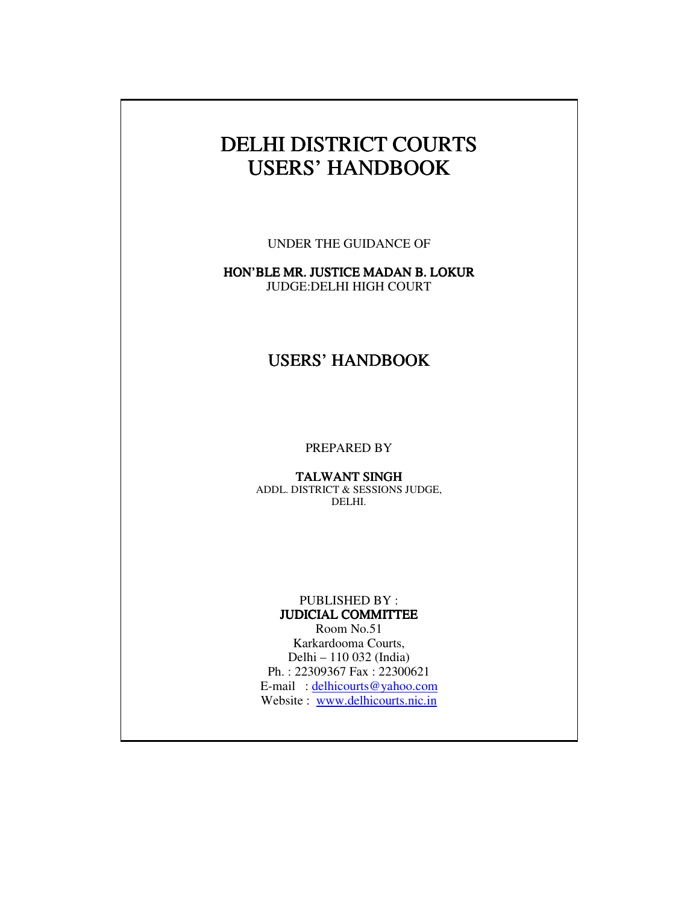# DELHI DISTRICT COURTS USERS' HANDBOOK

UNDER THE GUIDANCE OF

HON'BLE MR. JUSTICE MADAN B. LOKUR JUDGE:DELHI HIGH COURT

## USERS' HANDBOOK

PREPARED BY

TALWANT SINGH ADDL. DISTRICT & SESSIONS JUDGE, DELHI.

#### PUBLISHED BY : JUDICIAL COMMITTEE

Room No.51 Karkardooma Courts, Delhi – 110 032 (India) Ph. : 22309367 Fax : 22300621 E-mail : delhicourts@yahoo.com Website : www.delhicourts.nic.in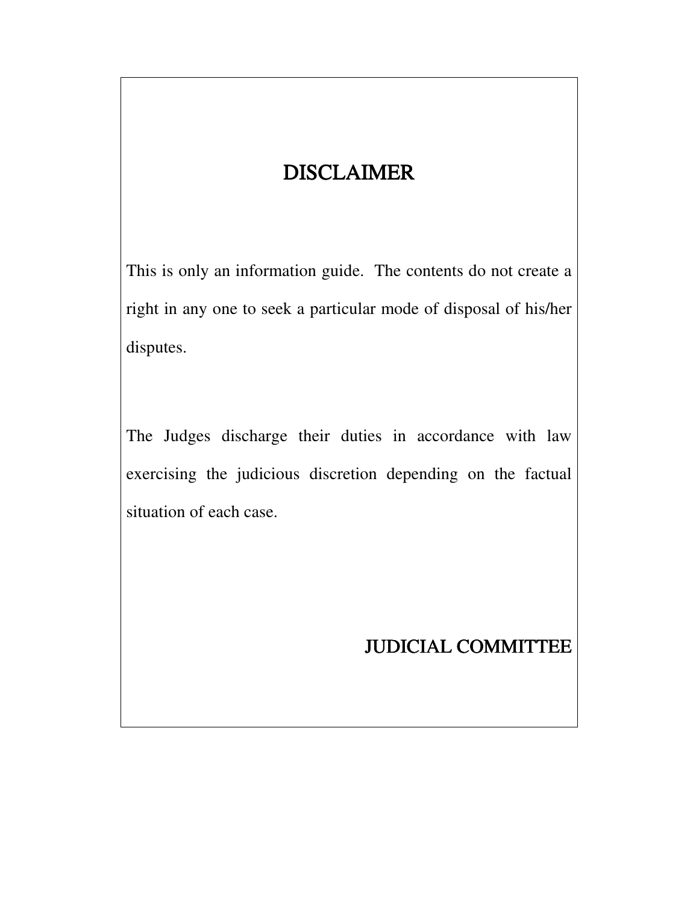# **DISCLAIMER**

This is only an information guide. The contents do not create a right in any one to seek a particular mode of disposal of his/her disputes.

The Judges discharge their duties in accordance with law exercising the judicious discretion depending on the factual situation of each case.

# JUDICIAL COMMITTEE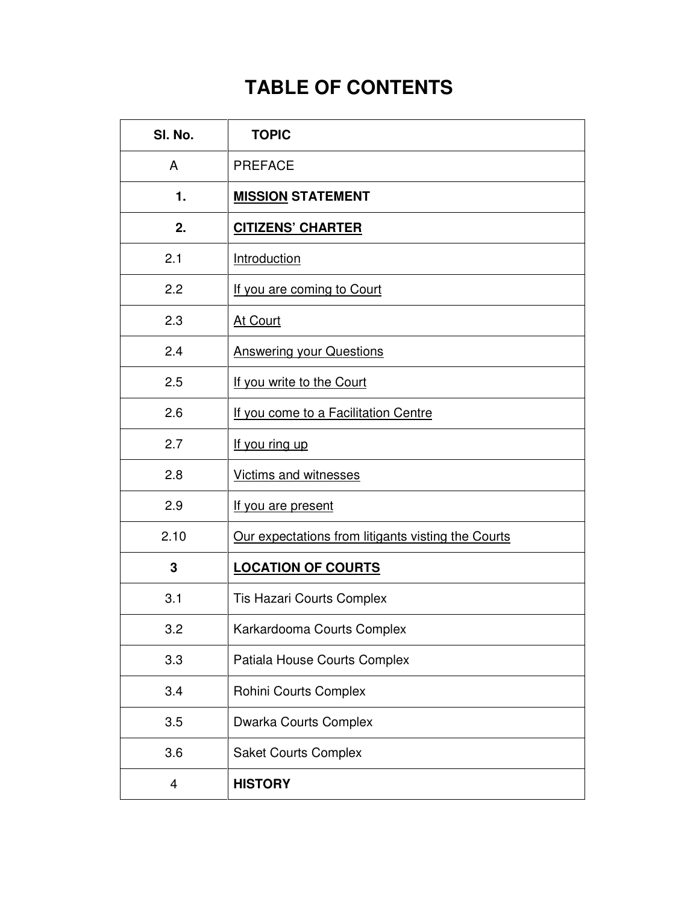# **TABLE OF CONTENTS**

| SI. No. | <b>TOPIC</b>                                       |  |
|---------|----------------------------------------------------|--|
| A       | <b>PREFACE</b>                                     |  |
| 1.      | <b>MISSION STATEMENT</b>                           |  |
| 2.      | <b>CITIZENS' CHARTER</b>                           |  |
| 2.1     | Introduction                                       |  |
| 2.2     | If you are coming to Court                         |  |
| 2.3     | At Court                                           |  |
| 2.4     | <b>Answering your Questions</b>                    |  |
| 2.5     | If you write to the Court                          |  |
| 2.6     | If you come to a Facilitation Centre               |  |
| 2.7     | If you ring up                                     |  |
| 2.8     | Victims and witnesses                              |  |
| 2.9     | If you are present                                 |  |
| 2.10    | Our expectations from litigants visting the Courts |  |
| 3       | <b>LOCATION OF COURTS</b>                          |  |
| 3.1     | <b>Tis Hazari Courts Complex</b>                   |  |
| 3.2     | Karkardooma Courts Complex                         |  |
| 3.3     | Patiala House Courts Complex                       |  |
| 3.4     | Rohini Courts Complex                              |  |
| 3.5     | <b>Dwarka Courts Complex</b>                       |  |
| 3.6     | <b>Saket Courts Complex</b>                        |  |
| 4       | <b>HISTORY</b>                                     |  |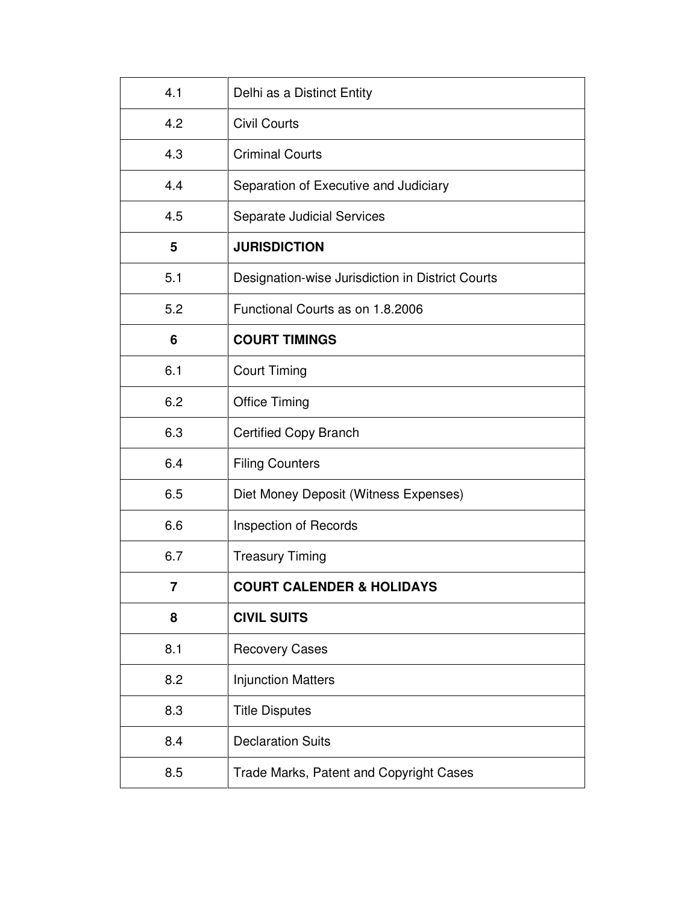| 4.1 | Delhi as a Distinct Entity                       |  |
|-----|--------------------------------------------------|--|
| 4.2 | <b>Civil Courts</b>                              |  |
| 4.3 | <b>Criminal Courts</b>                           |  |
| 4.4 | Separation of Executive and Judiciary            |  |
| 4.5 | <b>Separate Judicial Services</b>                |  |
| 5   | <b>JURISDICTION</b>                              |  |
| 5.1 | Designation-wise Jurisdiction in District Courts |  |
| 5.2 | Functional Courts as on 1.8.2006                 |  |
| 6   | <b>COURT TIMINGS</b>                             |  |
| 6.1 | <b>Court Timing</b>                              |  |
| 6.2 | <b>Office Timing</b>                             |  |
| 6.3 | <b>Certified Copy Branch</b>                     |  |
| 6.4 | <b>Filing Counters</b>                           |  |
| 6.5 | Diet Money Deposit (Witness Expenses)            |  |
| 6.6 | Inspection of Records                            |  |
| 6.7 | <b>Treasury Timing</b>                           |  |
| 7   | <b>COURT CALENDER &amp; HOLIDAYS</b>             |  |
| 8   | <b>CIVIL SUITS</b>                               |  |
| 8.1 | <b>Recovery Cases</b>                            |  |
| 8.2 | <b>Injunction Matters</b>                        |  |
| 8.3 | <b>Title Disputes</b>                            |  |
| 8.4 | <b>Declaration Suits</b>                         |  |
| 8.5 | Trade Marks, Patent and Copyright Cases          |  |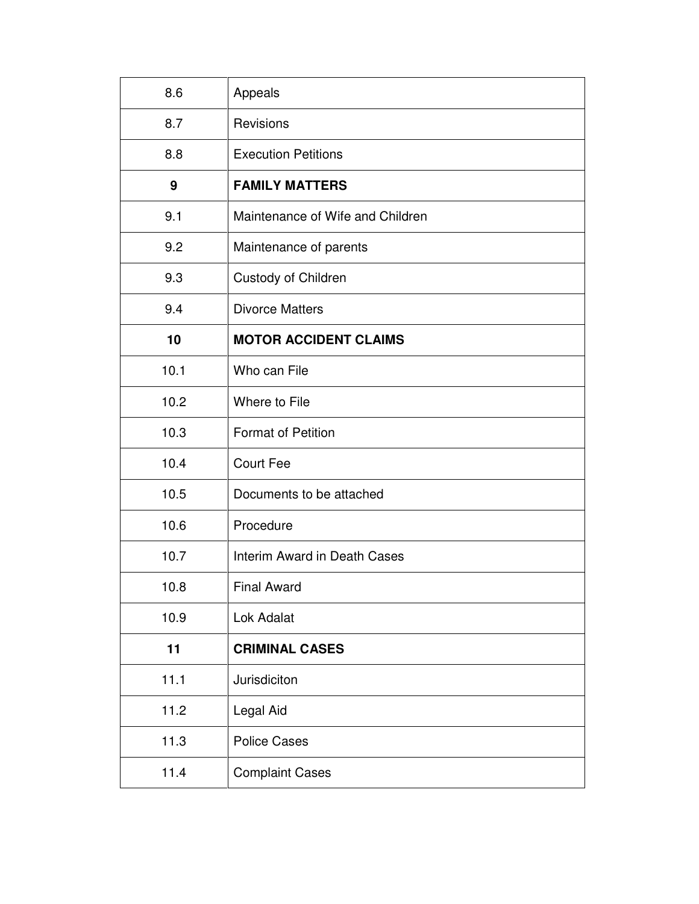| 8.6  | Appeals                          |  |
|------|----------------------------------|--|
| 8.7  | Revisions                        |  |
| 8.8  | <b>Execution Petitions</b>       |  |
| 9    | <b>FAMILY MATTERS</b>            |  |
| 9.1  | Maintenance of Wife and Children |  |
| 9.2  | Maintenance of parents           |  |
| 9.3  | <b>Custody of Children</b>       |  |
| 9.4  | <b>Divorce Matters</b>           |  |
| 10   | <b>MOTOR ACCIDENT CLAIMS</b>     |  |
| 10.1 | Who can File                     |  |
| 10.2 | Where to File                    |  |
| 10.3 | <b>Format of Petition</b>        |  |
| 10.4 | <b>Court Fee</b>                 |  |
| 10.5 | Documents to be attached         |  |
| 10.6 | Procedure                        |  |
| 10.7 | Interim Award in Death Cases     |  |
| 10.8 | <b>Final Award</b>               |  |
| 10.9 | Lok Adalat                       |  |
| 11   | <b>CRIMINAL CASES</b>            |  |
| 11.1 | Jurisdiciton                     |  |
| 11.2 | Legal Aid                        |  |
| 11.3 | <b>Police Cases</b>              |  |
| 11.4 | <b>Complaint Cases</b>           |  |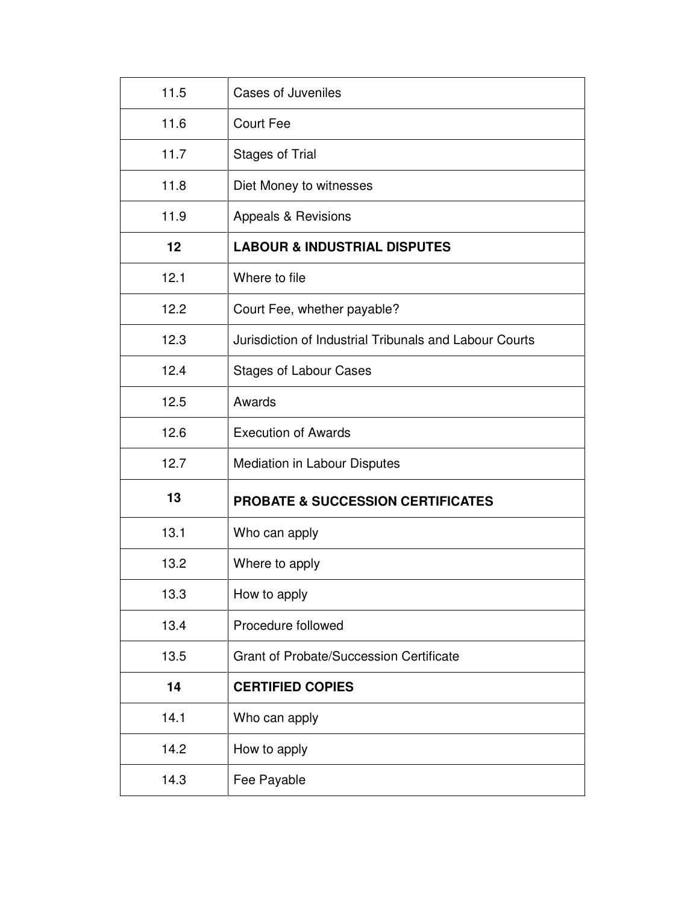| 11.5 | <b>Cases of Juveniles</b>                              |  |
|------|--------------------------------------------------------|--|
| 11.6 | <b>Court Fee</b>                                       |  |
| 11.7 | <b>Stages of Trial</b>                                 |  |
| 11.8 | Diet Money to witnesses                                |  |
| 11.9 | Appeals & Revisions                                    |  |
| 12   | <b>LABOUR &amp; INDUSTRIAL DISPUTES</b>                |  |
| 12.1 | Where to file                                          |  |
| 12.2 | Court Fee, whether payable?                            |  |
| 12.3 | Jurisdiction of Industrial Tribunals and Labour Courts |  |
| 12.4 | <b>Stages of Labour Cases</b>                          |  |
| 12.5 | Awards                                                 |  |
| 12.6 | <b>Execution of Awards</b>                             |  |
| 12.7 | Mediation in Labour Disputes                           |  |
| 13   | <b>PROBATE &amp; SUCCESSION CERTIFICATES</b>           |  |
| 13.1 | Who can apply                                          |  |
| 13.2 | Where to apply                                         |  |
| 13.3 | How to apply                                           |  |
| 13.4 | Procedure followed                                     |  |
| 13.5 | <b>Grant of Probate/Succession Certificate</b>         |  |
|      |                                                        |  |
| 14   | <b>CERTIFIED COPIES</b>                                |  |
| 14.1 | Who can apply                                          |  |
| 14.2 | How to apply                                           |  |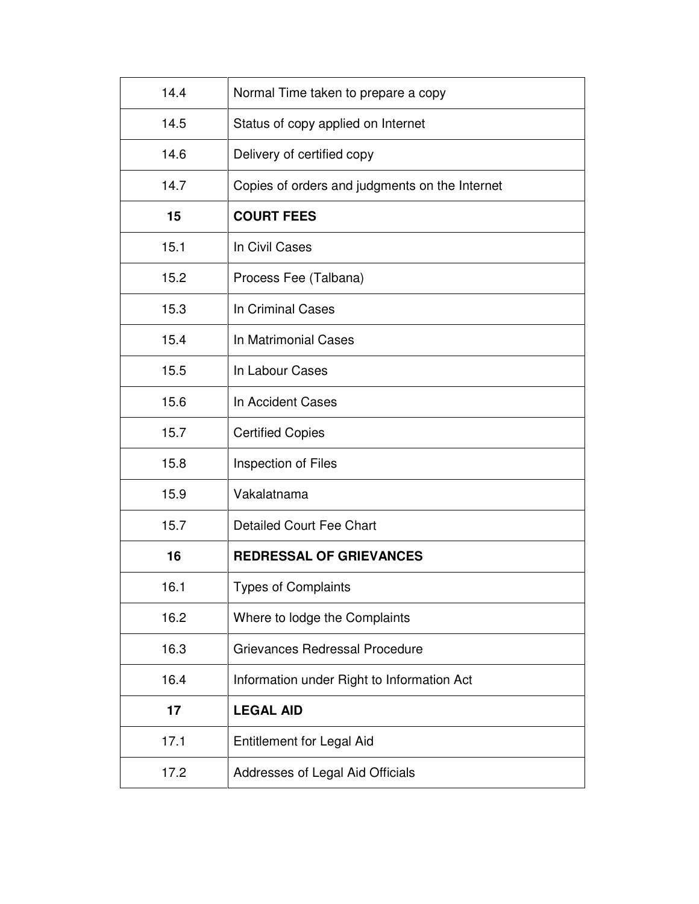| 14.4 | Normal Time taken to prepare a copy            |  |
|------|------------------------------------------------|--|
| 14.5 | Status of copy applied on Internet             |  |
| 14.6 | Delivery of certified copy                     |  |
| 14.7 | Copies of orders and judgments on the Internet |  |
| 15   | <b>COURT FEES</b>                              |  |
| 15.1 | In Civil Cases                                 |  |
| 15.2 | Process Fee (Talbana)                          |  |
| 15.3 | In Criminal Cases                              |  |
| 15.4 | In Matrimonial Cases                           |  |
| 15.5 | In Labour Cases                                |  |
| 15.6 | In Accident Cases                              |  |
| 15.7 | <b>Certified Copies</b>                        |  |
| 15.8 | Inspection of Files                            |  |
| 15.9 | Vakalatnama                                    |  |
| 15.7 | <b>Detailed Court Fee Chart</b>                |  |
| 16   | <b>REDRESSAL OF GRIEVANCES</b>                 |  |
| 16.1 | <b>Types of Complaints</b>                     |  |
| 16.2 | Where to lodge the Complaints                  |  |
| 16.3 | Grievances Redressal Procedure                 |  |
| 16.4 | Information under Right to Information Act     |  |
| 17   | <b>LEGAL AID</b>                               |  |
| 17.1 | <b>Entitlement for Legal Aid</b>               |  |
| 17.2 | Addresses of Legal Aid Officials               |  |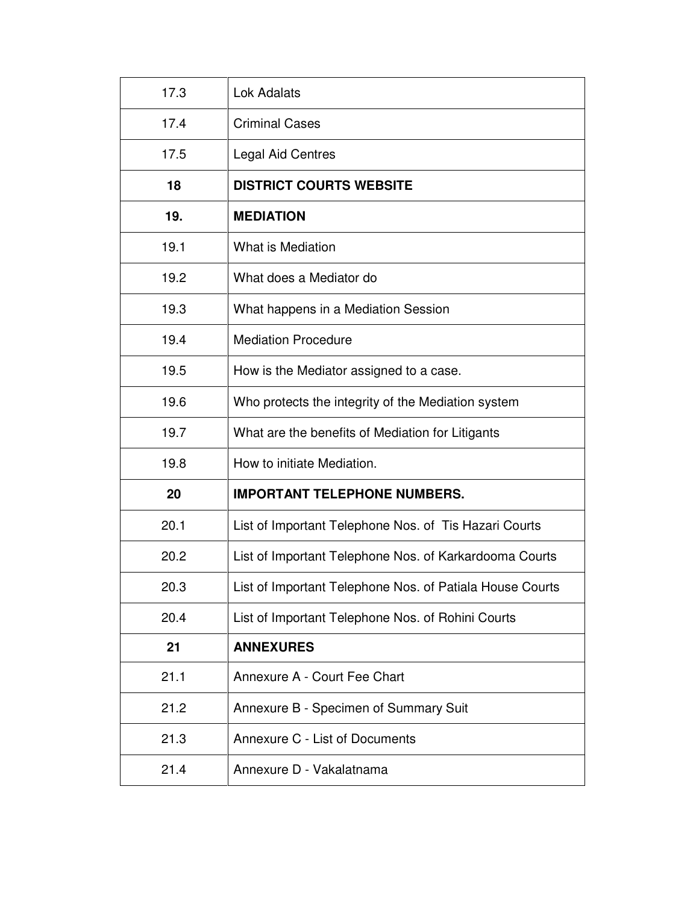| 17.3 | Lok Adalats                                              |  |
|------|----------------------------------------------------------|--|
| 17.4 | <b>Criminal Cases</b>                                    |  |
| 17.5 | <b>Legal Aid Centres</b>                                 |  |
| 18   | <b>DISTRICT COURTS WEBSITE</b>                           |  |
| 19.  | <b>MEDIATION</b>                                         |  |
| 19.1 | What is Mediation                                        |  |
| 19.2 | What does a Mediator do                                  |  |
| 19.3 | What happens in a Mediation Session                      |  |
| 19.4 | <b>Mediation Procedure</b>                               |  |
| 19.5 | How is the Mediator assigned to a case.                  |  |
| 19.6 | Who protects the integrity of the Mediation system       |  |
| 19.7 | What are the benefits of Mediation for Litigants         |  |
| 19.8 | How to initiate Mediation.                               |  |
| 20   | <b>IMPORTANT TELEPHONE NUMBERS.</b>                      |  |
| 20.1 | List of Important Telephone Nos. of Tis Hazari Courts    |  |
| 20.2 | List of Important Telephone Nos. of Karkardooma Courts   |  |
| 20.3 | List of Important Telephone Nos. of Patiala House Courts |  |
| 20.4 | List of Important Telephone Nos. of Rohini Courts        |  |
| 21   | <b>ANNEXURES</b>                                         |  |
| 21.1 | Annexure A - Court Fee Chart                             |  |
| 21.2 | Annexure B - Specimen of Summary Suit                    |  |
| 21.3 | Annexure C - List of Documents                           |  |
| 21.4 | Annexure D - Vakalatnama                                 |  |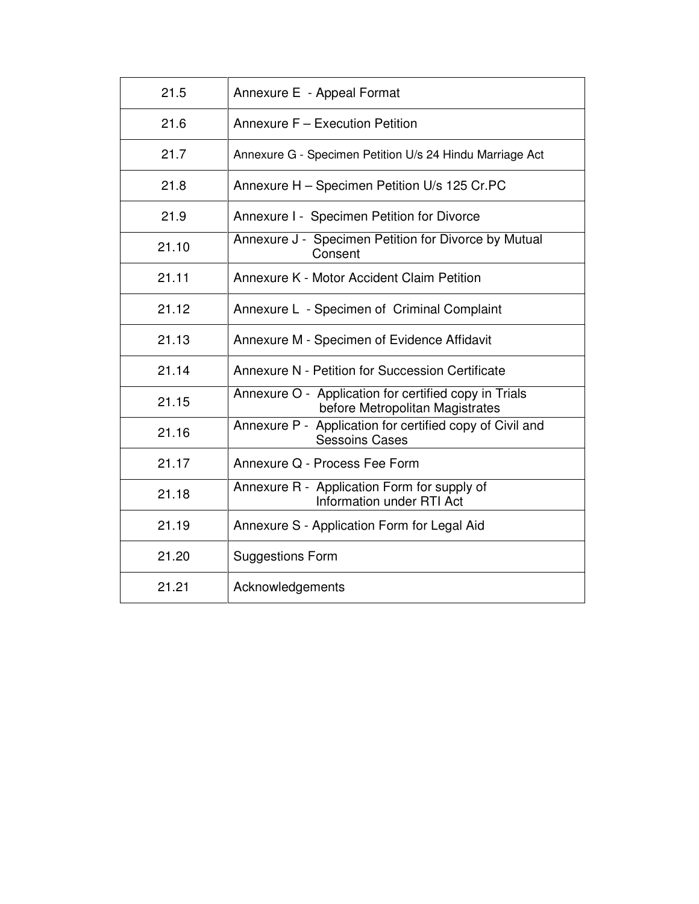| 21.5  | Annexure E - Appeal Format                                                               |  |
|-------|------------------------------------------------------------------------------------------|--|
| 21.6  | Annexure F - Execution Petition                                                          |  |
| 21.7  | Annexure G - Specimen Petition U/s 24 Hindu Marriage Act                                 |  |
| 21.8  | Annexure H - Specimen Petition U/s 125 Cr.PC                                             |  |
| 21.9  | Annexure I - Specimen Petition for Divorce                                               |  |
| 21.10 | Annexure J - Specimen Petition for Divorce by Mutual<br>Consent                          |  |
| 21.11 | Annexure K - Motor Accident Claim Petition                                               |  |
| 21.12 | Annexure L - Specimen of Criminal Complaint                                              |  |
| 21.13 | Annexure M - Specimen of Evidence Affidavit                                              |  |
| 21.14 | Annexure N - Petition for Succession Certificate                                         |  |
| 21.15 | Annexure O - Application for certified copy in Trials<br>before Metropolitan Magistrates |  |
| 21.16 | Annexure P - Application for certified copy of Civil and<br><b>Sessoins Cases</b>        |  |
| 21.17 | Annexure Q - Process Fee Form                                                            |  |
| 21.18 | Annexure R - Application Form for supply of<br>Information under RTI Act                 |  |
| 21.19 | Annexure S - Application Form for Legal Aid                                              |  |
| 21.20 | <b>Suggestions Form</b>                                                                  |  |
| 21.21 | Acknowledgements                                                                         |  |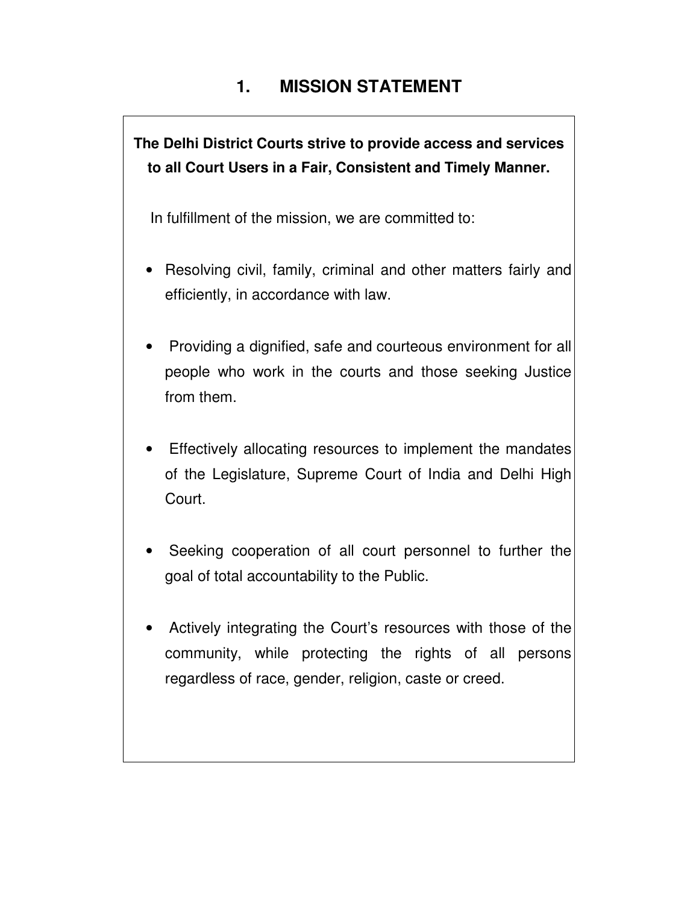# **1. MISSION STATEMENT**

**The Delhi District Courts strive to provide access and services to all Court Users in a Fair, Consistent and Timely Manner.** 

In fulfillment of the mission, we are committed to:

- Resolving civil, family, criminal and other matters fairly and efficiently, in accordance with law.
- Providing a dignified, safe and courteous environment for all people who work in the courts and those seeking Justice from them.
- Effectively allocating resources to implement the mandates of the Legislature, Supreme Court of India and Delhi High Court.
- Seeking cooperation of all court personnel to further the goal of total accountability to the Public.
- Actively integrating the Court's resources with those of the community, while protecting the rights of all persons regardless of race, gender, religion, caste or creed.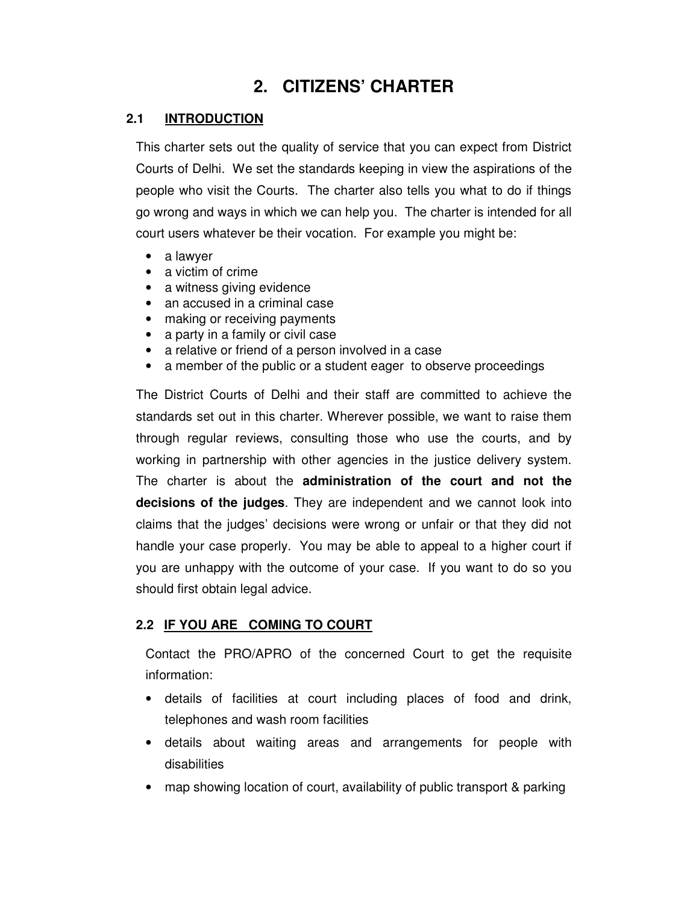## **2. CITIZENS' CHARTER**

#### **2.1 INTRODUCTION**

This charter sets out the quality of service that you can expect from District Courts of Delhi. We set the standards keeping in view the aspirations of the people who visit the Courts. The charter also tells you what to do if things go wrong and ways in which we can help you. The charter is intended for all court users whatever be their vocation. For example you might be:

- a lawyer
- a victim of crime
- a witness giving evidence
- an accused in a criminal case
- making or receiving payments
- a party in a family or civil case
- a relative or friend of a person involved in a case
- a member of the public or a student eager to observe proceedings

The District Courts of Delhi and their staff are committed to achieve the standards set out in this charter. Wherever possible, we want to raise them through regular reviews, consulting those who use the courts, and by working in partnership with other agencies in the justice delivery system. The charter is about the **administration of the court and not the decisions of the judges**. They are independent and we cannot look into claims that the judges' decisions were wrong or unfair or that they did not handle your case properly. You may be able to appeal to a higher court if you are unhappy with the outcome of your case. If you want to do so you should first obtain legal advice.

#### **2.2 IF YOU ARE COMING TO COURT**

Contact the PRO/APRO of the concerned Court to get the requisite information:

- details of facilities at court including places of food and drink, telephones and wash room facilities
- details about waiting areas and arrangements for people with disabilities
- map showing location of court, availability of public transport & parking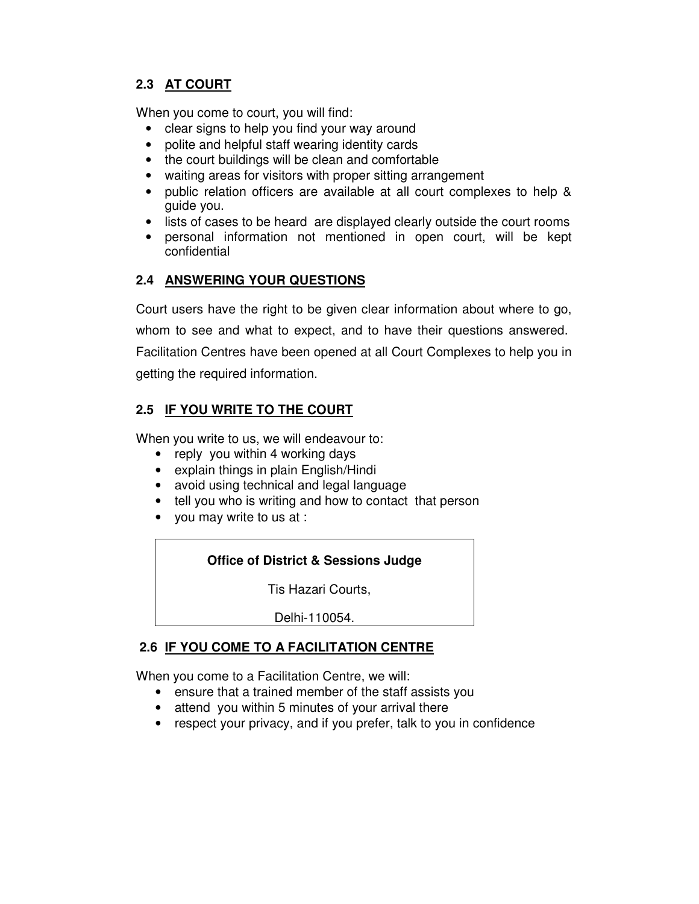## **2.3 AT COURT**

When you come to court, you will find:

- clear signs to help you find your way around
- polite and helpful staff wearing identity cards
- the court buildings will be clean and comfortable
- waiting areas for visitors with proper sitting arrangement
- public relation officers are available at all court complexes to help & guide you.
- lists of cases to be heard are displayed clearly outside the court rooms
- personal information not mentioned in open court, will be kept confidential

#### **2.4 ANSWERING YOUR QUESTIONS**

Court users have the right to be given clear information about where to go,

whom to see and what to expect, and to have their questions answered.

Facilitation Centres have been opened at all Court Complexes to help you in getting the required information.

## **2.5 IF YOU WRITE TO THE COURT**

When you write to us, we will endeavour to:

- reply you within 4 working days
- explain things in plain English/Hindi
- avoid using technical and legal language
- tell you who is writing and how to contact that person
- you may write to us at :

#### **Office of District & Sessions Judge**

Tis Hazari Courts,

Delhi-110054.

#### **2.6 IF YOU COME TO A FACILITATION CENTRE**

When you come to a Facilitation Centre, we will:

- ensure that a trained member of the staff assists you
- attend you within 5 minutes of your arrival there
- respect your privacy, and if you prefer, talk to you in confidence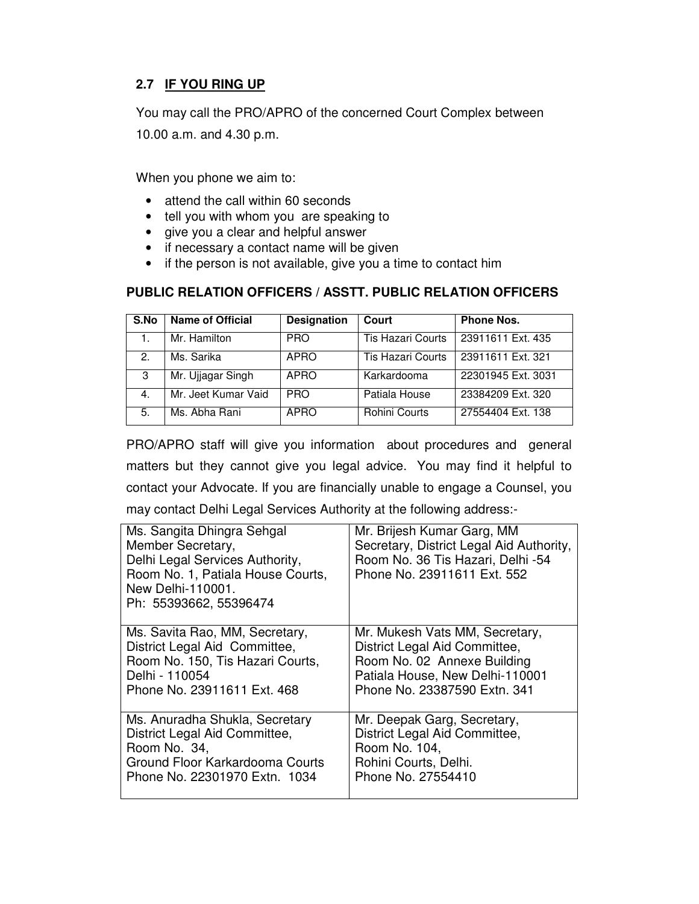## **2.7 IF YOU RING UP**

You may call the PRO/APRO of the concerned Court Complex between

10.00 a.m. and 4.30 p.m.

When you phone we aim to:

- attend the call within 60 seconds
- tell you with whom you are speaking to
- give you a clear and helpful answer
- if necessary a contact name will be given
- if the person is not available, give you a time to contact him

#### **PUBLIC RELATION OFFICERS / ASSTT. PUBLIC RELATION OFFICERS**

| S.No | <b>Name of Official</b> | <b>Designation</b> | Court                    | <b>Phone Nos.</b>  |
|------|-------------------------|--------------------|--------------------------|--------------------|
|      | Mr. Hamilton            | <b>PRO</b>         | <b>Tis Hazari Courts</b> | 23911611 Ext. 435  |
| 2.   | Ms. Sarika              | APRO               | <b>Tis Hazari Courts</b> | 23911611 Ext. 321  |
| 3    | Mr. Ujjagar Singh       | APRO               | Karkardooma              | 22301945 Ext. 3031 |
| 4.   | Mr. Jeet Kumar Vaid     | <b>PRO</b>         | Patiala House            | 23384209 Ext. 320  |
| 5.   | Ms. Abha Rani           | <b>APRO</b>        | Rohini Courts            | 27554404 Ext. 138  |

PRO/APRO staff will give you information about procedures and general matters but they cannot give you legal advice. You may find it helpful to contact your Advocate. If you are financially unable to engage a Counsel, you may contact Delhi Legal Services Authority at the following address:-

| Ms. Sangita Dhingra Sehgal<br>Member Secretary,<br>Delhi Legal Services Authority,<br>Room No. 1, Patiala House Courts,<br>New Delhi-110001.<br>Ph: 55393662, 55396474 | Mr. Brijesh Kumar Garg, MM<br>Secretary, District Legal Aid Authority,<br>Room No. 36 Tis Hazari, Delhi -54<br>Phone No. 23911611 Ext. 552 |
|------------------------------------------------------------------------------------------------------------------------------------------------------------------------|--------------------------------------------------------------------------------------------------------------------------------------------|
| Ms. Savita Rao, MM, Secretary,                                                                                                                                         | Mr. Mukesh Vats MM, Secretary,                                                                                                             |
| District Legal Aid Committee,                                                                                                                                          | District Legal Aid Committee,                                                                                                              |
| Room No. 150, Tis Hazari Courts,                                                                                                                                       | Room No. 02 Annexe Building                                                                                                                |
| Delhi - 110054                                                                                                                                                         | Patiala House, New Delhi-110001                                                                                                            |
| Phone No. 23911611 Ext. 468                                                                                                                                            | Phone No. 23387590 Extn. 341                                                                                                               |
| Ms. Anuradha Shukla, Secretary                                                                                                                                         | Mr. Deepak Garg, Secretary,                                                                                                                |
| District Legal Aid Committee,                                                                                                                                          | District Legal Aid Committee,                                                                                                              |
| Room No. 34,                                                                                                                                                           | Room No. 104,                                                                                                                              |
| Ground Floor Karkardooma Courts                                                                                                                                        | Rohini Courts, Delhi.                                                                                                                      |
| Phone No. 22301970 Extn. 1034                                                                                                                                          | Phone No. 27554410                                                                                                                         |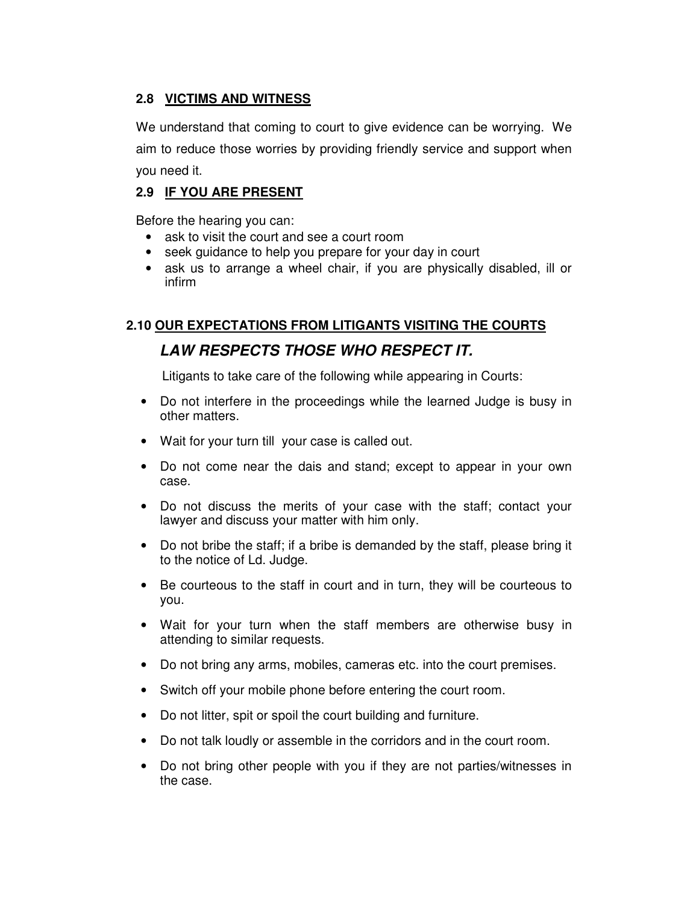#### **2.8 VICTIMS AND WITNESS**

We understand that coming to court to give evidence can be worrying. We aim to reduce those worries by providing friendly service and support when you need it.

#### **2.9 IF YOU ARE PRESENT**

Before the hearing you can:

- ask to visit the court and see a court room
- seek guidance to help you prepare for your day in court
- ask us to arrange a wheel chair, if you are physically disabled, ill or infirm

# **2.10 OUR EXPECTATIONS FROM LITIGANTS VISITING THE COURTS**

## **LAW RESPECTS THOSE WHO RESPECT IT.**

Litigants to take care of the following while appearing in Courts:

- Do not interfere in the proceedings while the learned Judge is busy in other matters.
- Wait for your turn till your case is called out.
- Do not come near the dais and stand; except to appear in your own case.
- Do not discuss the merits of your case with the staff; contact your lawyer and discuss your matter with him only.
- Do not bribe the staff; if a bribe is demanded by the staff, please bring it to the notice of Ld. Judge.
- Be courteous to the staff in court and in turn, they will be courteous to you.
- Wait for your turn when the staff members are otherwise busy in attending to similar requests.
- Do not bring any arms, mobiles, cameras etc. into the court premises.
- Switch off your mobile phone before entering the court room.
- Do not litter, spit or spoil the court building and furniture.
- Do not talk loudly or assemble in the corridors and in the court room.
- Do not bring other people with you if they are not parties/witnesses in the case.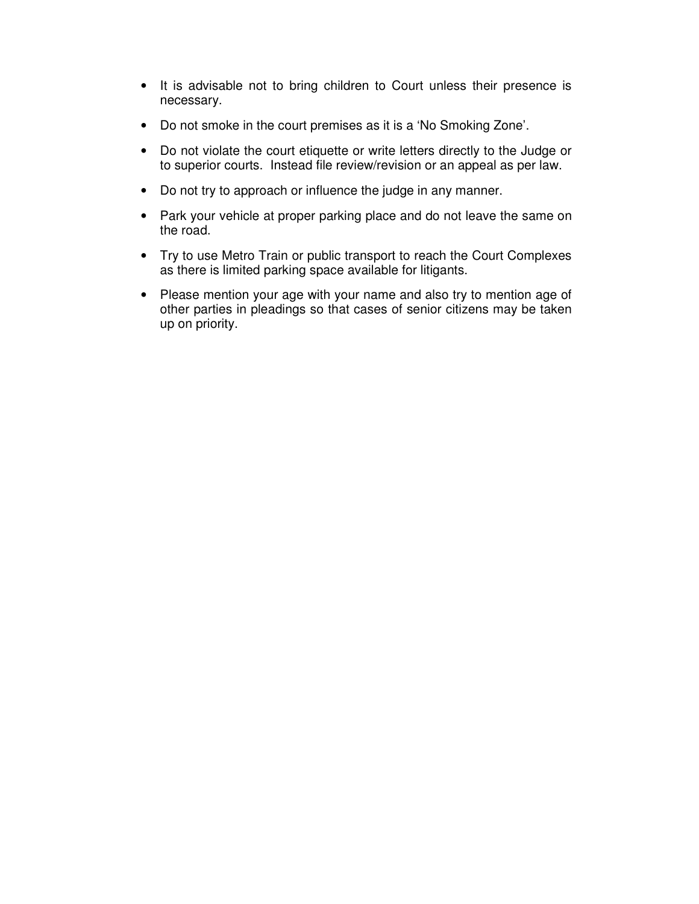- It is advisable not to bring children to Court unless their presence is necessary.
- Do not smoke in the court premises as it is a 'No Smoking Zone'.
- Do not violate the court etiquette or write letters directly to the Judge or to superior courts. Instead file review/revision or an appeal as per law.
- Do not try to approach or influence the judge in any manner.
- Park your vehicle at proper parking place and do not leave the same on the road.
- Try to use Metro Train or public transport to reach the Court Complexes as there is limited parking space available for litigants.
- Please mention your age with your name and also try to mention age of other parties in pleadings so that cases of senior citizens may be taken up on priority.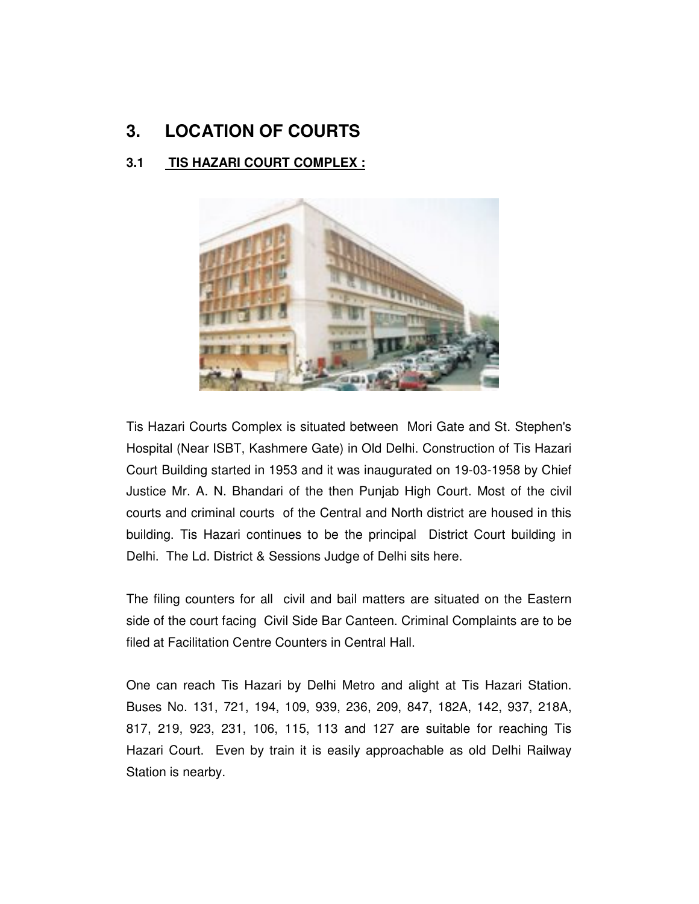# **3. LOCATION OF COURTS**

## **3.1 TIS HAZARI COURT COMPLEX :**



Tis Hazari Courts Complex is situated between Mori Gate and St. Stephen's Hospital (Near ISBT, Kashmere Gate) in Old Delhi. Construction of Tis Hazari Court Building started in 1953 and it was inaugurated on 19-03-1958 by Chief Justice Mr. A. N. Bhandari of the then Punjab High Court. Most of the civil courts and criminal courts of the Central and North district are housed in this building. Tis Hazari continues to be the principal District Court building in Delhi. The Ld. District & Sessions Judge of Delhi sits here.

The filing counters for all civil and bail matters are situated on the Eastern side of the court facing Civil Side Bar Canteen. Criminal Complaints are to be filed at Facilitation Centre Counters in Central Hall.

One can reach Tis Hazari by Delhi Metro and alight at Tis Hazari Station. Buses No. 131, 721, 194, 109, 939, 236, 209, 847, 182A, 142, 937, 218A, 817, 219, 923, 231, 106, 115, 113 and 127 are suitable for reaching Tis Hazari Court. Even by train it is easily approachable as old Delhi Railway Station is nearby.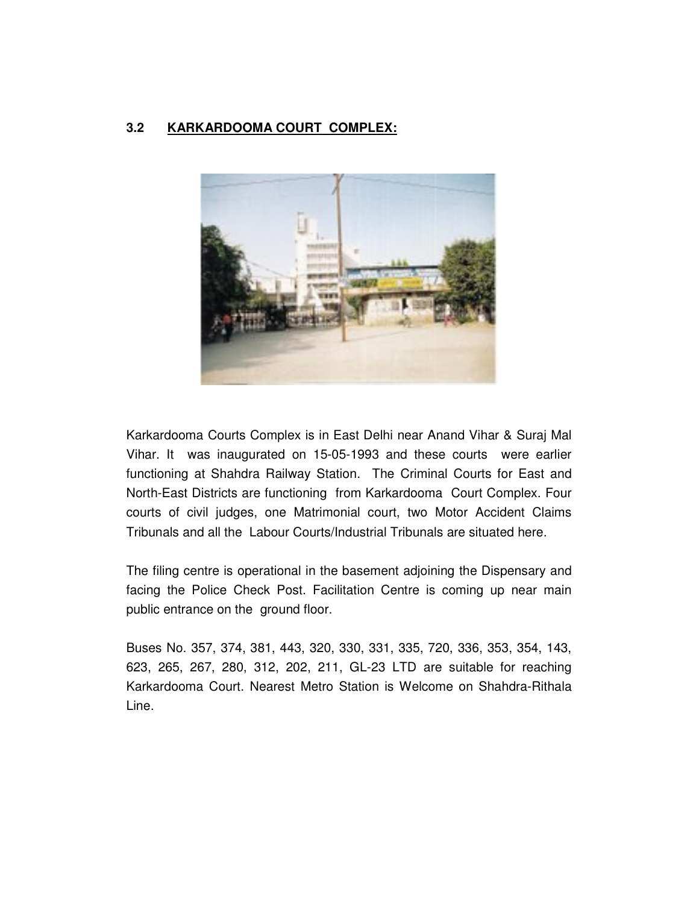#### **3.2 KARKARDOOMA COURT COMPLEX:**



Karkardooma Courts Complex is in East Delhi near Anand Vihar & Suraj Mal Vihar. It was inaugurated on 15-05-1993 and these courts were earlier functioning at Shahdra Railway Station. The Criminal Courts for East and North-East Districts are functioning from Karkardooma Court Complex. Four courts of civil judges, one Matrimonial court, two Motor Accident Claims Tribunals and all the Labour Courts/Industrial Tribunals are situated here.

The filing centre is operational in the basement adjoining the Dispensary and facing the Police Check Post. Facilitation Centre is coming up near main public entrance on the ground floor.

Buses No. 357, 374, 381, 443, 320, 330, 331, 335, 720, 336, 353, 354, 143, 623, 265, 267, 280, 312, 202, 211, GL-23 LTD are suitable for reaching Karkardooma Court. Nearest Metro Station is Welcome on Shahdra-Rithala Line.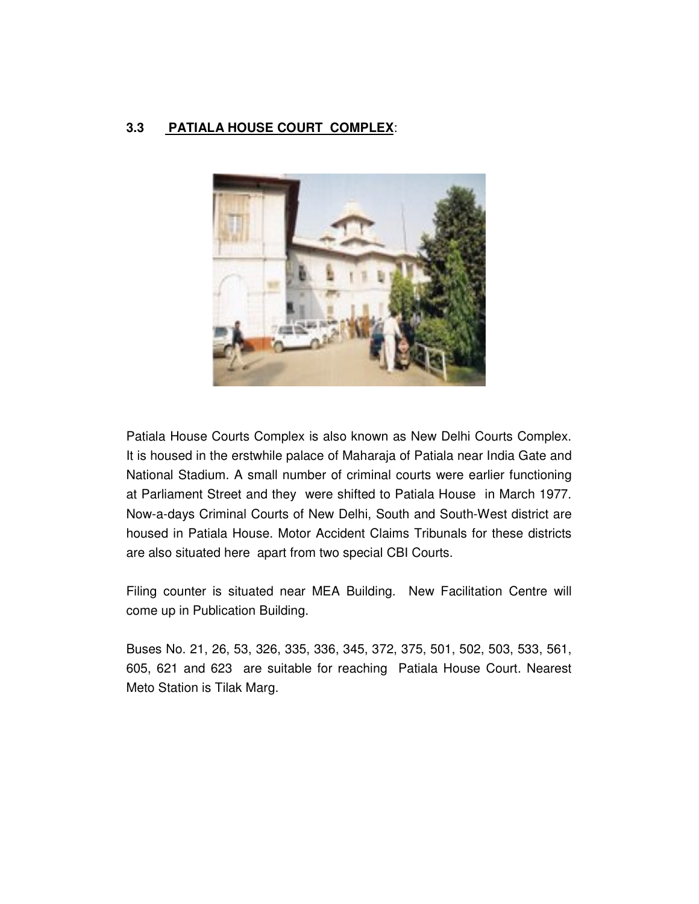#### **3.3 PATIALA HOUSE COURT COMPLEX**:



Patiala House Courts Complex is also known as New Delhi Courts Complex. It is housed in the erstwhile palace of Maharaja of Patiala near India Gate and National Stadium. A small number of criminal courts were earlier functioning at Parliament Street and they were shifted to Patiala House in March 1977. Now-a-days Criminal Courts of New Delhi, South and South-West district are housed in Patiala House. Motor Accident Claims Tribunals for these districts are also situated here apart from two special CBI Courts.

Filing counter is situated near MEA Building. New Facilitation Centre will come up in Publication Building.

Buses No. 21, 26, 53, 326, 335, 336, 345, 372, 375, 501, 502, 503, 533, 561, 605, 621 and 623 are suitable for reaching Patiala House Court. Nearest Meto Station is Tilak Marg.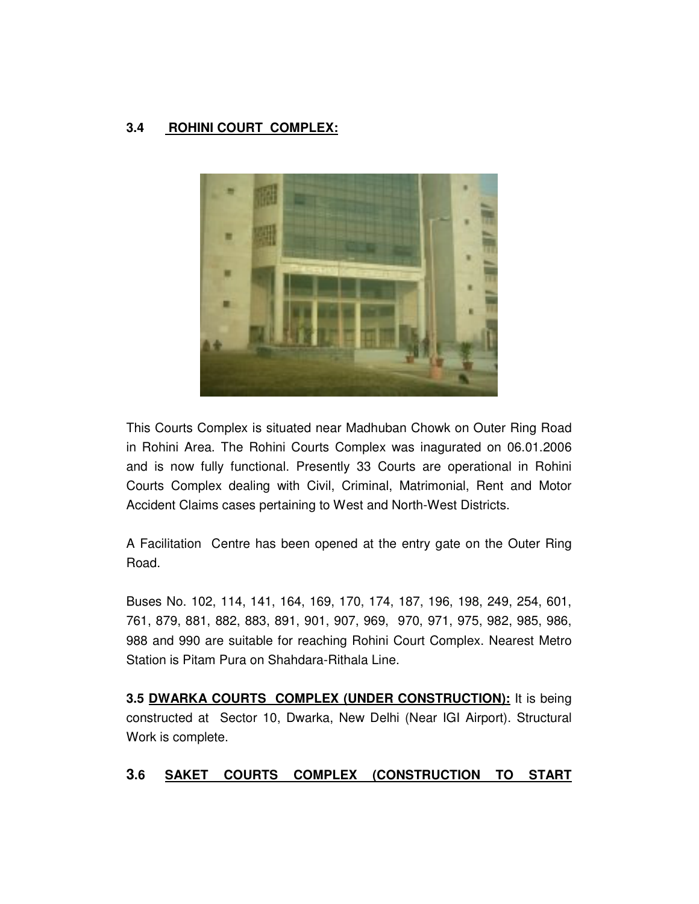#### **3.4 ROHINI COURT COMPLEX:**



This Courts Complex is situated near Madhuban Chowk on Outer Ring Road in Rohini Area. The Rohini Courts Complex was inagurated on 06.01.2006 and is now fully functional. Presently 33 Courts are operational in Rohini Courts Complex dealing with Civil, Criminal, Matrimonial, Rent and Motor Accident Claims cases pertaining to West and North-West Districts.

A Facilitation Centre has been opened at the entry gate on the Outer Ring Road.

Buses No. 102, 114, 141, 164, 169, 170, 174, 187, 196, 198, 249, 254, 601, 761, 879, 881, 882, 883, 891, 901, 907, 969, 970, 971, 975, 982, 985, 986, 988 and 990 are suitable for reaching Rohini Court Complex. Nearest Metro Station is Pitam Pura on Shahdara-Rithala Line.

**3.5 DWARKA COURTS COMPLEX (UNDER CONSTRUCTION):** It is being constructed at Sector 10, Dwarka, New Delhi (Near IGI Airport). Structural Work is complete.

#### **3.6 SAKET COURTS COMPLEX (CONSTRUCTION TO START**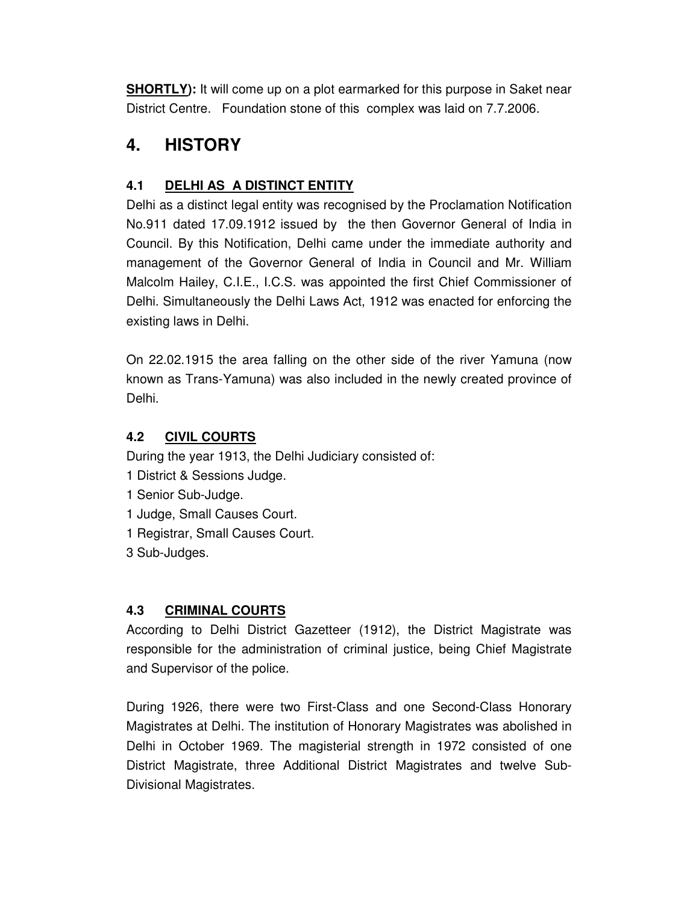**SHORTLY):** It will come up on a plot earmarked for this purpose in Saket near District Centre. Foundation stone of this complex was laid on 7.7.2006.

## **4. HISTORY**

### **4.1 DELHI AS A DISTINCT ENTITY**

Delhi as a distinct legal entity was recognised by the Proclamation Notification No.911 dated 17.09.1912 issued by the then Governor General of India in Council. By this Notification, Delhi came under the immediate authority and management of the Governor General of India in Council and Mr. William Malcolm Hailey, C.I.E., I.C.S. was appointed the first Chief Commissioner of Delhi. Simultaneously the Delhi Laws Act, 1912 was enacted for enforcing the existing laws in Delhi.

On 22.02.1915 the area falling on the other side of the river Yamuna (now known as Trans-Yamuna) was also included in the newly created province of Delhi.

#### **4.2 CIVIL COURTS**

During the year 1913, the Delhi Judiciary consisted of:

- 1 District & Sessions Judge.
- 1 Senior Sub-Judge.
- 1 Judge, Small Causes Court.
- 1 Registrar, Small Causes Court.
- 3 Sub-Judges.

#### **4.3 CRIMINAL COURTS**

According to Delhi District Gazetteer (1912), the District Magistrate was responsible for the administration of criminal justice, being Chief Magistrate and Supervisor of the police.

During 1926, there were two First-Class and one Second-Class Honorary Magistrates at Delhi. The institution of Honorary Magistrates was abolished in Delhi in October 1969. The magisterial strength in 1972 consisted of one District Magistrate, three Additional District Magistrates and twelve Sub-Divisional Magistrates.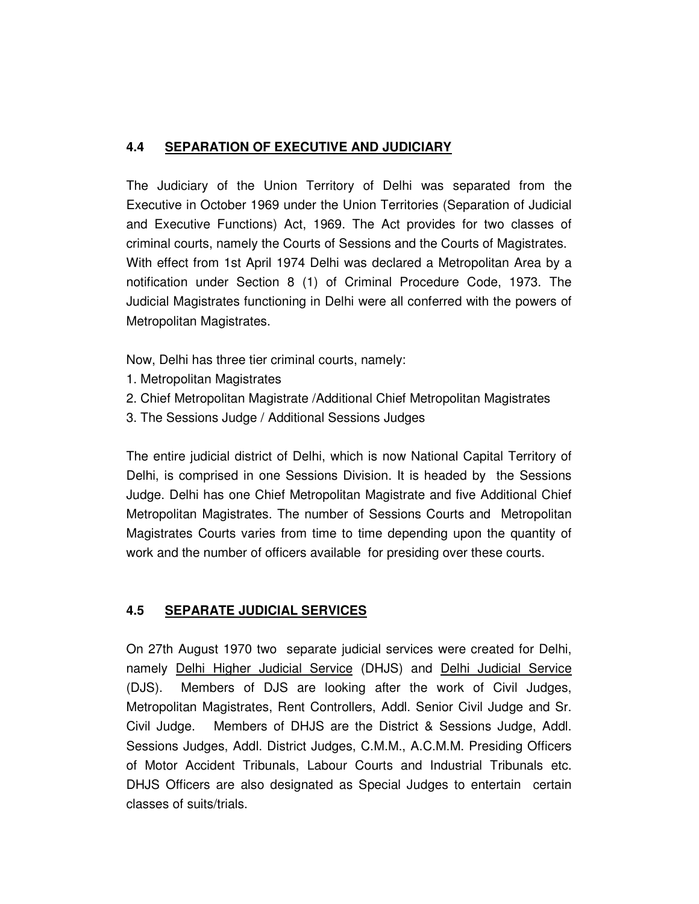#### **4.4 SEPARATION OF EXECUTIVE AND JUDICIARY**

The Judiciary of the Union Territory of Delhi was separated from the Executive in October 1969 under the Union Territories (Separation of Judicial and Executive Functions) Act, 1969. The Act provides for two classes of criminal courts, namely the Courts of Sessions and the Courts of Magistrates. With effect from 1st April 1974 Delhi was declared a Metropolitan Area by a notification under Section 8 (1) of Criminal Procedure Code, 1973. The Judicial Magistrates functioning in Delhi were all conferred with the powers of Metropolitan Magistrates.

Now, Delhi has three tier criminal courts, namely:

- 1. Metropolitan Magistrates
- 2. Chief Metropolitan Magistrate /Additional Chief Metropolitan Magistrates
- 3. The Sessions Judge / Additional Sessions Judges

The entire judicial district of Delhi, which is now National Capital Territory of Delhi, is comprised in one Sessions Division. It is headed by the Sessions Judge. Delhi has one Chief Metropolitan Magistrate and five Additional Chief Metropolitan Magistrates. The number of Sessions Courts and Metropolitan Magistrates Courts varies from time to time depending upon the quantity of work and the number of officers available for presiding over these courts.

#### **4.5 SEPARATE JUDICIAL SERVICES**

On 27th August 1970 two separate judicial services were created for Delhi, namely Delhi Higher Judicial Service (DHJS) and Delhi Judicial Service (DJS). Members of DJS are looking after the work of Civil Judges, Metropolitan Magistrates, Rent Controllers, Addl. Senior Civil Judge and Sr. Civil Judge. Members of DHJS are the District & Sessions Judge, Addl. Sessions Judges, Addl. District Judges, C.M.M., A.C.M.M. Presiding Officers of Motor Accident Tribunals, Labour Courts and Industrial Tribunals etc. DHJS Officers are also designated as Special Judges to entertain certain classes of suits/trials.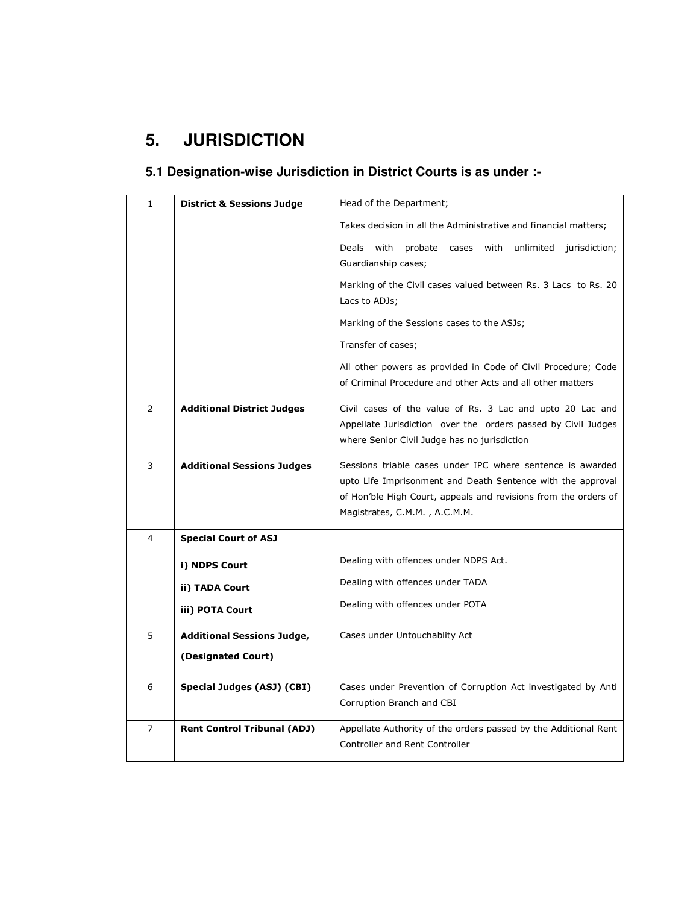# **5. JURISDICTION**

## **5.1 Designation-wise Jurisdiction in District Courts is as under :-**

| $\mathbf{1}$   | <b>District &amp; Sessions Judge</b> | Head of the Department;                                                                                                                                                                                                       |
|----------------|--------------------------------------|-------------------------------------------------------------------------------------------------------------------------------------------------------------------------------------------------------------------------------|
|                |                                      | Takes decision in all the Administrative and financial matters;                                                                                                                                                               |
|                |                                      | Deals<br>with<br>probate cases with unlimited jurisdiction;<br>Guardianship cases;                                                                                                                                            |
|                |                                      | Marking of the Civil cases valued between Rs. 3 Lacs to Rs. 20<br>Lacs to ADJs;                                                                                                                                               |
|                |                                      | Marking of the Sessions cases to the ASJs;                                                                                                                                                                                    |
|                |                                      | Transfer of cases;                                                                                                                                                                                                            |
|                |                                      | All other powers as provided in Code of Civil Procedure; Code<br>of Criminal Procedure and other Acts and all other matters                                                                                                   |
| $\overline{2}$ | <b>Additional District Judges</b>    | Civil cases of the value of Rs. 3 Lac and upto 20 Lac and<br>Appellate Jurisdiction over the orders passed by Civil Judges<br>where Senior Civil Judge has no jurisdiction                                                    |
| 3              | <b>Additional Sessions Judges</b>    | Sessions triable cases under IPC where sentence is awarded<br>upto Life Imprisonment and Death Sentence with the approval<br>of Hon'ble High Court, appeals and revisions from the orders of<br>Magistrates, C.M.M., A.C.M.M. |
| 4              | <b>Special Court of ASJ</b>          |                                                                                                                                                                                                                               |
|                | i) NDPS Court                        | Dealing with offences under NDPS Act.                                                                                                                                                                                         |
|                | ii) TADA Court                       | Dealing with offences under TADA                                                                                                                                                                                              |
|                | iii) POTA Court                      | Dealing with offences under POTA                                                                                                                                                                                              |
| 5              | <b>Additional Sessions Judge,</b>    | Cases under Untouchablity Act                                                                                                                                                                                                 |
|                | (Designated Court)                   |                                                                                                                                                                                                                               |
| 6              | Special Judges (ASJ) (CBI)           | Cases under Prevention of Corruption Act investigated by Anti<br>Corruption Branch and CBI                                                                                                                                    |
| $\overline{7}$ | <b>Rent Control Tribunal (ADJ)</b>   | Appellate Authority of the orders passed by the Additional Rent<br>Controller and Rent Controller                                                                                                                             |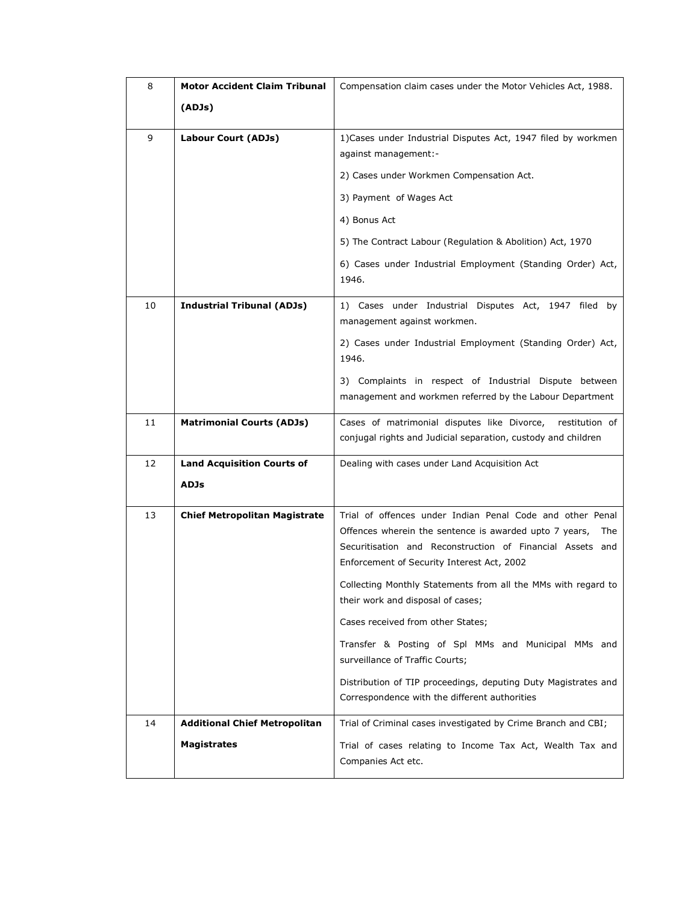| 8  | <b>Motor Accident Claim Tribunal</b> | Compensation claim cases under the Motor Vehicles Act, 1988.                                                                                                                                                                          |
|----|--------------------------------------|---------------------------------------------------------------------------------------------------------------------------------------------------------------------------------------------------------------------------------------|
|    | (ADJs)                               |                                                                                                                                                                                                                                       |
| 9  | Labour Court (ADJs)                  | 1) Cases under Industrial Disputes Act, 1947 filed by workmen<br>against management:-                                                                                                                                                 |
|    |                                      | 2) Cases under Workmen Compensation Act.                                                                                                                                                                                              |
|    |                                      | 3) Payment of Wages Act                                                                                                                                                                                                               |
|    |                                      | 4) Bonus Act                                                                                                                                                                                                                          |
|    |                                      | 5) The Contract Labour (Regulation & Abolition) Act, 1970                                                                                                                                                                             |
|    |                                      | 6) Cases under Industrial Employment (Standing Order) Act,<br>1946.                                                                                                                                                                   |
| 10 | <b>Industrial Tribunal (ADJs)</b>    | 1) Cases under Industrial Disputes Act, 1947 filed by<br>management against workmen.                                                                                                                                                  |
|    |                                      | 2) Cases under Industrial Employment (Standing Order) Act,<br>1946.                                                                                                                                                                   |
|    |                                      | 3) Complaints in respect of Industrial Dispute between<br>management and workmen referred by the Labour Department                                                                                                                    |
| 11 | <b>Matrimonial Courts (ADJs)</b>     | Cases of matrimonial disputes like Divorce, restitution of<br>conjugal rights and Judicial separation, custody and children                                                                                                           |
| 12 | <b>Land Acquisition Courts of</b>    | Dealing with cases under Land Acquisition Act                                                                                                                                                                                         |
|    | <b>ADJs</b>                          |                                                                                                                                                                                                                                       |
| 13 | <b>Chief Metropolitan Magistrate</b> | Trial of offences under Indian Penal Code and other Penal<br>Offences wherein the sentence is awarded upto 7 years,<br>The<br>Securitisation and Reconstruction of Financial Assets and<br>Enforcement of Security Interest Act, 2002 |
|    |                                      | Collecting Monthly Statements from all the MMs with regard to<br>their work and disposal of cases;                                                                                                                                    |
|    |                                      | Cases received from other States;                                                                                                                                                                                                     |
|    |                                      | Transfer & Posting of Spl MMs and Municipal MMs and<br>surveillance of Traffic Courts;                                                                                                                                                |
|    |                                      | Distribution of TIP proceedings, deputing Duty Magistrates and<br>Correspondence with the different authorities                                                                                                                       |
| 14 | <b>Additional Chief Metropolitan</b> | Trial of Criminal cases investigated by Crime Branch and CBI;                                                                                                                                                                         |
|    | <b>Magistrates</b>                   | Trial of cases relating to Income Tax Act, Wealth Tax and<br>Companies Act etc.                                                                                                                                                       |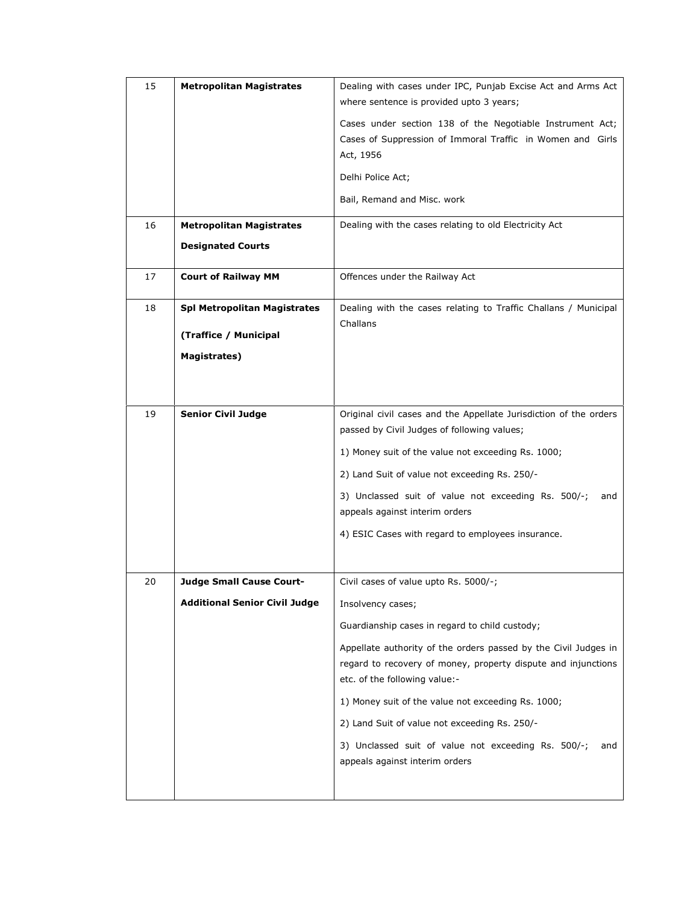| 15 | <b>Metropolitan Magistrates</b>      | Dealing with cases under IPC, Punjab Excise Act and Arms Act<br>where sentence is provided upto 3 years;                                                          |
|----|--------------------------------------|-------------------------------------------------------------------------------------------------------------------------------------------------------------------|
|    |                                      | Cases under section 138 of the Negotiable Instrument Act;<br>Cases of Suppression of Immoral Traffic in Women and Girls<br>Act, 1956                              |
|    |                                      | Delhi Police Act;                                                                                                                                                 |
|    |                                      | Bail, Remand and Misc. work                                                                                                                                       |
| 16 | <b>Metropolitan Magistrates</b>      | Dealing with the cases relating to old Electricity Act                                                                                                            |
|    | <b>Designated Courts</b>             |                                                                                                                                                                   |
| 17 | <b>Court of Railway MM</b>           | Offences under the Railway Act                                                                                                                                    |
| 18 | <b>Spl Metropolitan Magistrates</b>  | Dealing with the cases relating to Traffic Challans / Municipal<br>Challans                                                                                       |
|    | (Traffice / Municipal                |                                                                                                                                                                   |
|    | Magistrates)                         |                                                                                                                                                                   |
|    |                                      |                                                                                                                                                                   |
| 19 | <b>Senior Civil Judge</b>            | Original civil cases and the Appellate Jurisdiction of the orders<br>passed by Civil Judges of following values;                                                  |
|    |                                      | 1) Money suit of the value not exceeding Rs. 1000;                                                                                                                |
|    |                                      | 2) Land Suit of value not exceeding Rs. 250/-                                                                                                                     |
|    |                                      | 3) Unclassed suit of value not exceeding Rs. 500/-;<br>and                                                                                                        |
|    |                                      | appeals against interim orders                                                                                                                                    |
|    |                                      | 4) ESIC Cases with regard to employees insurance.                                                                                                                 |
|    |                                      |                                                                                                                                                                   |
| 20 | <b>Judge Small Cause Court-</b>      | Civil cases of value upto Rs. 5000/-;                                                                                                                             |
|    | <b>Additional Senior Civil Judge</b> | Insolvency cases;                                                                                                                                                 |
|    |                                      | Guardianship cases in regard to child custody;                                                                                                                    |
|    |                                      | Appellate authority of the orders passed by the Civil Judges in<br>regard to recovery of money, property dispute and injunctions<br>etc. of the following value:- |
|    |                                      | 1) Money suit of the value not exceeding Rs. 1000;                                                                                                                |
|    |                                      | 2) Land Suit of value not exceeding Rs. 250/-                                                                                                                     |
|    |                                      | 3) Unclassed suit of value not exceeding Rs. 500/-;<br>and                                                                                                        |
|    |                                      | appeals against interim orders                                                                                                                                    |
|    |                                      |                                                                                                                                                                   |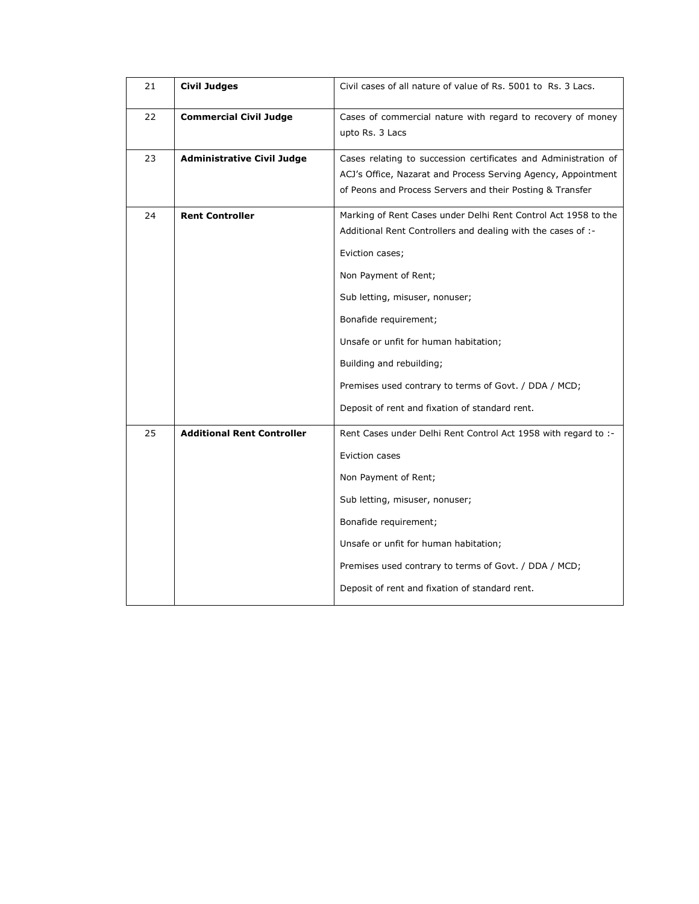| 21 | <b>Civil Judges</b>               | Civil cases of all nature of value of Rs. 5001 to Rs. 3 Lacs.                                                                                                                                                                                                                                                                                                                                                        |
|----|-----------------------------------|----------------------------------------------------------------------------------------------------------------------------------------------------------------------------------------------------------------------------------------------------------------------------------------------------------------------------------------------------------------------------------------------------------------------|
| 22 | <b>Commercial Civil Judge</b>     | Cases of commercial nature with regard to recovery of money<br>upto Rs. 3 Lacs                                                                                                                                                                                                                                                                                                                                       |
| 23 | <b>Administrative Civil Judge</b> | Cases relating to succession certificates and Administration of<br>ACJ's Office, Nazarat and Process Serving Agency, Appointment<br>of Peons and Process Servers and their Posting & Transfer                                                                                                                                                                                                                        |
| 24 | <b>Rent Controller</b>            | Marking of Rent Cases under Delhi Rent Control Act 1958 to the<br>Additional Rent Controllers and dealing with the cases of :-<br>Eviction cases;<br>Non Payment of Rent;<br>Sub letting, misuser, nonuser;<br>Bonafide requirement;<br>Unsafe or unfit for human habitation;<br>Building and rebuilding;<br>Premises used contrary to terms of Govt. / DDA / MCD;<br>Deposit of rent and fixation of standard rent. |
| 25 | <b>Additional Rent Controller</b> | Rent Cases under Delhi Rent Control Act 1958 with regard to :-<br>Eviction cases<br>Non Payment of Rent;<br>Sub letting, misuser, nonuser;<br>Bonafide requirement;<br>Unsafe or unfit for human habitation;<br>Premises used contrary to terms of Govt. / DDA / MCD;<br>Deposit of rent and fixation of standard rent.                                                                                              |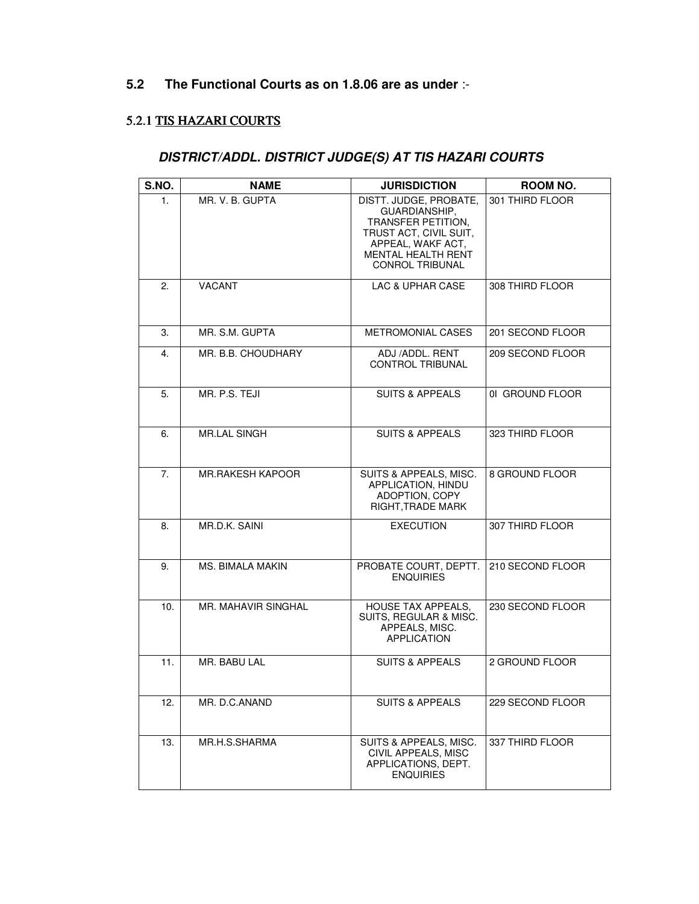## **5.2 The Functional Courts as on 1.8.06 are as under** :-

### 5.2.1 TIS HAZARI COURTS

#### **DISTRICT/ADDL. DISTRICT JUDGE(S) AT TIS HAZARI COURTS**

| S.NO. | <b>NAME</b>             | <b>JURISDICTION</b>                                                                                                                                                 | ROOM NO.         |
|-------|-------------------------|---------------------------------------------------------------------------------------------------------------------------------------------------------------------|------------------|
| 1.    | MR. V. B. GUPTA         | DISTT. JUDGE, PROBATE,<br>GUARDIANSHIP,<br>TRANSFER PETITION.<br>TRUST ACT, CIVIL SUIT,<br>APPEAL, WAKF ACT,<br><b>MENTAL HEALTH RENT</b><br><b>CONROL TRIBUNAL</b> | 301 THIRD FLOOR  |
| 2.    | <b>VACANT</b>           | LAC & UPHAR CASE                                                                                                                                                    | 308 THIRD FLOOR  |
| 3.    | MR. S.M. GUPTA          | <b>METROMONIAL CASES</b>                                                                                                                                            | 201 SECOND FLOOR |
| 4.    | MR. B.B. CHOUDHARY      | ADJ /ADDL. RENT<br><b>CONTROL TRIBUNAL</b>                                                                                                                          | 209 SECOND FLOOR |
| 5.    | MR. P.S. TEJI           | <b>SUITS &amp; APPEALS</b>                                                                                                                                          | 01 GROUND FLOOR  |
| 6.    | <b>MR.LAL SINGH</b>     | <b>SUITS &amp; APPEALS</b>                                                                                                                                          | 323 THIRD FLOOR  |
| 7.    | <b>MR.RAKESH KAPOOR</b> | SUITS & APPEALS, MISC.<br>APPLICATION, HINDU<br>ADOPTION, COPY<br>RIGHT, TRADE MARK                                                                                 | 8 GROUND FLOOR   |
| 8.    | MR.D.K. SAINI           | <b>EXECUTION</b>                                                                                                                                                    | 307 THIRD FLOOR  |
| 9.    | <b>MS. BIMALA MAKIN</b> | PROBATE COURT, DEPTT.<br><b>ENQUIRIES</b>                                                                                                                           | 210 SECOND FLOOR |
| 10.   | MR. MAHAVIR SINGHAL     | <b>HOUSE TAX APPEALS,</b><br>SUITS, REGULAR & MISC.<br>APPEALS, MISC.<br><b>APPLICATION</b>                                                                         | 230 SECOND FLOOR |
| 11.   | MR. BABU LAL            | <b>SUITS &amp; APPEALS</b>                                                                                                                                          | 2 GROUND FLOOR   |
| 12.   | MR. D.C.ANAND           | <b>SUITS &amp; APPEALS</b>                                                                                                                                          | 229 SECOND FLOOR |
| 13.   | MR.H.S.SHARMA           | SUITS & APPEALS, MISC.<br>CIVIL APPEALS, MISC<br>APPLICATIONS, DEPT.<br><b>ENQUIRIES</b>                                                                            | 337 THIRD FLOOR  |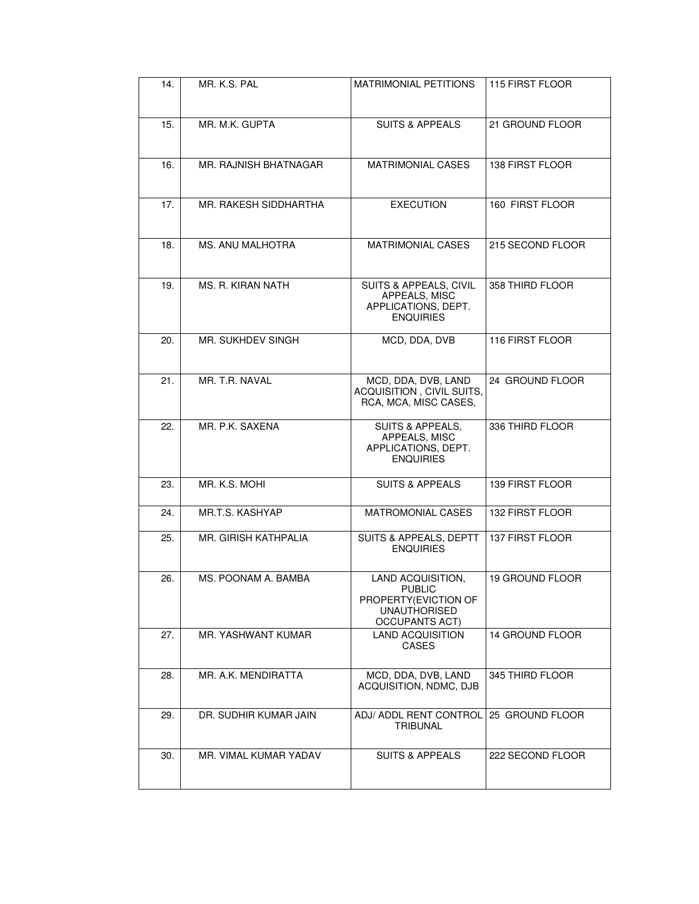| 14. | MR. K.S. PAL                | <b>MATRIMONIAL PETITIONS</b>                                                                                | 115 FIRST FLOOR  |
|-----|-----------------------------|-------------------------------------------------------------------------------------------------------------|------------------|
| 15. | MR. M.K. GUPTA              | <b>SUITS &amp; APPEALS</b>                                                                                  | 21 GROUND FLOOR  |
| 16. | MR. RAJNISH BHATNAGAR       | <b>MATRIMONIAL CASES</b>                                                                                    | 138 FIRST FLOOR  |
| 17. | MR. RAKESH SIDDHARTHA       | <b>EXECUTION</b>                                                                                            | 160 FIRST FLOOR  |
| 18. | MS. ANU MALHOTRA            | <b>MATRIMONIAL CASES</b>                                                                                    | 215 SECOND FLOOR |
| 19. | <b>MS. R. KIRAN NATH</b>    | SUITS & APPEALS, CIVIL<br>APPEALS, MISC<br>APPLICATIONS, DEPT.<br><b>ENQUIRIES</b>                          | 358 THIRD FLOOR  |
| 20. | MR. SUKHDEV SINGH           | MCD, DDA, DVB                                                                                               | 116 FIRST FLOOR  |
| 21. | MR. T.R. NAVAL              | MCD, DDA, DVB, LAND<br>ACQUISITION, CIVIL SUITS,<br>RCA, MCA, MISC CASES,                                   | 24 GROUND FLOOR  |
| 22. | MR. P.K. SAXENA             | <b>SUITS &amp; APPEALS,</b><br>APPEALS, MISC<br>APPLICATIONS, DEPT.<br><b>ENQUIRIES</b>                     | 336 THIRD FLOOR  |
| 23. | MR. K.S. MOHI               | <b>SUITS &amp; APPEALS</b>                                                                                  | 139 FIRST FLOOR  |
| 24. | MR.T.S. KASHYAP             | <b>MATROMONIAL CASES</b>                                                                                    | 132 FIRST FLOOR  |
| 25. | <b>MR. GIRISH KATHPALIA</b> | <b>SUITS &amp; APPEALS, DEPTT</b><br><b>ENQUIRIES</b>                                                       | 137 FIRST FLOOR  |
| 26. | MS. POONAM A. BAMBA         | LAND ACQUISITION,<br><b>PUBLIC</b><br>PROPERTY (EVICTION OF<br><b>UNAUTHORISED</b><br><b>OCCUPANTS ACT)</b> | 19 GROUND FLOOR  |
| 27. | MR. YASHWANT KUMAR          | <b>LAND ACQUISITION</b><br><b>CASES</b>                                                                     | 14 GROUND FLOOR  |
| 28. | MR. A.K. MENDIRATTA         | MCD, DDA, DVB, LAND<br>ACQUISITION, NDMC, DJB                                                               | 345 THIRD FLOOR  |
| 29. | DR. SUDHIR KUMAR JAIN       | ADJ/ ADDL RENT CONTROL<br><b>TRIBUNAL</b>                                                                   | 25 GROUND FLOOR  |
| 30. | MR. VIMAL KUMAR YADAV       | <b>SUITS &amp; APPEALS</b>                                                                                  | 222 SECOND FLOOR |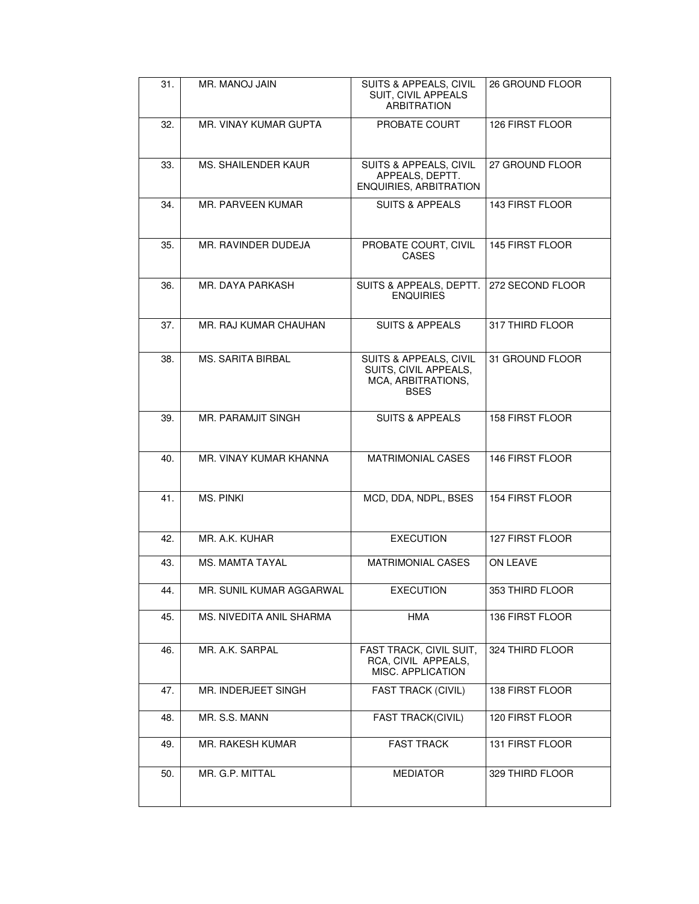| 31. | MR. MANOJ JAIN            | SUITS & APPEALS, CIVIL<br><b>SUIT, CIVIL APPEALS</b><br><b>ARBITRATION</b>           | 26 GROUND FLOOR        |
|-----|---------------------------|--------------------------------------------------------------------------------------|------------------------|
| 32. | MR. VINAY KUMAR GUPTA     | PROBATE COURT                                                                        | 126 FIRST FLOOR        |
| 33. | MS. SHAILENDER KAUR       | SUITS & APPEALS, CIVIL<br>APPEALS, DEPTT.<br>ENQUIRIES, ARBITRATION                  | 27 GROUND FLOOR        |
| 34. | MR. PARVEEN KUMAR         | <b>SUITS &amp; APPEALS</b>                                                           | 143 FIRST FLOOR        |
| 35. | MR. RAVINDER DUDEJA       | PROBATE COURT, CIVIL<br><b>CASES</b>                                                 | 145 FIRST FLOOR        |
| 36. | MR. DAYA PARKASH          | SUITS & APPEALS, DEPTT.<br><b>ENQUIRIES</b>                                          | 272 SECOND FLOOR       |
| 37. | MR. RAJ KUMAR CHAUHAN     | <b>SUITS &amp; APPEALS</b>                                                           | 317 THIRD FLOOR        |
| 38. | <b>MS. SARITA BIRBAL</b>  | SUITS & APPEALS, CIVIL<br>SUITS, CIVIL APPEALS,<br>MCA, ARBITRATIONS,<br><b>BSES</b> | 31 GROUND FLOOR        |
| 39. | <b>MR. PARAMJIT SINGH</b> | <b>SUITS &amp; APPEALS</b>                                                           | <b>158 FIRST FLOOR</b> |
| 40. | MR. VINAY KUMAR KHANNA    | <b>MATRIMONIAL CASES</b>                                                             | 146 FIRST FLOOR        |
| 41. | MS. PINKI                 | MCD, DDA, NDPL, BSES                                                                 | 154 FIRST FLOOR        |
| 42. | MR. A.K. KUHAR            | <b>EXECUTION</b>                                                                     | <b>127 FIRST FLOOR</b> |
| 43. | <b>MS. MAMTA TAYAL</b>    | <b>MATRIMONIAL CASES</b>                                                             | ON LEAVE               |
| 44. | MR. SUNIL KUMAR AGGARWAL  | EXECUTION                                                                            | 353 THIRD FLOOR        |
| 45. | MS. NIVEDITA ANIL SHARMA  | <b>HMA</b>                                                                           | 136 FIRST FLOOR        |
| 46. | MR. A.K. SARPAL           | FAST TRACK, CIVIL SUIT,<br>RCA. CIVIL APPEALS.<br>MISC. APPLICATION                  | 324 THIRD FLOOR        |
| 47. | MR. INDERJEET SINGH       | <b>FAST TRACK (CIVIL)</b>                                                            | 138 FIRST FLOOR        |
| 48. | MR. S.S. MANN             | <b>FAST TRACK(CIVIL)</b>                                                             | 120 FIRST FLOOR        |
| 49. | <b>MR. RAKESH KUMAR</b>   | <b>FAST TRACK</b>                                                                    | 131 FIRST FLOOR        |
| 50. | MR. G.P. MITTAL           | <b>MEDIATOR</b>                                                                      | 329 THIRD FLOOR        |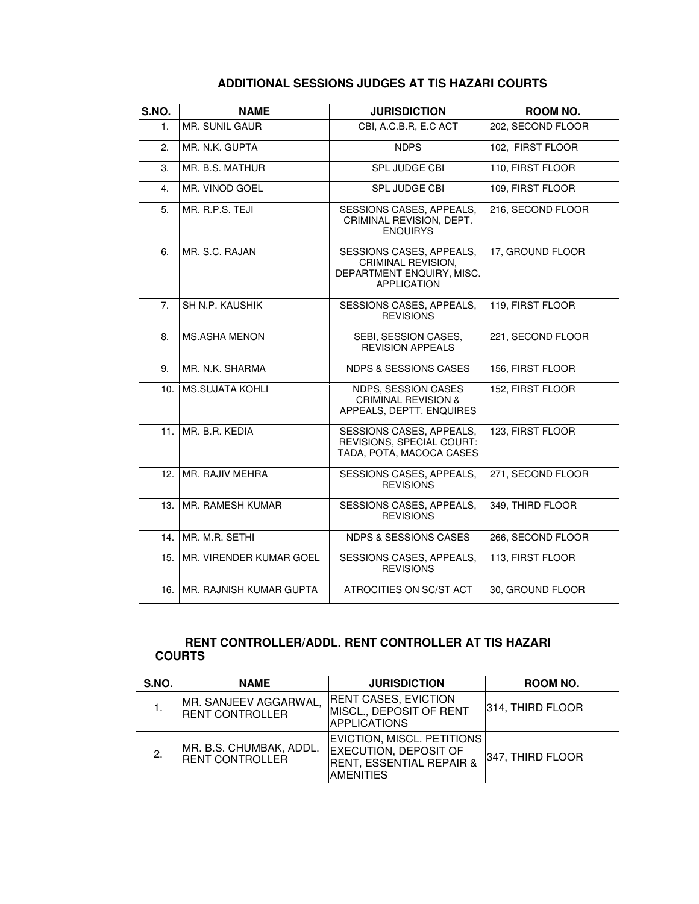#### **ADDITIONAL SESSIONS JUDGES AT TIS HAZARI COURTS**

| S.NO. | <b>NAME</b>                  | <b>JURISDICTION</b>                                                                               | ROOM NO.          |
|-------|------------------------------|---------------------------------------------------------------------------------------------------|-------------------|
| 1.    | MR. SUNIL GAUR               | CBI, A.C.B.R, E.C ACT                                                                             | 202, SECOND FLOOR |
| 2.    | MR. N.K. GUPTA               | <b>NDPS</b>                                                                                       | 102, FIRST FLOOR  |
| 3.    | MR. B.S. MATHUR              | <b>SPL JUDGE CBI</b>                                                                              | 110, FIRST FLOOR  |
| 4.    | MR. VINOD GOEL               | <b>SPL JUDGE CBI</b>                                                                              | 109, FIRST FLOOR  |
| 5.    | MR. R.P.S. TEJI              | SESSIONS CASES, APPEALS,<br>CRIMINAL REVISION, DEPT.<br><b>ENQUIRYS</b>                           | 216, SECOND FLOOR |
| 6.    | MR. S.C. RAJAN               | SESSIONS CASES, APPEALS,<br>CRIMINAL REVISION,<br>DEPARTMENT ENQUIRY, MISC.<br><b>APPLICATION</b> | 17, GROUND FLOOR  |
| 7.    | SH N.P. KAUSHIK              | SESSIONS CASES, APPEALS,<br><b>REVISIONS</b>                                                      | 119, FIRST FLOOR  |
| 8.    | <b>MS.ASHA MENON</b>         | SEBI, SESSION CASES,<br><b>REVISION APPEALS</b>                                                   | 221, SECOND FLOOR |
| 9.    | MR. N.K. SHARMA              | <b>NDPS &amp; SESSIONS CASES</b>                                                                  | 156, FIRST FLOOR  |
| 10.   | <b>MS.SUJATA KOHLI</b>       | NDPS, SESSION CASES<br><b>CRIMINAL REVISION &amp;</b><br>APPEALS, DEPTT. ENQUIRES                 | 152, FIRST FLOOR  |
| 11.   | MR. B.R. KEDIA               | SESSIONS CASES, APPEALS,<br>REVISIONS, SPECIAL COURT:<br>TADA, POTA, MACOCA CASES                 | 123, FIRST FLOOR  |
| 12.   | MR. RAJIV MEHRA              | SESSIONS CASES, APPEALS,<br><b>REVISIONS</b>                                                      | 271, SECOND FLOOR |
| 13.   | MR. RAMESH KUMAR             | SESSIONS CASES, APPEALS,<br><b>REVISIONS</b>                                                      | 349, THIRD FLOOR  |
| 14.   | MR. M.R. SETHI               | <b>NDPS &amp; SESSIONS CASES</b>                                                                  | 266, SECOND FLOOR |
| 15.   | MR. VIRENDER KUMAR GOEL      | SESSIONS CASES, APPEALS,<br><b>REVISIONS</b>                                                      | 113, FIRST FLOOR  |
|       | 16. IMR. RAJNISH KUMAR GUPTA | ATROCITIES ON SC/ST ACT                                                                           | 30, GROUND FLOOR  |

#### **RENT CONTROLLER/ADDL. RENT CONTROLLER AT TIS HAZARI COURTS**

| S.NO. | <b>NAME</b>                                       | <b>JURISDICTION</b>                                                                                                          | ROOM NO.         |
|-------|---------------------------------------------------|------------------------------------------------------------------------------------------------------------------------------|------------------|
|       | MR. SANJEEV AGGARWAL,<br><b>RENT CONTROLLER</b>   | <b>RENT CASES, EVICTION</b><br>MISCL., DEPOSIT OF RENT<br><b>APPLICATIONS</b>                                                | 314, THIRD FLOOR |
| 2.    | MR. B.S. CHUMBAK, ADDL.<br><b>RENT CONTROLLER</b> | <b>EVICTION, MISCL. PETITIONS</b><br><b>EXECUTION, DEPOSIT OF</b><br><b>RENT, ESSENTIAL REPAIR &amp;</b><br><b>AMENITIES</b> | 347, THIRD FLOOR |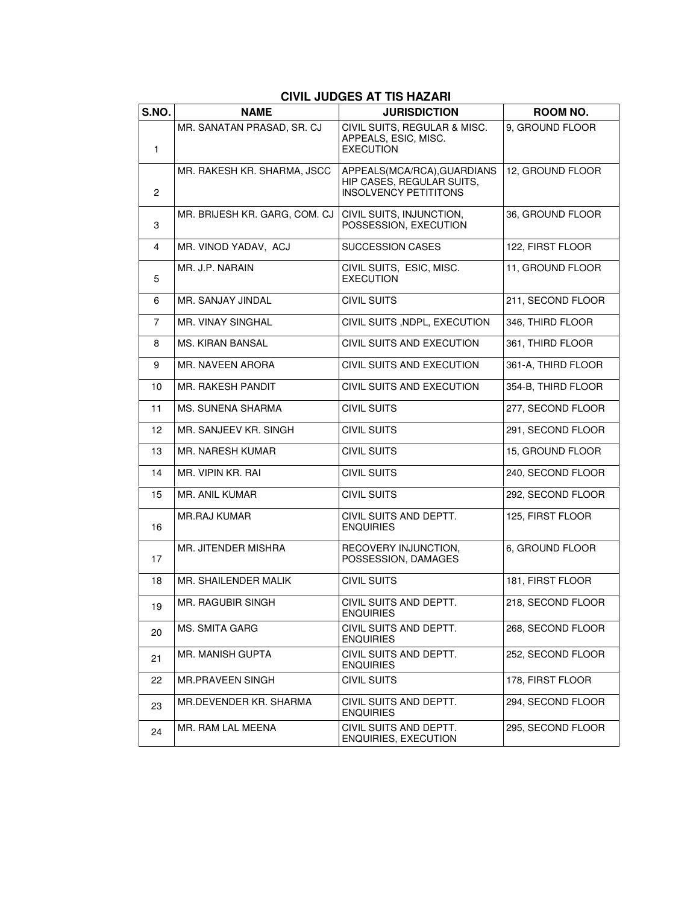#### **S.NO. NAME JURISDICTION ROOM NO.**  1 MR. SANATAN PRASAD, SR. CJ | CIVIL SUITS, REGULAR & MISC. APPEALS, ESIC, MISC. EXECUTION 9, GROUND FLOOR 2 MR. RAKESH KR. SHARMA, JSCC | APPEALS(MCA/RCA), GUARDIANS HIP CASES, REGULAR SUITS, INSOLVENCY PETITITONS 12, GROUND FLOOR 3 MR. BRIJESH KR. GARG, COM. CJ | CIVIL SUITS, INJUNCTION, POSSESSION, EXECUTION 36, GROUND FLOOR 4 | MR. VINOD YADAV, ACJ | SUCCESSION CASES | 122, FIRST FLOOR 5 MR. J.P. NARAIN CIVIL SUITS, ESIC, MISC. EXECUTION 11, GROUND FLOOR 6 MR. SANJAY JINDAL CIVIL SUITS 211, SECOND FLOOR 7 MR. VINAY SINGHAL CIVIL SUITS ,NDPL, EXECUTION 346, THIRD FLOOR 8 | MS. KIRAN BANSAL | CIVIL SUITS AND EXECUTION | 361, THIRD FLOOR 9 | MR. NAVEEN ARORA | CIVIL SUITS AND EXECUTION | 361-A, THIRD FLOOR 10 | MR. RAKESH PANDIT | CIVIL SUITS AND EXECUTION | 354-B, THIRD FLOOR 11 MS. SUNENA SHARMA CIVIL SUITS 277, SECOND FLOOR 12 | MR. SANJEEV KR. SINGH | CIVIL SUITS | 291, SECOND FLOOR 13 MR. NARESH KUMAR CIVIL SUITS CIVIL SUITS 15, GROUND FLOOR 14 MR. VIPIN KR. RAI CIVIL SUITS 240, SECOND FLOOR 15 | MR. ANIL KUMAR | CIVIL SUITS | 292, SECOND FLOOR 16 MR.RAJ KUMAR CIVIL SUITS AND DEPTT. ENQUIRIES 125, FIRST FLOOR 17 MR. JITENDER MISHRA RECOVERY INJUNCTION. POSSESSION, DAMAGES 6, GROUND FLOOR 18 | MR. SHAILENDER MALIK | CIVIL SUITS | 181, FIRST FLOOR  $19$  MR. RAGUBIR SINGH CIVIL SUITS AND DEPTT. **ENQUIRIES** 218, SECOND FLOOR  $20$  MS. SMITA GARG CIVIL SUITS AND DEPTT. ENQUIRIES 268, SECOND FLOOR 21 MR. MANISH GUPTA CIVIL SUITS AND DEPTT. ENQUIRIES 252, SECOND FLOOR 22 | MR.PRAVEEN SINGH | CIVIL SUITS | 178, FIRST FLOOR  $23$  MR.DEVENDER KR. SHARMA CIVIL SUITS AND DEPTT. ENQUIRIES 294, SECOND FLOOR  $24$  MR. RAM LAL MEENA CIVIL SUITS AND DEPTT. ENQUIRIES, EXECUTION 295, SECOND FLOOR

#### **CIVIL JUDGES AT TIS HAZARI**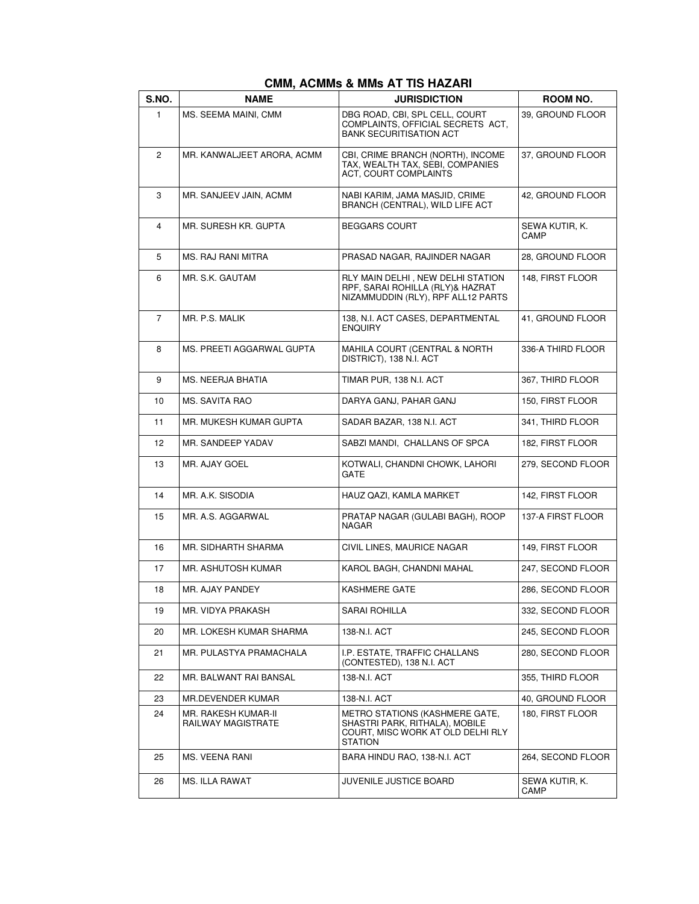| S.NO.          | <b>NAME</b>                               | <b>JURISDICTION</b>                                                                                                            | ROOM NO.               |
|----------------|-------------------------------------------|--------------------------------------------------------------------------------------------------------------------------------|------------------------|
| $\mathbf{1}$   | MS. SEEMA MAINI, CMM                      | DBG ROAD, CBI, SPL CELL, COURT<br>COMPLAINTS, OFFICIAL SECRETS ACT,<br><b>BANK SECURITISATION ACT</b>                          | 39, GROUND FLOOR       |
| $\overline{c}$ | MR. KANWALJEET ARORA, ACMM                | CBI, CRIME BRANCH (NORTH), INCOME<br>TAX, WEALTH TAX, SEBI, COMPANIES<br><b>ACT. COURT COMPLAINTS</b>                          | 37, GROUND FLOOR       |
| 3              | MR. SANJEEV JAIN, ACMM                    | NABI KARIM, JAMA MASJID, CRIME<br>BRANCH (CENTRAL), WILD LIFE ACT                                                              | 42, GROUND FLOOR       |
| 4              | MR. SURESH KR. GUPTA                      | <b>BEGGARS COURT</b>                                                                                                           | SEWA KUTIR, K.<br>CAMP |
| 5              | MS. RAJ RANI MITRA                        | PRASAD NAGAR, RAJINDER NAGAR                                                                                                   | 28, GROUND FLOOR       |
| 6              | MR. S.K. GAUTAM                           | RLY MAIN DELHI, NEW DELHI STATION<br>RPF, SARAI ROHILLA (RLY)& HAZRAT<br>NIZAMMUDDIN (RLY), RPF ALL12 PARTS                    | 148, FIRST FLOOR       |
| $\overline{7}$ | MR. P.S. MALIK                            | 138, N.I. ACT CASES, DEPARTMENTAL<br><b>ENQUIRY</b>                                                                            | 41, GROUND FLOOR       |
| 8              | MS. PREETI AGGARWAL GUPTA                 | <b>MAHILA COURT (CENTRAL &amp; NORTH</b><br>DISTRICT), 138 N.I. ACT                                                            | 336-A THIRD FLOOR      |
| 9              | MS. NEERJA BHATIA                         | TIMAR PUR, 138 N.I. ACT                                                                                                        | 367, THIRD FLOOR       |
| 10             | MS. SAVITA RAO                            | DARYA GANJ, PAHAR GANJ                                                                                                         | 150, FIRST FLOOR       |
| 11             | MR. MUKESH KUMAR GUPTA                    | SADAR BAZAR, 138 N.I. ACT                                                                                                      | 341, THIRD FLOOR       |
| 12             | MR. SANDEEP YADAV                         | SABZI MANDI, CHALLANS OF SPCA                                                                                                  | 182, FIRST FLOOR       |
| 13             | MR. AJAY GOEL                             | KOTWALI, CHANDNI CHOWK, LAHORI<br><b>GATE</b>                                                                                  | 279, SECOND FLOOR      |
| 14             | MR. A.K. SISODIA                          | HAUZ QAZI, KAMLA MARKET                                                                                                        | 142, FIRST FLOOR       |
| 15             | MR. A.S. AGGARWAL                         | PRATAP NAGAR (GULABI BAGH), ROOP<br>NAGAR                                                                                      | 137-A FIRST FLOOR      |
| 16             | MR. SIDHARTH SHARMA                       | CIVIL LINES, MAURICE NAGAR                                                                                                     | 149, FIRST FLOOR       |
| 17             | MR. ASHUTOSH KUMAR                        | KAROL BAGH, CHANDNI MAHAL                                                                                                      | 247, SECOND FLOOR      |
| 18             | MR. AJAY PANDEY                           | <b>KASHMERE GATE</b>                                                                                                           | 286, SECOND FLOOR      |
| 19             | MR. VIDYA PRAKASH                         | SARAI ROHILLA                                                                                                                  | 332, SECOND FLOOR      |
| 20             | MR. LOKESH KUMAR SHARMA                   | 138-N.I. ACT                                                                                                                   | 245, SECOND FLOOR      |
| 21             | MR. PULASTYA PRAMACHALA                   | I.P. ESTATE, TRAFFIC CHALLANS<br>(CONTESTED), 138 N.I. ACT                                                                     | 280, SECOND FLOOR      |
| 22             | MR. BALWANT RAI BANSAL                    | 138-N.I. ACT                                                                                                                   | 355, THIRD FLOOR       |
| 23             | MR.DEVENDER KUMAR                         | 138-N.I. ACT                                                                                                                   | 40, GROUND FLOOR       |
| 24             | MR. RAKESH KUMAR-II<br>RAILWAY MAGISTRATE | <b>METRO STATIONS (KASHMERE GATE,</b><br>SHASTRI PARK, RITHALA), MOBILE<br>COURT, MISC WORK AT OLD DELHI RLY<br><b>STATION</b> | 180, FIRST FLOOR       |
| 25             | MS. VEENA RANI                            | BARA HINDU RAO, 138-N.I. ACT                                                                                                   | 264, SECOND FLOOR      |
| 26             | MS. ILLA RAWAT                            | JUVENILE JUSTICE BOARD                                                                                                         | SEWA KUTIR, K.<br>CAMP |

#### **CMM, ACMMs & MMs AT TIS HAZARI**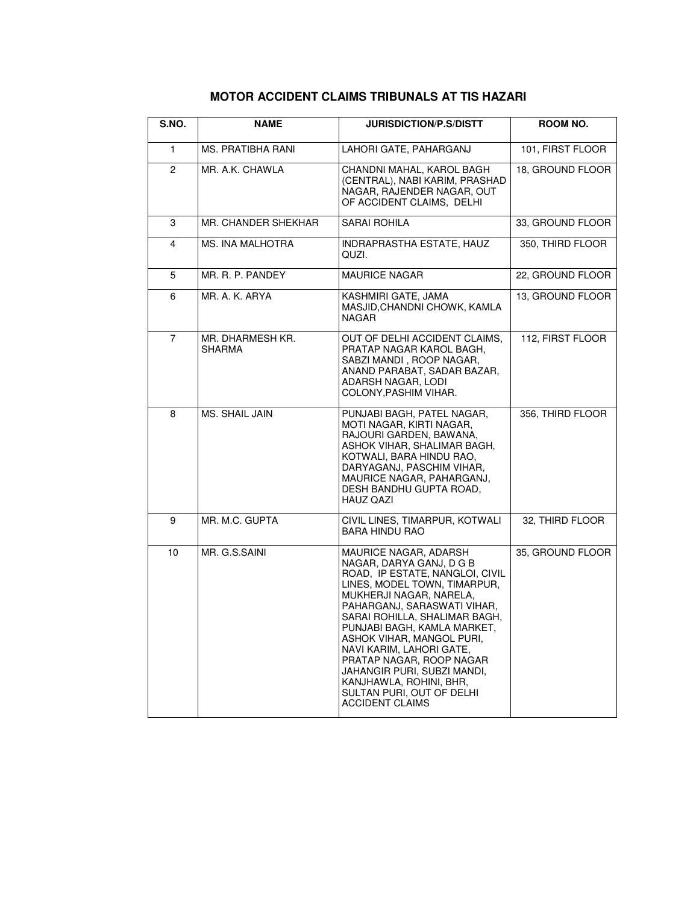| S.NO.          | <b>NAME</b>                | JURISDICTION/P.S/DISTT                                                                                                                                                                                                                                                                                                                                                                                                                               | ROOM NO.         |
|----------------|----------------------------|------------------------------------------------------------------------------------------------------------------------------------------------------------------------------------------------------------------------------------------------------------------------------------------------------------------------------------------------------------------------------------------------------------------------------------------------------|------------------|
| 1.             | MS. PRATIBHA RANI          | LAHORI GATE, PAHARGANJ                                                                                                                                                                                                                                                                                                                                                                                                                               | 101, FIRST FLOOR |
| $\overline{2}$ | MR. A.K. CHAWLA            | CHANDNI MAHAL, KAROL BAGH<br>(CENTRAL), NABI KARIM, PRASHAD<br>NAGAR, RAJENDER NAGAR, OUT<br>OF ACCIDENT CLAIMS, DELHI                                                                                                                                                                                                                                                                                                                               | 18, GROUND FLOOR |
| 3              | MR. CHANDER SHEKHAR        | <b>SARAI ROHILA</b>                                                                                                                                                                                                                                                                                                                                                                                                                                  | 33, GROUND FLOOR |
| 4              | MS. INA MALHOTRA           | INDRAPRASTHA ESTATE, HAUZ<br>QUZI.                                                                                                                                                                                                                                                                                                                                                                                                                   | 350, THIRD FLOOR |
| 5              | MR. R. P. PANDEY           | <b>MAURICE NAGAR</b>                                                                                                                                                                                                                                                                                                                                                                                                                                 | 22, GROUND FLOOR |
| 6              | MR. A. K. ARYA             | KASHMIRI GATE, JAMA<br>MASJID, CHANDNI CHOWK, KAMLA<br><b>NAGAR</b>                                                                                                                                                                                                                                                                                                                                                                                  | 13, GROUND FLOOR |
| 7              | MR. DHARMESH KR.<br>SHARMA | OUT OF DELHI ACCIDENT CLAIMS,<br>PRATAP NAGAR KAROL BAGH.<br>SABZI MANDI, ROOP NAGAR,<br>ANAND PARABAT, SADAR BAZAR,<br>ADARSH NAGAR, LODI<br>COLONY, PASHIM VIHAR.                                                                                                                                                                                                                                                                                  | 112, FIRST FLOOR |
| 8              | MS. SHAIL JAIN             | PUNJABI BAGH, PATEL NAGAR,<br>MOTI NAGAR, KIRTI NAGAR.<br>RAJOURI GARDEN, BAWANA,<br>ASHOK VIHAR, SHALIMAR BAGH,<br>KOTWALI, BARA HINDU RAO,<br>DARYAGANJ, PASCHIM VIHAR,<br>MAURICE NAGAR, PAHARGANJ,<br>DESH BANDHU GUPTA ROAD,<br><b>HAUZ QAZI</b>                                                                                                                                                                                                | 356. THIRD FLOOR |
| 9              | MR. M.C. GUPTA             | CIVIL LINES, TIMARPUR, KOTWALI<br><b>BARA HINDU RAO</b>                                                                                                                                                                                                                                                                                                                                                                                              | 32, THIRD FLOOR  |
| 10             | MR. G.S.SAINI              | MAURICE NAGAR, ADARSH<br>NAGAR, DARYA GANJ, D G B<br>ROAD, IP ESTATE, NANGLOI, CIVIL<br>LINES, MODEL TOWN, TIMARPUR,<br>MUKHERJI NAGAR, NARELA.<br>PAHARGANJ, SARASWATI VIHAR,<br>SARAI ROHILLA, SHALIMAR BAGH,<br>PUNJABI BAGH, KAMLA MARKET,<br>ASHOK VIHAR, MANGOL PURI.<br>NAVI KARIM, LAHORI GATE,<br>PRATAP NAGAR, ROOP NAGAR<br>JAHANGIR PURI, SUBZI MANDI,<br>KANJHAWLA, ROHINI, BHR,<br>SULTAN PURI, OUT OF DELHI<br><b>ACCIDENT CLAIMS</b> | 35, GROUND FLOOR |

## **MOTOR ACCIDENT CLAIMS TRIBUNALS AT TIS HAZARI**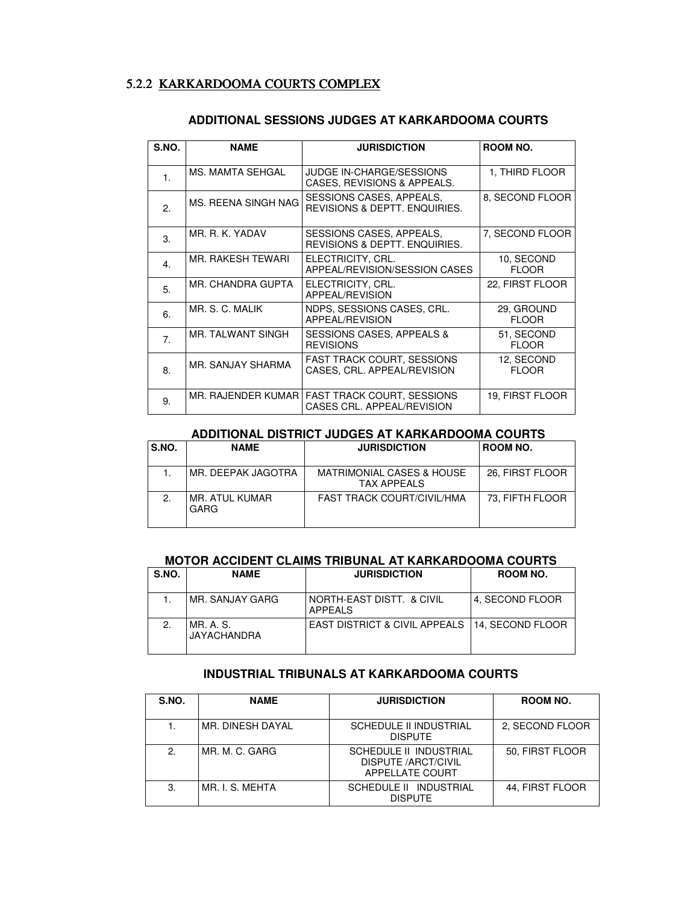#### 5.2.2 KARKARDOOMA COURTS COMPLEX

| S.NO.            | <b>NAME</b>              | <b>JURISDICTION</b>                                             | ROOM NO.                   |
|------------------|--------------------------|-----------------------------------------------------------------|----------------------------|
| $\mathbf{1}$ .   | MS. MAMTA SEHGAL         | JUDGE IN-CHARGE/SESSIONS<br>CASES, REVISIONS & APPEALS.         | 1, THIRD FLOOR             |
| 2.               | MS. REENA SINGH NAG      | SESSIONS CASES, APPEALS,<br>REVISIONS & DEPTT, ENQUIRIES.       | 8, SECOND FLOOR            |
| 3.               | MR. R. K. YADAV          | SESSIONS CASES, APPEALS,<br>REVISIONS & DEPTT. ENQUIRIES.       | 7, SECOND FLOOR            |
| $\overline{4}$ . | MR. RAKESH TEWARI        | ELECTRICITY, CRL.<br>APPEAL/REVISION/SESSION CASES              | 10, SECOND<br><b>FLOOR</b> |
| 5.               | MR. CHANDRA GUPTA        | ELECTRICITY, CRL.<br>APPEAL/REVISION                            | 22, FIRST FLOOR            |
| 6.               | MR. S. C. MALIK          | NDPS, SESSIONS CASES, CRL.<br>APPEAL/REVISION                   | 29, GROUND<br><b>FLOOR</b> |
| $\overline{7}$ . | <b>MR. TALWANT SINGH</b> | <b>SESSIONS CASES, APPEALS &amp;</b><br><b>REVISIONS</b>        | 51, SECOND<br><b>FLOOR</b> |
| 8.               | MR. SANJAY SHARMA        | FAST TRACK COURT, SESSIONS<br>CASES, CRL. APPEAL/REVISION       | 12, SECOND<br><b>FLOOR</b> |
| 9.               | MR. RAJENDER KUMAR       | <b>FAST TRACK COURT, SESSIONS</b><br>CASES CRL. APPEAL/REVISION | 19, FIRST FLOOR            |

#### **ADDITIONAL SESSIONS JUDGES AT KARKARDOOMA COURTS**

#### **ADDITIONAL DISTRICT JUDGES AT KARKARDOOMA COURTS**

| S.NO. | <b>NAME</b>             | <b>JURISDICTION</b>                                        | ROOM NO.        |
|-------|-------------------------|------------------------------------------------------------|-----------------|
|       | IMR. DEEPAK JAGOTRA     | <b>MATRIMONIAL CASES &amp; HOUSE</b><br><b>TAX APPEALS</b> | 26, FIRST FLOOR |
| 2.    | IMR. ATUL KUMAR<br>GARG | <b>FAST TRACK COURT/CIVIL/HMA</b>                          | 73, FIFTH FLOOR |

#### **MOTOR ACCIDENT CLAIMS TRIBUNAL AT KARKARDOOMA COURTS**

| S.NO. | <b>NAME</b>                     | <b>JURISDICTION</b>                            | ROOM NO.         |
|-------|---------------------------------|------------------------------------------------|------------------|
|       | MR. SANJAY GARG                 | I NORTH-EAST DISTT.  & CIVIL<br><b>APPEALS</b> | 4, SECOND FLOOR  |
| 2.    | MR. A. S.<br><b>JAYACHANDRA</b> | <b>EAST DISTRICT &amp; CIVIL APPEALS</b>       | 14, SECOND FLOOR |

#### **INDUSTRIAL TRIBUNALS AT KARKARDOOMA COURTS**

| S.NO. | <b>NAME</b>      | <b>JURISDICTION</b>                                                     | ROOM NO.        |
|-------|------------------|-------------------------------------------------------------------------|-----------------|
|       |                  |                                                                         |                 |
|       | MR. DINESH DAYAL | SCHEDULE II INDUSTRIAL<br><b>DISPUTE</b>                                | 2, SECOND FLOOR |
| 2     | MR. M. C. GARG   | SCHEDULE II INDUSTRIAL<br><b>DISPUTE /ARCT/CIVIL</b><br>APPELLATE COURT | 50, FIRST FLOOR |
| З.    | MR. I. S. MEHTA  | SCHEDULE II INDUSTRIAL<br><b>DISPUTE</b>                                | 44, FIRST FLOOR |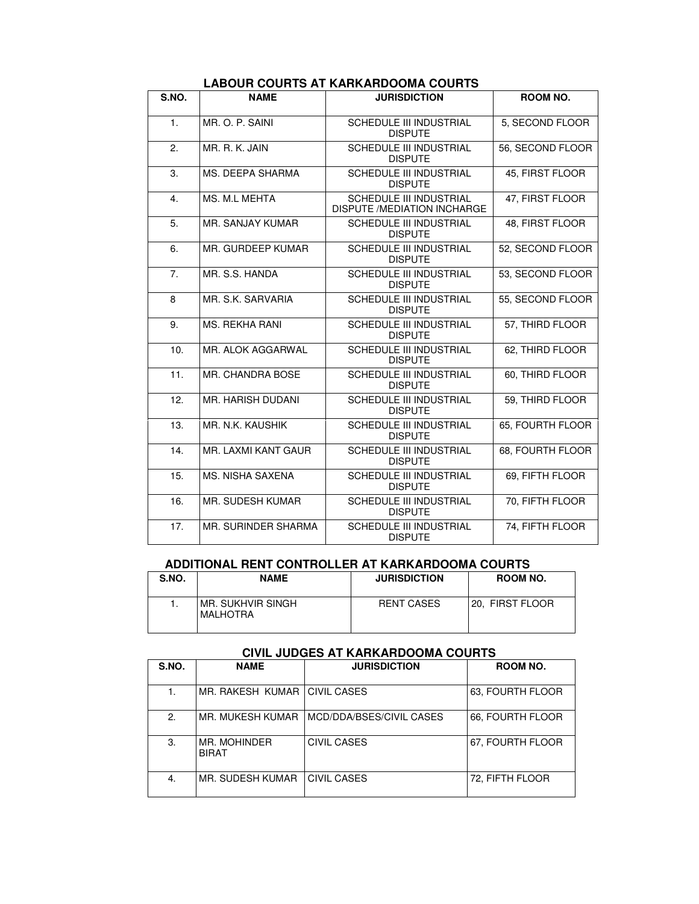| S.NO.          | <b>NAME</b>              | <b>JURISDICTION</b>                                                  | <b>ROOM NO.</b>  |
|----------------|--------------------------|----------------------------------------------------------------------|------------------|
| $\mathbf{1}$ . | MR. O. P. SAINI          | <b>SCHEDULE III INDUSTRIAL</b><br><b>DISPUTE</b>                     | 5, SECOND FLOOR  |
| 2.             | MR. R. K. JAIN           | SCHEDULE III INDUSTRIAL<br><b>DISPUTE</b>                            | 56, SECOND FLOOR |
| 3.             | MS. DEEPA SHARMA         | <b>SCHEDULE III INDUSTRIAL</b><br><b>DISPUTE</b>                     | 45. FIRST FLOOR  |
| 4.             | MS. M.L MEHTA            | <b>SCHEDULE III INDUSTRIAL</b><br><b>DISPUTE /MEDIATION INCHARGE</b> | 47, FIRST FLOOR  |
| 5.             | MR. SANJAY KUMAR         | <b>SCHEDULE III INDUSTRIAL</b><br><b>DISPUTE</b>                     | 48, FIRST FLOOR  |
| 6.             | MR. GURDEEP KUMAR        | SCHEDULE III INDUSTRIAL<br><b>DISPUTE</b>                            | 52, SECOND FLOOR |
| 7 <sub>1</sub> | MR. S.S. HANDA           | SCHEDULE III INDUSTRIAL<br><b>DISPUTE</b>                            | 53, SECOND FLOOR |
| 8              | MR. S.K. SARVARIA        | <b>SCHEDULE III INDUSTRIAL</b><br><b>DISPUTE</b>                     | 55, SECOND FLOOR |
| 9.             | <b>MS. REKHA RANI</b>    | <b>SCHEDULE III INDUSTRIAL</b><br><b>DISPUTE</b>                     | 57, THIRD FLOOR  |
| 10.            | MR. ALOK AGGARWAL        | SCHEDULE III INDUSTRIAL<br><b>DISPUTE</b>                            | 62, THIRD FLOOR  |
| 11.            | <b>MR. CHANDRA BOSE</b>  | <b>SCHEDULE III INDUSTRIAL</b><br><b>DISPUTE</b>                     | 60, THIRD FLOOR  |
| 12.            | <b>MR. HARISH DUDANI</b> | <b>SCHEDULE III INDUSTRIAL</b><br><b>DISPUTE</b>                     | 59, THIRD FLOOR  |
| 13.            | MR. N.K. KAUSHIK         | <b>SCHEDULE III INDUSTRIAL</b><br><b>DISPUTE</b>                     | 65, FOURTH FLOOR |
| 14.            | MR. LAXMI KANT GAUR      | SCHEDULE III INDUSTRIAL<br><b>DISPUTE</b>                            | 68, FOURTH FLOOR |
| 15.            | <b>MS. NISHA SAXENA</b>  | <b>SCHEDULE III INDUSTRIAL</b><br><b>DISPUTE</b>                     | 69, FIFTH FLOOR  |
| 16.            | <b>MR. SUDESH KUMAR</b>  | <b>SCHEDULE III INDUSTRIAL</b><br><b>DISPUTE</b>                     | 70, FIFTH FLOOR  |
| 17.            | MR. SURINDER SHARMA      | <b>SCHEDULE III INDUSTRIAL</b><br><b>DISPUTE</b>                     | 74, FIFTH FLOOR  |

#### **LABOUR COURTS AT KARKARDOOMA COURTS**

#### **ADDITIONAL RENT CONTROLLER AT KARKARDOOMA COURTS**

| S.NO. | <b>NAME</b>                   | <b>JURISDICTION</b> | ROOM NO.        |
|-------|-------------------------------|---------------------|-----------------|
|       | MR. SUKHVIR SINGH<br>MALHOTRA | <b>RENT CASES</b>   | 20. FIRST FLOOR |

#### **CIVIL JUDGES AT KARKARDOOMA COURTS**

| S.NO. | <b>NAME</b>                  | <b>JURISDICTION</b>      | ROOM NO.         |
|-------|------------------------------|--------------------------|------------------|
| 1.    | MR. RAKESH KUMAR             | <b>CIVIL CASES</b>       | 63. FOURTH FLOOR |
| 2.    | MR. MUKESH KUMAR             | MCD/DDA/BSES/CIVIL CASES | 66. FOURTH FLOOR |
| 3.    | MR. MOHINDER<br><b>BIRAT</b> | CIVIL CASES              | 67. FOURTH FLOOR |
| 4.    | MR. SUDESH KUMAR             | CIVIL CASES              | 72, FIFTH FLOOR  |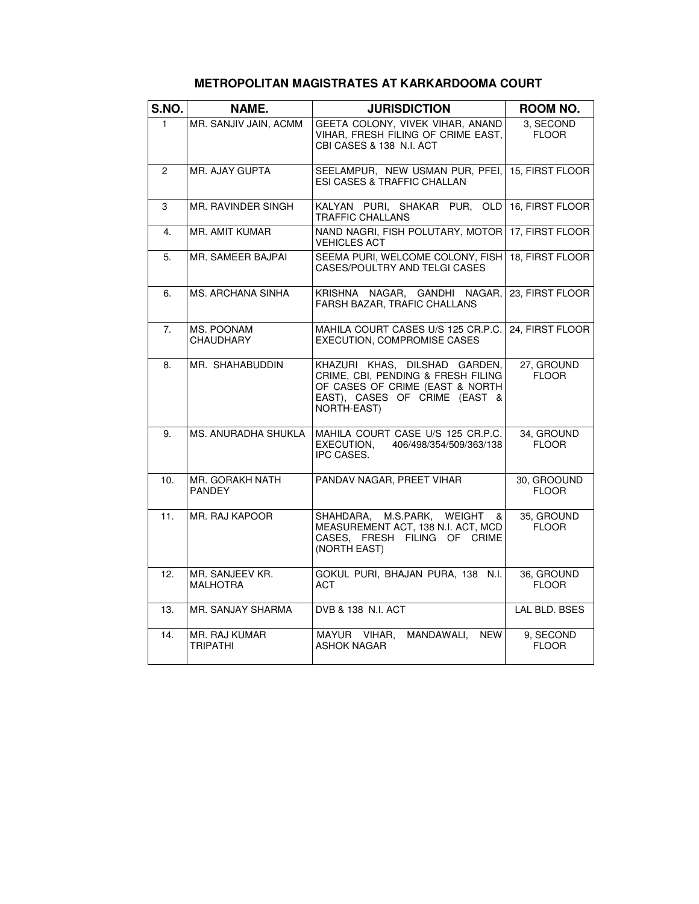| S.NO.          | NAME.                              | <b>JURISDICTION</b>                                                                                                                                    | ROOM NO.                    |
|----------------|------------------------------------|--------------------------------------------------------------------------------------------------------------------------------------------------------|-----------------------------|
| $\mathbf{1}$   | MR. SANJIV JAIN, ACMM              | GEETA COLONY, VIVEK VIHAR, ANAND<br>VIHAR, FRESH FILING OF CRIME EAST,<br>CBI CASES & 138 N.I. ACT                                                     | 3. SECOND<br><b>FLOOR</b>   |
| $\overline{2}$ | MR. AJAY GUPTA                     | SEELAMPUR, NEW USMAN PUR, PFEI,<br><b>ESI CASES &amp; TRAFFIC CHALLAN</b>                                                                              | 15, FIRST FLOOR             |
| 3              | <b>MR. RAVINDER SINGH</b>          | KALYAN PURI, SHAKAR PUR, OLD<br>TRAFFIC CHALLANS                                                                                                       | 16. FIRST FLOOR             |
| 4.             | MR. AMIT KUMAR                     | NAND NAGRI, FISH POLUTARY, MOTOR<br><b>VEHICLES ACT</b>                                                                                                | 17, FIRST FLOOR             |
| 5.             | MR. SAMEER BAJPAI                  | SEEMA PURI, WELCOME COLONY, FISH<br>CASES/POULTRY AND TELGI CASES                                                                                      | 18, FIRST FLOOR             |
| 6.             | <b>MS. ARCHANA SINHA</b>           | KRISHNA NAGAR, GANDHI NAGAR,<br>FARSH BAZAR, TRAFIC CHALLANS                                                                                           | 23, FIRST FLOOR             |
| 7.             | MS. POONAM<br><b>CHAUDHARY</b>     | MAHILA COURT CASES U/S 125 CR.P.C.<br><b>EXECUTION, COMPROMISE CASES</b>                                                                               | 24, FIRST FLOOR             |
| 8.             | MR. SHAHABUDDIN                    | KHAZURI KHAS, DILSHAD GARDEN,<br>CRIME, CBI, PENDING & FRESH FILING<br>OF CASES OF CRIME (EAST & NORTH<br>EAST), CASES OF CRIME (EAST &<br>NORTH-EAST) | 27, GROUND<br><b>FLOOR</b>  |
| 9.             | MS. ANURADHA SHUKLA                | MAHILA COURT CASE U/S 125 CR.P.C.<br>EXECUTION.<br>406/498/354/509/363/138<br>IPC CASES.                                                               | 34, GROUND<br><b>FLOOR</b>  |
| 10.            | MR. GORAKH NATH<br><b>PANDEY</b>   | PANDAV NAGAR, PREET VIHAR                                                                                                                              | 30, GROOUND<br><b>FLOOR</b> |
| 11.            | MR. RAJ KAPOOR                     | M.S.PARK, WEIGHT<br>SHAHDARA,<br>&<br>MEASUREMENT ACT, 138 N.I. ACT, MCD<br>CASES, FRESH FILING OF CRIME<br>(NORTH EAST)                               | 35. GROUND<br><b>FLOOR</b>  |
| 12.            | MR. SANJEEV KR.<br><b>MALHOTRA</b> | GOKUL PURI, BHAJAN PURA, 138 N.I.<br><b>ACT</b>                                                                                                        | 36. GROUND<br><b>FLOOR</b>  |
| 13.            | MR. SANJAY SHARMA                  | DVB & 138 N.I. ACT                                                                                                                                     | LAL BLD. BSES               |
| 14.            | MR. RAJ KUMAR<br>TRIPATHI          | MANDAWALI,<br>MAYUR VIHAR.<br><b>NEW</b><br><b>ASHOK NAGAR</b>                                                                                         | 9, SECOND<br><b>FLOOR</b>   |

#### **METROPOLITAN MAGISTRATES AT KARKARDOOMA COURT**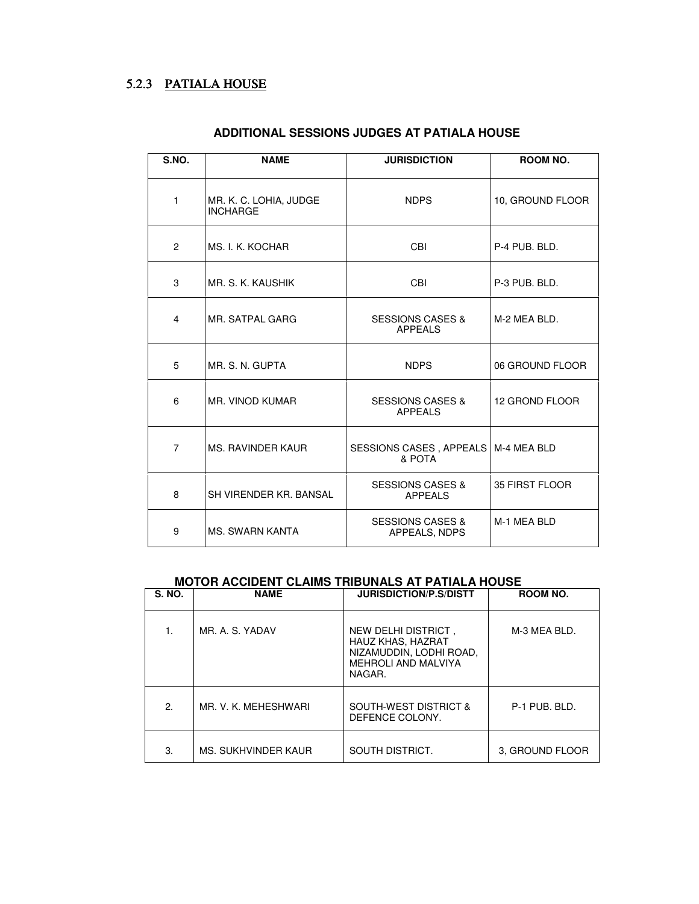## 5.2.3 PATIALA HOUSE

| S.NO.          | <b>NAME</b>                               | <b>JURISDICTION</b>                             | ROOM NO.         |  |
|----------------|-------------------------------------------|-------------------------------------------------|------------------|--|
| $\mathbf{1}$   | MR. K. C. LOHIA, JUDGE<br><b>INCHARGE</b> | <b>NDPS</b>                                     | 10, GROUND FLOOR |  |
| $\overline{2}$ | MS. I. K. KOCHAR                          | <b>CBI</b>                                      | P-4 PUB. BLD.    |  |
| 3              | MR. S. K. KAUSHIK                         | CBI                                             | P-3 PUB. BLD.    |  |
| 4              | MR. SATPAL GARG                           | <b>SESSIONS CASES &amp;</b><br><b>APPEALS</b>   | M-2 MEA BLD.     |  |
| 5              | MR. S. N. GUPTA                           | <b>NDPS</b>                                     | 06 GROUND FLOOR  |  |
| 6              | MR. VINOD KUMAR                           | <b>SESSIONS CASES &amp;</b><br><b>APPEALS</b>   | 12 GROND FLOOR   |  |
| $\overline{7}$ | MS. RAVINDER KAUR                         | SESSIONS CASES, APPEALS   M-4 MEA BLD<br>& POTA |                  |  |
| 8              | SH VIRENDER KR. BANSAL                    | <b>SESSIONS CASES &amp;</b><br><b>APPEALS</b>   | 35 FIRST FLOOR   |  |
| 9              | <b>MS. SWARN KANTA</b>                    | <b>SESSIONS CASES &amp;</b><br>APPEALS, NDPS    | M-1 MFA BID      |  |

### **ADDITIONAL SESSIONS JUDGES AT PATIALA HOUSE**

#### **MOTOR ACCIDENT CLAIMS TRIBUNALS AT PATIALA HOUSE**

| <b>S. NO.</b> | <b>NAME</b>          | <b>JURISDICTION/P.S/DISTT</b>                                                                        | ROOM NO.        |
|---------------|----------------------|------------------------------------------------------------------------------------------------------|-----------------|
|               | MR. A. S. YADAV      | NEW DELHI DISTRICT,<br>HAUZ KHAS, HAZRAT<br>NIZAMUDDIN, LODHI ROAD,<br>MEHROLI AND MALVIYA<br>NAGAR. | M-3 MEA BLD.    |
| 2.            | MR. V. K. MEHESHWARI | <b>SOUTH-WEST DISTRICT &amp;</b><br>DEFENCE COLONY.                                                  | P-1 PUB, BLD.   |
| 3.            | MS. SUKHVINDER KAUR  | SOUTH DISTRICT.                                                                                      | 3. GROUND FLOOR |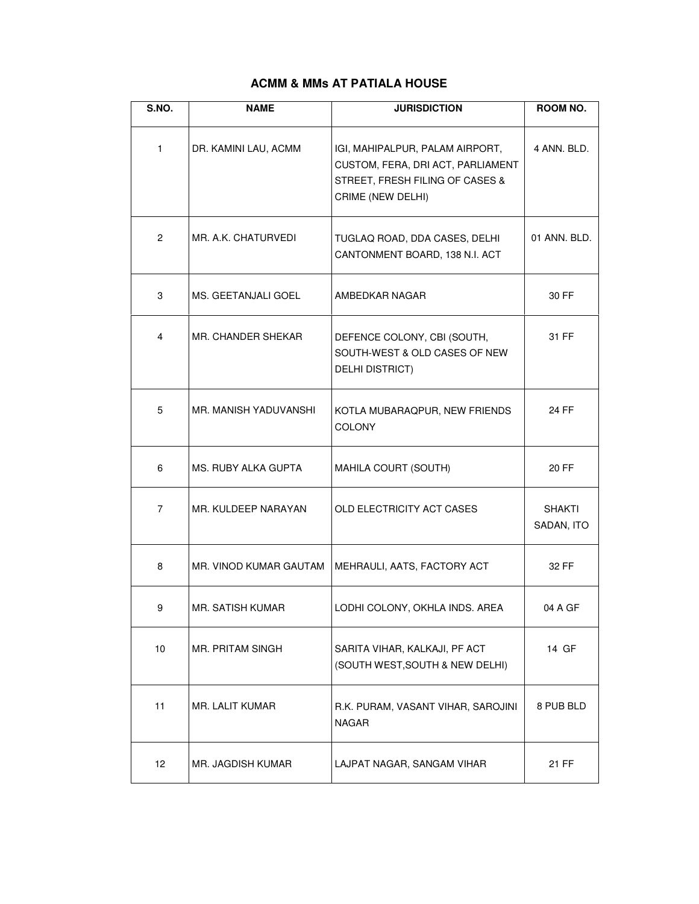#### **ACMM & MMs AT PATIALA HOUSE**

| S.NO.          | <b>NAME</b>            | <b>JURISDICTION</b>                                                                                                          | ROOM NO.                    |
|----------------|------------------------|------------------------------------------------------------------------------------------------------------------------------|-----------------------------|
| $\mathbf{1}$   | DR. KAMINI LAU, ACMM   | IGI, MAHIPALPUR, PALAM AIRPORT,<br>CUSTOM, FERA, DRI ACT, PARLIAMENT<br>STREET, FRESH FILING OF CASES &<br>CRIME (NEW DELHI) | 4 ANN. BLD.                 |
| $\overline{2}$ | MR. A.K. CHATURVEDI    | TUGLAQ ROAD, DDA CASES, DELHI<br>CANTONMENT BOARD, 138 N.I. ACT                                                              | 01 ANN, BLD.                |
| 3              | MS. GEETANJALI GOEL    | AMBEDKAR NAGAR                                                                                                               | 30 FF                       |
| 4              | MR. CHANDER SHEKAR     | DEFENCE COLONY, CBI (SOUTH,<br>SOUTH-WEST & OLD CASES OF NEW<br>DELHI DISTRICT)                                              | 31 FF                       |
| 5              | MR. MANISH YADUVANSHI  | KOTLA MUBARAQPUR, NEW FRIENDS<br><b>COLONY</b>                                                                               | 24 FF                       |
| 6              | MS. RUBY ALKA GUPTA    | MAHILA COURT (SOUTH)                                                                                                         | 20 FF                       |
| 7              | MR. KULDEEP NARAYAN    | OLD ELECTRICITY ACT CASES                                                                                                    | <b>SHAKTI</b><br>SADAN, ITO |
| 8              | MR. VINOD KUMAR GAUTAM | MEHRAULI, AATS, FACTORY ACT                                                                                                  | 32 FF                       |
| 9              | MR. SATISH KUMAR       | LODHI COLONY, OKHLA INDS. AREA                                                                                               | 04 A GF                     |
| 10             | MR. PRITAM SINGH       | SARITA VIHAR, KALKAJI, PF ACT<br>(SOUTH WEST, SOUTH & NEW DELHI)                                                             | 14 GF                       |
| 11             | MR. LALIT KUMAR        | R.K. PURAM, VASANT VIHAR, SAROJINI<br><b>NAGAR</b>                                                                           | 8 PUB BLD                   |
| 12             | MR. JAGDISH KUMAR      | LAJPAT NAGAR, SANGAM VIHAR                                                                                                   | 21 FF                       |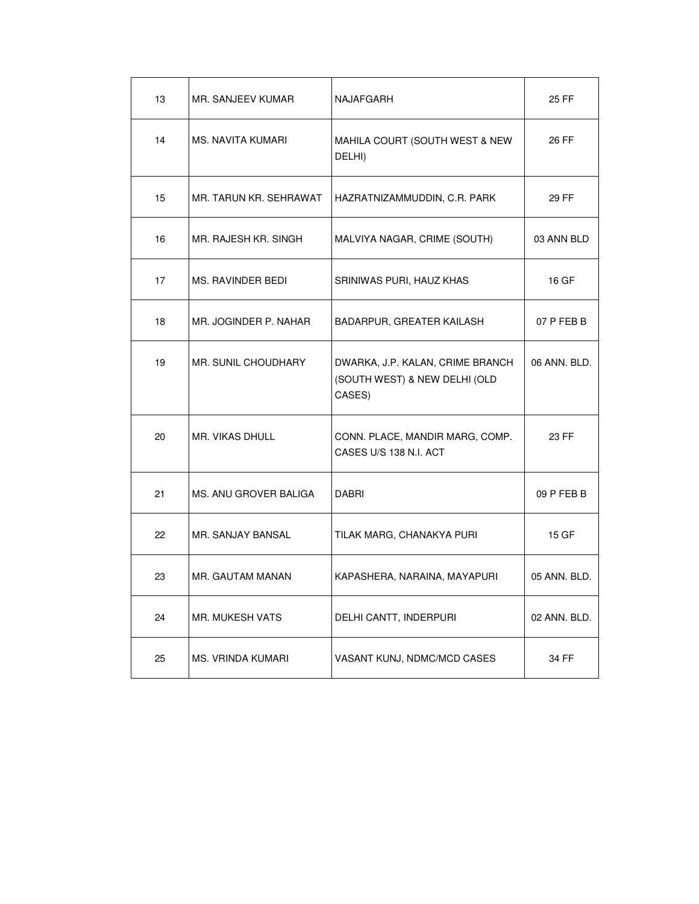| 13 | MR. SANJEEV KUMAR      | NAJAFGARH                                                                   | 25 FF        |
|----|------------------------|-----------------------------------------------------------------------------|--------------|
| 14 | MS. NAVITA KUMARI      | MAHILA COURT (SOUTH WEST & NEW<br>DELHI)                                    | 26 FF        |
| 15 | MR. TARUN KR. SEHRAWAT | HAZRATNIZAMMUDDIN, C.R. PARK                                                | 29 FF        |
| 16 | MR. RAJESH KR. SINGH   | MALVIYA NAGAR, CRIME (SOUTH)                                                | 03 ANN BLD   |
| 17 | MS. RAVINDER BEDI      | SRINIWAS PURI, HAUZ KHAS                                                    | 16 GF        |
| 18 | MR. JOGINDER P. NAHAR  | BADARPUR, GREATER KAILASH                                                   | 07 P FEB B   |
| 19 | MR. SUNIL CHOUDHARY    | DWARKA, J.P. KALAN, CRIME BRANCH<br>(SOUTH WEST) & NEW DELHI (OLD<br>CASES) | 06 ANN, BLD. |
| 20 | MR. VIKAS DHULL        | CONN. PLACE, MANDIR MARG, COMP.<br>CASES U/S 138 N.I. ACT                   | 23 FF        |
| 21 | MS. ANU GROVER BALIGA  | DABRI                                                                       | 09 P FEB B   |
| 22 | MR. SANJAY BANSAL      | TILAK MARG, CHANAKYA PURI                                                   | 15 GF        |
| 23 | MR. GAUTAM MANAN       | KAPASHERA, NARAINA, MAYAPURI                                                | 05 ANN. BLD. |
| 24 | MR. MUKESH VATS        | DELHI CANTT, INDERPURI                                                      | 02 ANN. BLD. |
| 25 | MS. VRINDA KUMARI      | VASANT KUNJ, NDMC/MCD CASES                                                 | 34 FF        |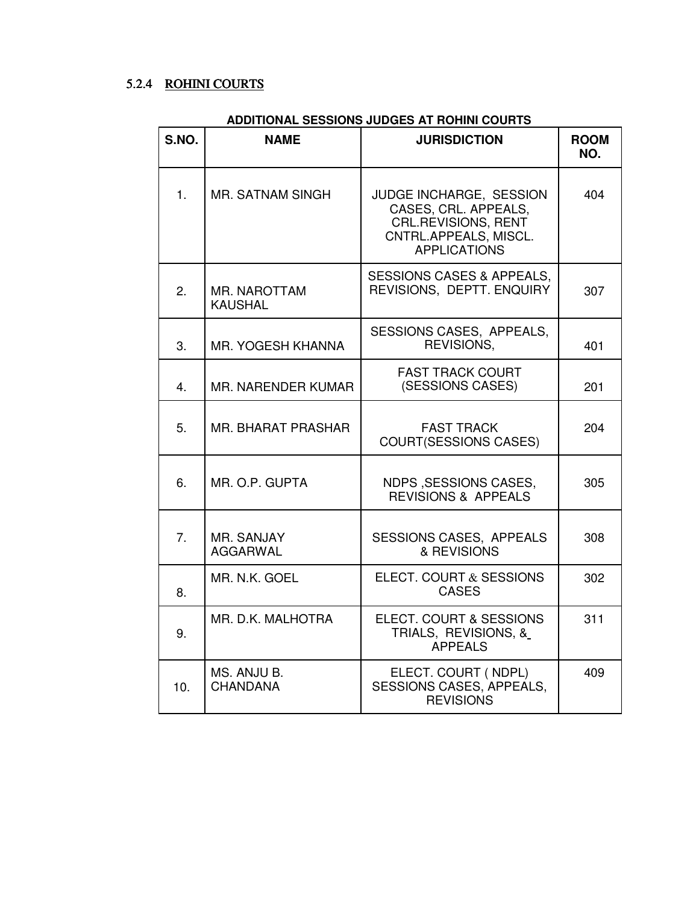## 5.2.4 ROHINI COURTS

#### **ADDITIONAL SESSIONS JUDGES AT ROHINI COURTS**

| S.NO. | <b>NAME</b>                           | <b>JURISDICTION</b>                                                                                                           | <b>ROOM</b><br>NO. |
|-------|---------------------------------------|-------------------------------------------------------------------------------------------------------------------------------|--------------------|
| 1.    | <b>MR. SATNAM SINGH</b>               | JUDGE INCHARGE, SESSION<br>CASES, CRL. APPEALS,<br><b>CRL.REVISIONS, RENT</b><br>CNTRL.APPEALS, MISCL.<br><b>APPLICATIONS</b> | 404                |
| 2.    | <b>MR. NAROTTAM</b><br><b>KAUSHAL</b> | <b>SESSIONS CASES &amp; APPEALS,</b><br>REVISIONS, DEPTT. ENQUIRY                                                             | 307                |
| 3.    | <b>MR. YOGESH KHANNA</b>              | SESSIONS CASES, APPEALS,<br>REVISIONS,                                                                                        | 401                |
| 4.    | MR. NARENDER KUMAR                    | <b>FAST TRACK COURT</b><br>(SESSIONS CASES)                                                                                   | 201                |
| 5.    | <b>MR. BHARAT PRASHAR</b>             | <b>FAST TRACK</b><br><b>COURT(SESSIONS CASES)</b>                                                                             | 204                |
| 6.    | MR. O.P. GUPTA                        | NDPS, SESSIONS CASES,<br><b>REVISIONS &amp; APPEALS</b>                                                                       | 305                |
| 7.    | MR. SANJAY<br><b>AGGARWAL</b>         | <b>SESSIONS CASES, APPEALS</b><br>& REVISIONS                                                                                 | 308                |
| 8.    | MR. N.K. GOEL                         | ELECT. COURT & SESSIONS<br><b>CASES</b>                                                                                       | 302                |
| 9.    | MR. D.K. MALHOTRA                     | ELECT. COURT & SESSIONS<br>TRIALS, REVISIONS, &<br><b>APPEALS</b>                                                             | 311                |
| 10.   | MS. ANJU B.<br><b>CHANDANA</b>        | ELECT. COURT (NDPL)<br><b>SESSIONS CASES, APPEALS,</b><br><b>REVISIONS</b>                                                    | 409                |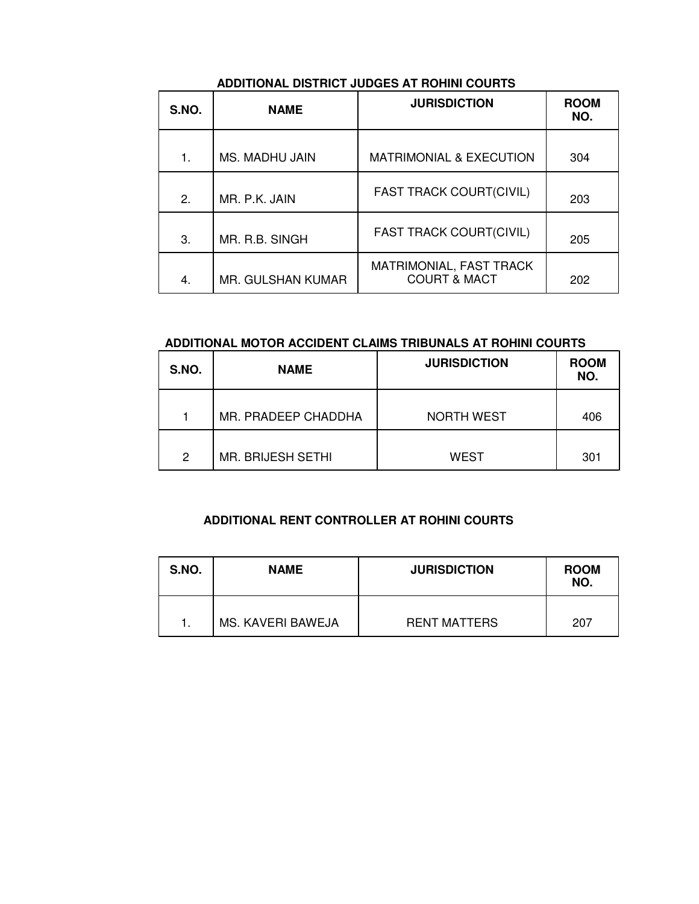### **ADDITIONAL DISTRICT JUDGES AT ROHINI COURTS**

| S.NO. | <b>NAME</b>       | <b>JURISDICTION</b>                                | <b>ROOM</b><br>NO. |
|-------|-------------------|----------------------------------------------------|--------------------|
| 1.    | MS. MADHU JAIN    | <b>MATRIMONIAL &amp; EXECUTION</b>                 | 304                |
| 2.    | MR. P.K. JAIN     | <b>FAST TRACK COURT(CIVIL)</b>                     | 203                |
| 3.    | MR. R.B. SINGH    | <b>FAST TRACK COURT(CIVIL)</b>                     | 205                |
| 4.    | MR. GULSHAN KUMAR | MATRIMONIAL, FAST TRACK<br><b>COURT &amp; MACT</b> | 202                |

#### **ADDITIONAL MOTOR ACCIDENT CLAIMS TRIBUNALS AT ROHINI COURTS**

| S.NO. | <b>NAME</b>              | <b>JURISDICTION</b> | <b>ROOM</b><br>NO. |
|-------|--------------------------|---------------------|--------------------|
|       | MR. PRADEEP CHADDHA      | <b>NORTH WEST</b>   | 406                |
| 2     | <b>MR. BRIJESH SETHI</b> | <b>WEST</b>         | 301                |

#### **ADDITIONAL RENT CONTROLLER AT ROHINI COURTS**

| S.NO. | <b>NAME</b>       | <b>JURISDICTION</b> | <b>ROOM</b><br>NO. |  |
|-------|-------------------|---------------------|--------------------|--|
|       | MS. KAVERI BAWEJA | <b>RENT MATTERS</b> | 207                |  |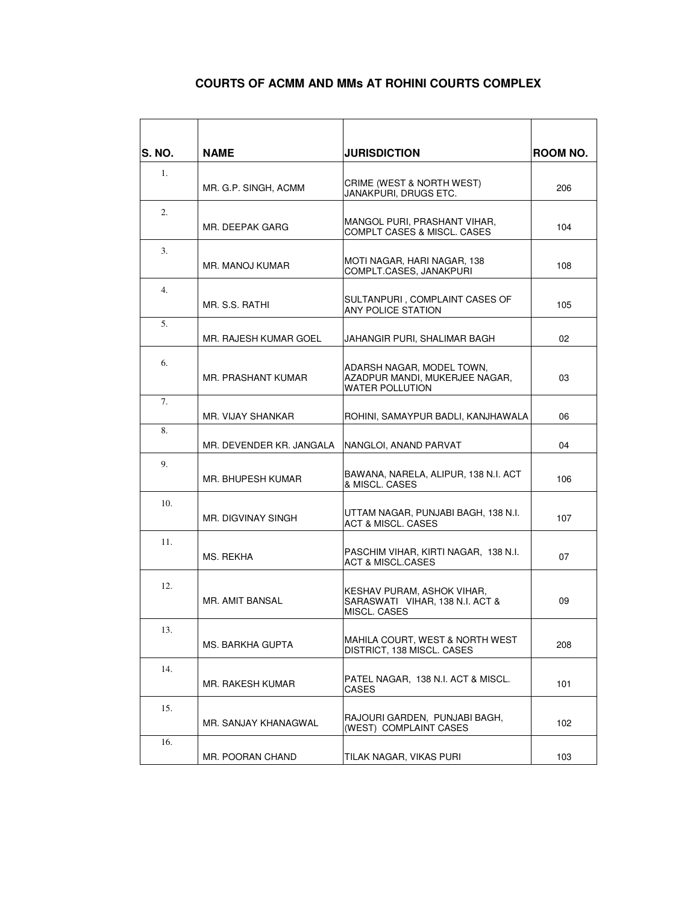#### **COURTS OF ACMM AND MMs AT ROHINI COURTS COMPLEX**

| <b>S. NO.</b> | <b>NAME</b>               | <b>JURISDICTION</b>                                                                   | ROOM NO. |
|---------------|---------------------------|---------------------------------------------------------------------------------------|----------|
| 1.            | MR. G.P. SINGH, ACMM      | CRIME (WEST & NORTH WEST)<br>JANAKPURI, DRUGS ETC.                                    | 206      |
| 2.            | MR. DEEPAK GARG           | MANGOL PURI, PRASHANT VIHAR,<br>COMPLT CASES & MISCL. CASES                           | 104      |
| 3.            | MR. MANOJ KUMAR           | MOTI NAGAR, HARI NAGAR, 138<br>COMPLT.CASES. JANAKPURI                                | 108      |
| 4.            | MR. S.S. RATHI            | SULTANPURI, COMPLAINT CASES OF<br>ANY POLICE STATION                                  | 105      |
| 5.            | MR. RAJESH KUMAR GOEL     | JAHANGIR PURI, SHALIMAR BAGH                                                          | 02       |
| 6.            | MR. PRASHANT KUMAR        | ADARSH NAGAR, MODEL TOWN,<br>AZADPUR MANDI, MUKERJEE NAGAR,<br><b>WATER POLLUTION</b> | 03       |
| 7.            | MR. VIJAY SHANKAR         | ROHINI, SAMAYPUR BADLI, KANJHAWALA                                                    | 06       |
| 8.            | MR. DEVENDER KR. JANGALA  | NANGLOI, ANAND PARVAT                                                                 | 04       |
| 9.            | MR. BHUPESH KUMAR         | BAWANA, NARELA, ALIPUR, 138 N.I. ACT<br>& MISCL, CASES                                | 106      |
| 10.           | <b>MR. DIGVINAY SINGH</b> | UTTAM NAGAR, PUNJABI BAGH, 138 N.I.<br><b>ACT &amp; MISCL, CASES</b>                  | 107      |
| 11.           | MS. REKHA                 | PASCHIM VIHAR, KIRTI NAGAR, 138 N.I.<br><b>ACT &amp; MISCL.CASES</b>                  | 07       |
| 12.           | MR. AMIT BANSAL           | KESHAV PURAM, ASHOK VIHAR,<br>SARASWATI VIHAR, 138 N.I. ACT &<br>MISCL. CASES         | 09       |
| 13.           | MS. BARKHA GUPTA          | MAHILA COURT, WEST & NORTH WEST<br>DISTRICT, 138 MISCL. CASES                         | 208      |
| 14.           | MR. RAKESH KUMAR          | PATEL NAGAR, 138 N.I. ACT & MISCL.<br><b>CASES</b>                                    | 101      |
| 15.           | MR. SANJAY KHANAGWAL      | RAJOURI GARDEN, PUNJABI BAGH,<br>(WEST) COMPLAINT CASES                               | 102      |
| 16.           | MR. POORAN CHAND          | TILAK NAGAR, VIKAS PURI                                                               | 103      |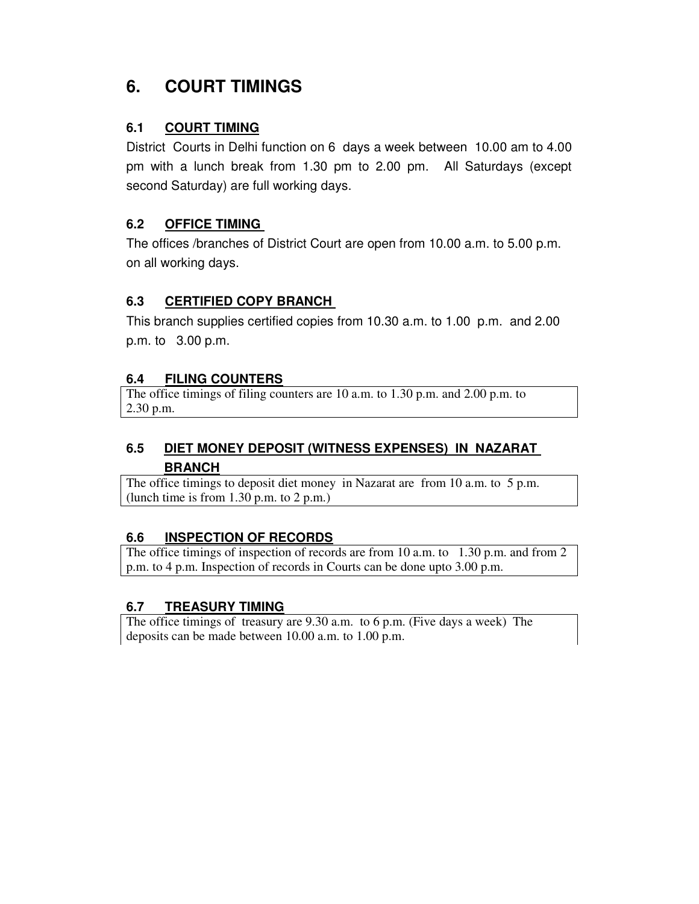# **6. COURT TIMINGS**

### **6.1 COURT TIMING**

District Courts in Delhi function on 6 days a week between 10.00 am to 4.00 pm with a lunch break from 1.30 pm to 2.00 pm. All Saturdays (except second Saturday) are full working days.

#### **6.2 OFFICE TIMING**

The offices /branches of District Court are open from 10.00 a.m. to 5.00 p.m. on all working days.

### **6.3 CERTIFIED COPY BRANCH**

This branch supplies certified copies from 10.30 a.m. to 1.00 p.m. and 2.00 p.m. to 3.00 p.m.

#### **6.4 FILING COUNTERS**

The office timings of filing counters are 10 a.m. to 1.30 p.m. and 2.00 p.m. to 2.30 p.m.

## **6.5 DIET MONEY DEPOSIT (WITNESS EXPENSES) IN NAZARAT BRANCH**

The office timings to deposit diet money in Nazarat are from 10 a.m. to 5 p.m. (lunch time is from 1.30 p.m. to 2 p.m.)

#### **6.6 INSPECTION OF RECORDS**

The office timings of inspection of records are from 10 a.m. to 1.30 p.m. and from 2 p.m. to 4 p.m. Inspection of records in Courts can be done upto 3.00 p.m.

#### **6.7 TREASURY TIMING**

The office timings of treasury are 9.30 a.m. to 6 p.m. (Five days a week) The deposits can be made between 10.00 a.m. to 1.00 p.m.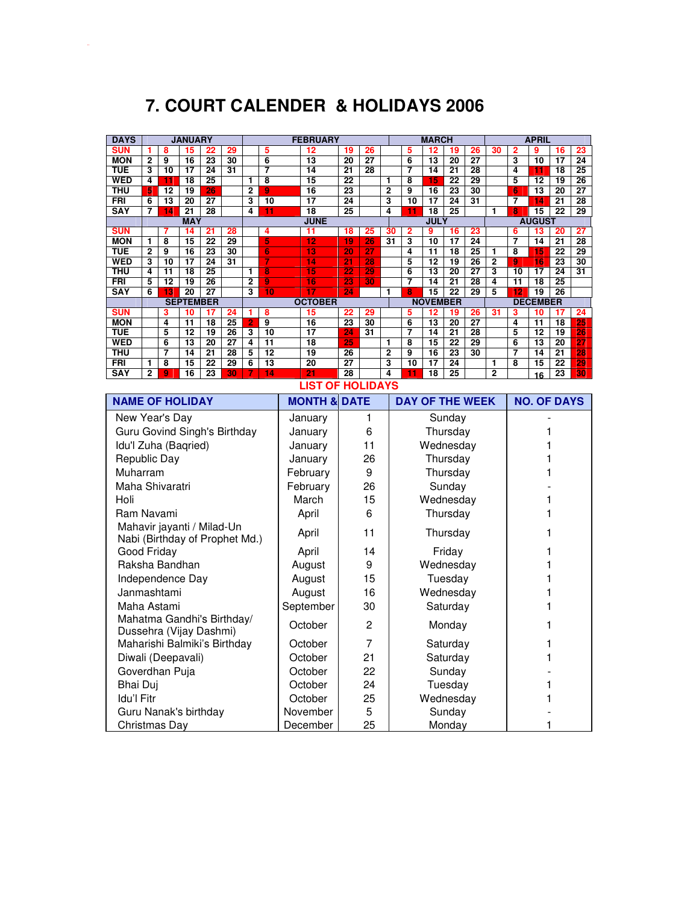# **7. COURT CALENDER & HOLIDAYS 2006**

| <b>DAYS</b>                                                  |                        |                     | <b>JANUARY</b>         |                         |          |                |                              | <b>FEBRUARY</b>        |                 |                       |                | <b>MARCH</b>            |                       |                       |                 |                     | <b>APRIL</b>   |                       |                       |                 |
|--------------------------------------------------------------|------------------------|---------------------|------------------------|-------------------------|----------|----------------|------------------------------|------------------------|-----------------|-----------------------|----------------|-------------------------|-----------------------|-----------------------|-----------------|---------------------|----------------|-----------------------|-----------------------|-----------------|
| <b>SUN</b>                                                   | 1                      | 8                   | 15                     | 22                      | 29       |                | 5                            | 12                     | 19              | 26                    |                | 5                       | 12                    | 19                    | 26              | 30                  | $\overline{2}$ | 9                     | 16                    | 23              |
| <b>MON</b><br>TUE                                            | 2<br>3                 | 9<br>10             | 16<br>17               | 23<br>$\overline{24}$   | 30<br>31 |                | 6<br>7                       | 13<br>14               | 20<br>21        | 27<br>$\overline{28}$ |                | $\overline{6}$<br>7     | 13<br>14              | 20<br>21              | 27<br>28        |                     | 3<br>4         | 10<br>11              | 17<br>$\overline{18}$ | 24<br>25        |
| <b>WED</b>                                                   | 4                      | 11                  | 18                     | 25                      |          | 1              | 8                            | $\overline{15}$        | $\overline{22}$ |                       | 1              | 8                       | 15                    | $\overline{22}$       | 29              |                     | 5              | $\overline{12}$       | 19                    | $\overline{26}$ |
| THU                                                          | 5                      | $\overline{12}$     | 19                     | 26                      |          | $\overline{2}$ | $\overline{9}$               | 16                     | 23              |                       | $\overline{2}$ | g                       | $\overline{16}$       | 23                    | 30              |                     | $\overline{6}$ | $\overline{13}$       | $\overline{20}$       | 27              |
| <b>FRI</b>                                                   | $\overline{6}$         | 13                  | $\overline{20}$        | 27                      |          | 3              | $\overline{10}$              | $\overline{17}$        | $\overline{24}$ |                       | 3              | $\overline{10}$         | $\overline{17}$       | 24                    | $\overline{31}$ |                     | 7              | 14                    | $\overline{21}$       | 28              |
| <b>SAY</b>                                                   | 7                      | 14                  | $\overline{21}$        | $\overline{28}$         |          | 4              | 11                           | $\overline{18}$        | $\overline{25}$ |                       | 4              |                         | $\overline{18}$       | $\overline{25}$       |                 | 1                   | 8              | $\overline{15}$       | $\overline{22}$       | $\overline{29}$ |
|                                                              |                        |                     | <b>MAY</b>             |                         |          |                |                              | <b>JUNE</b>            |                 |                       |                |                         | <b>JULY</b>           |                       |                 |                     |                | <b>AUGUST</b>         |                       |                 |
| <b>SUN</b><br><b>MON</b>                                     | 1                      | 7<br>8              | 14<br>15               | 21<br>$\overline{22}$   | 28<br>29 |                | $\overline{\mathbf{4}}$<br>5 | 11<br>12               | 18<br>19        | 25<br>26              | 30<br>31       | $\overline{2}$<br>3     | 9<br>10               | 16<br>$\overline{17}$ | 23<br>24        |                     | 6<br>7         | 13<br>$\overline{14}$ | 20<br>21              | 27<br>28        |
| TUE                                                          | $\overline{2}$         | 9                   | 16                     | 23                      | 30       |                | $\overline{6}$               | 13                     | $\overline{20}$ | $\overline{27}$       |                | 4                       | $\overline{11}$       | $\overline{18}$       | $\overline{25}$ | 1                   | 8              | 15                    | $\overline{22}$       | 29              |
| <b>WED</b>                                                   | 3                      | 10                  | 17                     | 24                      | 31       |                |                              | 14                     | $\overline{21}$ | 28                    |                | 5                       | 12                    | 19                    | 26              | $\overline{2}$      | $\overline{9}$ | $\overline{16}$       | 23                    | 30              |
| <b>THU</b>                                                   | 4                      | 11                  | 18                     | 25                      |          | 1              | $\overline{\mathbf{8}}$      | 15                     | 22              | $\overline{29}$       |                | 6                       | 13                    | 20                    | 27              | 3                   | 10             | 17                    | 24                    | 31              |
| FRI                                                          | 5                      | $\overline{12}$     | 19                     | 26                      |          | $\overline{2}$ | 9                            | 16                     | 23              | $\frac{1}{30}$        |                | 7                       | 14                    | 21                    | 28              | 4                   | 11             | 18                    | 25                    |                 |
| <b>SAY</b>                                                   | 6                      | 13                  | 20<br><b>SEPTEMBER</b> | 27                      |          | 3              | $\overline{10}$              | 17<br><b>OCTOBER</b>   | 24              |                       | 1              | 8                       | 15<br><b>NOVEMBER</b> | 22                    | 29              | 5                   | 12             | 19<br><b>DECEMBER</b> | 26                    |                 |
| <b>SUN</b>                                                   |                        | 3                   | 10                     | 17                      | 24       | 1              | 8                            | 15                     | 22              | 29                    |                | 5                       | 12                    | 19                    | 26              | 31                  | 3              | 10                    | 17                    | 24              |
| <b>MON</b>                                                   |                        | 4                   | $\overline{11}$        | 18                      | 25       | $\overline{2}$ | 9                            | 16                     | 23              | 30                    |                | $\overline{\mathbf{6}}$ | $\overline{13}$       | 20                    | 27              |                     | 4              | $\overline{11}$       | 18                    | 25              |
| TUE                                                          |                        | 5                   | 12                     | 19                      | 26       | 3              | 10                           | $\overline{17}$        | 24              | 31                    |                | 7                       | 14                    | 21                    | 28              |                     | 5              | 12                    | 19                    | 26              |
| <b>WED</b>                                                   |                        | 6                   | 13                     | 20                      | 27       | 4              | 11                           | 18                     | 25              |                       | 1              | 8                       | 15                    | 22                    | 29              |                     | 6              | 13                    | 20                    | 27              |
| THU                                                          |                        | 7                   | 14                     | $\overline{21}$         | 28       | 5              | $\overline{12}$              | 19                     | $\overline{26}$ |                       | $\overline{2}$ | 9                       | 16                    | $\overline{23}$       | 30              |                     | 7              | 14                    | $\overline{21}$       | 28<br>29        |
| FRI<br><b>SAY</b>                                            | 1<br>$\overline{2}$    | 8<br>$\overline{9}$ | 15<br>16               | 22<br>23                | 29<br>30 | 6              | 13<br>14                     | 20<br>21               | 27<br>28        |                       | 3<br>4         | 10<br>11                | $\overline{17}$<br>18 | 24<br>25              |                 | 1<br>$\overline{2}$ | 8              | 15                    | 22<br>23              | 30              |
| 16<br><b>LIST OF HOLIDAYS</b>                                |                        |                     |                        |                         |          |                |                              |                        |                 |                       |                |                         |                       |                       |                 |                     |                |                       |                       |                 |
|                                                              |                        |                     |                        |                         |          |                |                              |                        |                 |                       |                |                         |                       |                       |                 |                     |                |                       |                       |                 |
|                                                              | <b>NAME OF HOLIDAY</b> |                     |                        | <b>MONTH &amp; DATE</b> |          |                |                              | <b>DAY OF THE WEEK</b> |                 |                       |                |                         | <b>NO. OF DAYS</b>    |                       |                 |                     |                |                       |                       |                 |
| New Year's Day                                               |                        |                     |                        |                         |          |                |                              | January                |                 | 1                     |                |                         |                       | Sunday                |                 |                     |                |                       |                       |                 |
| Guru Govind Singh's Birthday                                 |                        |                     |                        | January                 |          | 6              |                              |                        |                 | Thursday              |                |                         |                       |                       | 1               |                     |                |                       |                       |                 |
| Idu'l Zuha (Baqried)                                         |                        |                     |                        |                         |          |                |                              | January                |                 | 11                    |                | Wednesday               |                       |                       |                 |                     |                |                       | 1                     |                 |
| Republic Day                                                 |                        |                     |                        |                         |          |                |                              | January                |                 | 26                    |                |                         |                       | Thursday              |                 |                     |                |                       | 1                     |                 |
| Muharram                                                     |                        |                     |                        |                         |          |                |                              | February               |                 | 9                     |                |                         |                       | Thursday              |                 |                     |                |                       | 1                     |                 |
| Maha Shivaratri                                              |                        |                     |                        |                         |          |                |                              | February               |                 | 26                    |                | Sunday                  |                       |                       |                 |                     |                |                       |                       |                 |
| Holi                                                         |                        |                     |                        |                         |          |                |                              | March                  |                 | 15                    |                | Wednesday               |                       |                       |                 |                     | 1              |                       |                       |                 |
| Ram Navami                                                   |                        |                     |                        |                         |          |                |                              | April                  |                 | 6                     |                | Thursday                |                       |                       |                 |                     | 1              |                       |                       |                 |
|                                                              |                        |                     |                        |                         |          |                |                              |                        |                 |                       |                |                         |                       |                       |                 |                     |                |                       |                       |                 |
| Mahavir jayanti / Milad-Un<br>Nabi (Birthday of Prophet Md.) |                        |                     |                        |                         |          |                |                              | April                  |                 | 11                    |                | Thursday                |                       |                       | 1               |                     |                |                       |                       |                 |
| Good Friday                                                  |                        |                     |                        |                         |          |                |                              | April                  |                 | 14                    |                |                         |                       | Friday                |                 |                     |                |                       | 1                     |                 |
| Raksha Bandhan                                               |                        |                     |                        |                         |          |                |                              | August                 |                 | 9                     |                | Wednesday               |                       |                       |                 |                     |                | 1                     |                       |                 |
| Independence Day                                             |                        |                     |                        |                         |          |                |                              | August                 |                 | 15                    |                | Tuesday                 |                       |                       |                 | 1                   |                |                       |                       |                 |
| Janmashtami                                                  |                        |                     |                        |                         |          |                |                              | August                 |                 | 16                    |                |                         | Wednesday             |                       |                 |                     | 1              |                       |                       |                 |
| Maha Astami                                                  |                        |                     |                        |                         |          |                |                              | September              |                 | 30                    |                |                         |                       | Saturday              |                 |                     |                |                       | 1                     |                 |
|                                                              |                        |                     |                        |                         |          |                |                              |                        |                 |                       |                |                         |                       |                       |                 |                     |                |                       |                       |                 |
| Mahatma Gandhi's Birthday/<br>Dussehra (Vijay Dashmi)        |                        |                     |                        | October                 |          | 2              |                              |                        |                 | Monday                |                |                         |                       |                       | 1               |                     |                |                       |                       |                 |
| Maharishi Balmiki's Birthday                                 |                        |                     |                        | October                 |          | 7              |                              |                        |                 | Saturday              |                |                         |                       |                       | 1               |                     |                |                       |                       |                 |
| Diwali (Deepavali)                                           |                        |                     |                        |                         | October  |                | 21                           |                        |                 |                       | Saturday       |                         |                       |                       |                 | 1                   |                |                       |                       |                 |
|                                                              | Goverdhan Puja         |                     |                        |                         | October  |                | 22                           |                        |                 |                       | Sunday         |                         |                       |                       |                 |                     |                |                       |                       |                 |
| <b>Bhai Duj</b>                                              |                        |                     |                        | October                 |          | 24             |                              |                        |                 | Tuesday               |                |                         |                       |                       | 1               |                     |                |                       |                       |                 |
| Idu'l Fitr                                                   |                        |                     |                        |                         |          |                |                              | October                |                 | 25                    |                |                         | Wednesday             |                       |                 |                     |                |                       | 1                     |                 |
|                                                              |                        |                     |                        |                         |          |                |                              |                        |                 |                       |                |                         |                       |                       |                 |                     |                |                       |                       |                 |
| Guru Nanak's birthday                                        |                        |                     |                        |                         |          |                |                              | November               |                 | 5                     |                |                         |                       | Sunday                |                 |                     |                |                       |                       |                 |
| Christmas Day                                                |                        |                     |                        |                         |          |                |                              | December               |                 | 25                    |                |                         |                       | Monday                |                 |                     |                |                       | 1                     |                 |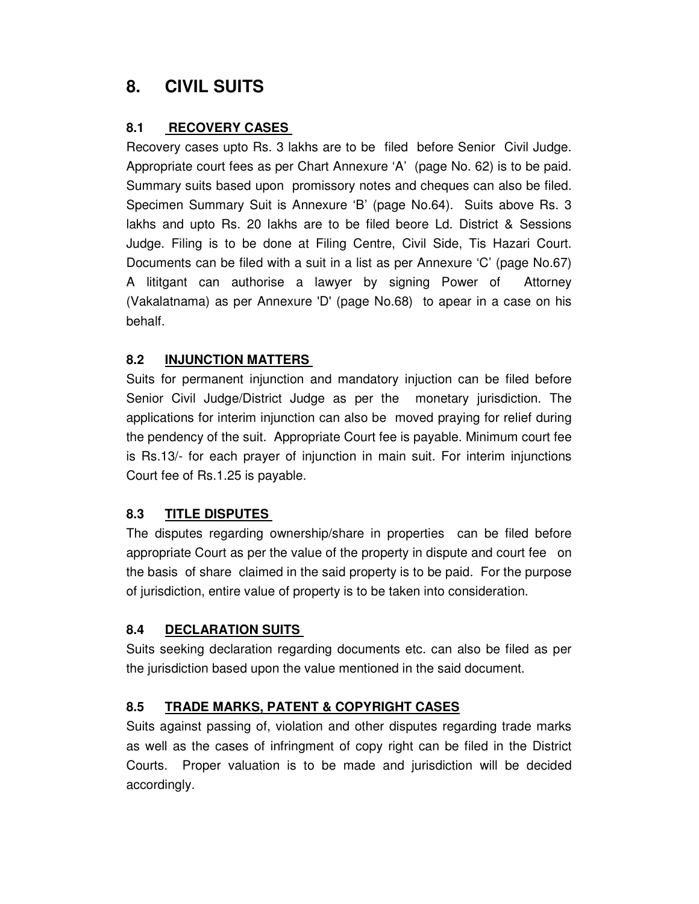## **8. CIVIL SUITS**

### **8.1 RECOVERY CASES**

Recovery cases upto Rs. 3 lakhs are to be filed before Senior Civil Judge. Appropriate court fees as per Chart Annexure 'A' (page No. 62) is to be paid. Summary suits based upon promissory notes and cheques can also be filed. Specimen Summary Suit is Annexure 'B' (page No.64). Suits above Rs. 3 lakhs and upto Rs. 20 lakhs are to be filed beore Ld. District & Sessions Judge. Filing is to be done at Filing Centre, Civil Side, Tis Hazari Court. Documents can be filed with a suit in a list as per Annexure 'C' (page No.67) A lititgant can authorise a lawyer by signing Power of Attorney (Vakalatnama) as per Annexure 'D' (page No.68) to apear in a case on his behalf.

### **8.2 INJUNCTION MATTERS**

Suits for permanent injunction and mandatory injuction can be filed before Senior Civil Judge/District Judge as per the monetary jurisdiction. The applications for interim injunction can also be moved praying for relief during the pendency of the suit. Appropriate Court fee is payable. Minimum court fee is Rs.13/- for each prayer of injunction in main suit. For interim injunctions Court fee of Rs.1.25 is payable.

## **8.3 TITLE DISPUTES**

The disputes regarding ownership/share in properties can be filed before appropriate Court as per the value of the property in dispute and court fee on the basis of share claimed in the said property is to be paid. For the purpose of jurisdiction, entire value of property is to be taken into consideration.

## **8.4 DECLARATION SUITS**

Suits seeking declaration regarding documents etc. can also be filed as per the jurisdiction based upon the value mentioned in the said document.

## **8.5 TRADE MARKS, PATENT & COPYRIGHT CASES**

Suits against passing of, violation and other disputes regarding trade marks as well as the cases of infringment of copy right can be filed in the District Courts. Proper valuation is to be made and jurisdiction will be decided accordingly.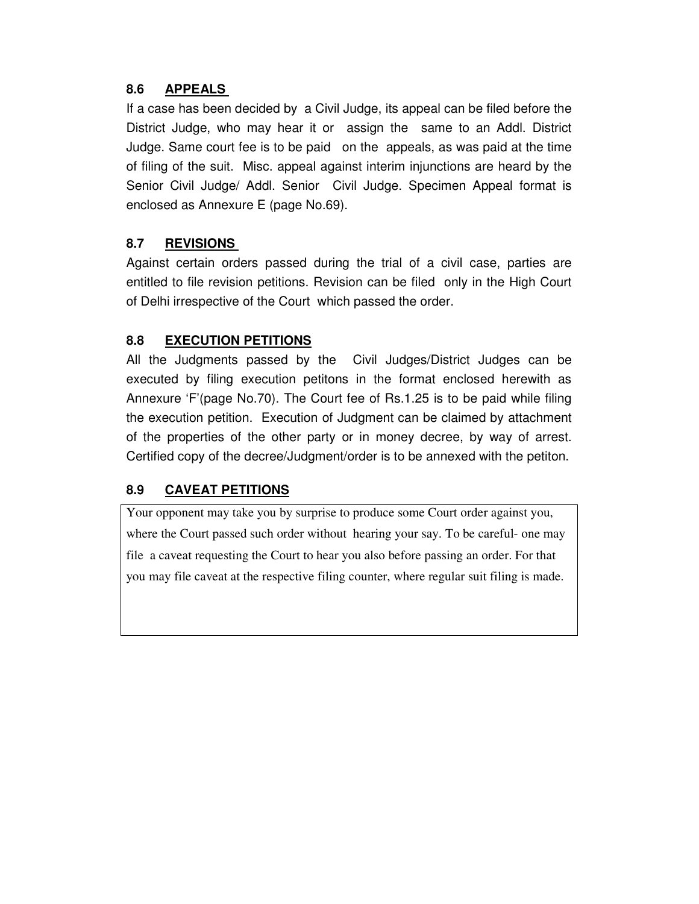### **8.6 APPEALS**

If a case has been decided by a Civil Judge, its appeal can be filed before the District Judge, who may hear it or assign the same to an Addl. District Judge. Same court fee is to be paid on the appeals, as was paid at the time of filing of the suit. Misc. appeal against interim injunctions are heard by the Senior Civil Judge/ Addl. Senior Civil Judge. Specimen Appeal format is enclosed as Annexure E (page No.69).

### **8.7 REVISIONS**

Against certain orders passed during the trial of a civil case, parties are entitled to file revision petitions. Revision can be filed only in the High Court of Delhi irrespective of the Court which passed the order.

### **8.8 EXECUTION PETITIONS**

All the Judgments passed by the Civil Judges/District Judges can be executed by filing execution petitons in the format enclosed herewith as Annexure 'F'(page No.70). The Court fee of Rs.1.25 is to be paid while filing the execution petition. Execution of Judgment can be claimed by attachment of the properties of the other party or in money decree, by way of arrest. Certified copy of the decree/Judgment/order is to be annexed with the petiton.

## **8.9 CAVEAT PETITIONS**

Your opponent may take you by surprise to produce some Court order against you, where the Court passed such order without hearing your say. To be careful- one may file a caveat requesting the Court to hear you also before passing an order. For that you may file caveat at the respective filing counter, where regular suit filing is made.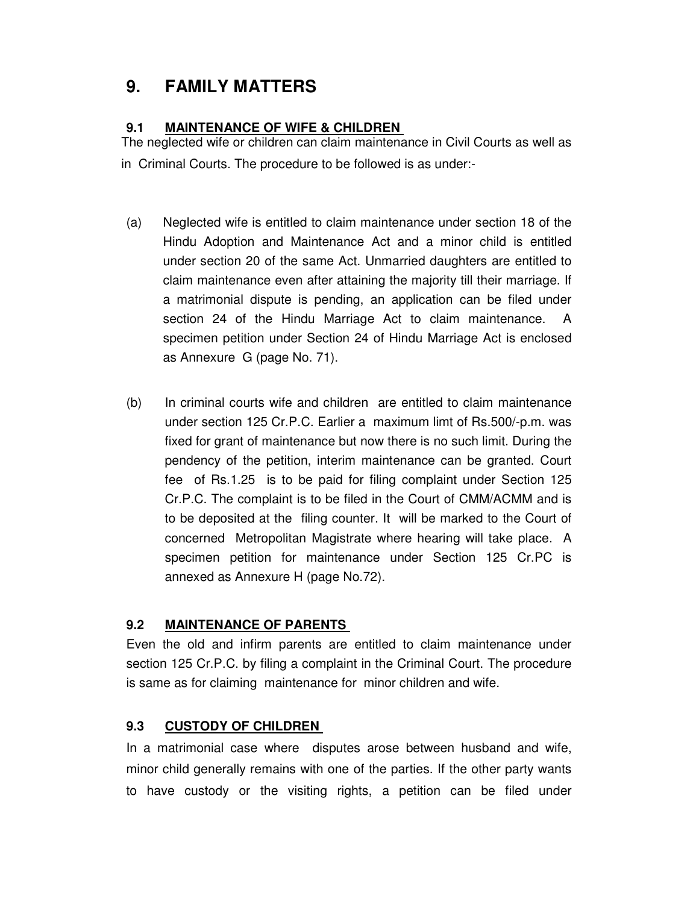## **9. FAMILY MATTERS**

#### **9.1 MAINTENANCE OF WIFE & CHILDREN**

The neglected wife or children can claim maintenance in Civil Courts as well as in Criminal Courts. The procedure to be followed is as under:-

- (a) Neglected wife is entitled to claim maintenance under section 18 of the Hindu Adoption and Maintenance Act and a minor child is entitled under section 20 of the same Act. Unmarried daughters are entitled to claim maintenance even after attaining the majority till their marriage. If a matrimonial dispute is pending, an application can be filed under section 24 of the Hindu Marriage Act to claim maintenance. A specimen petition under Section 24 of Hindu Marriage Act is enclosed as Annexure G (page No. 71).
- (b) In criminal courts wife and children are entitled to claim maintenance under section 125 Cr.P.C. Earlier a maximum limt of Rs.500/-p.m. was fixed for grant of maintenance but now there is no such limit. During the pendency of the petition, interim maintenance can be granted. Court fee of Rs.1.25 is to be paid for filing complaint under Section 125 Cr.P.C. The complaint is to be filed in the Court of CMM/ACMM and is to be deposited at the filing counter. It will be marked to the Court of concerned Metropolitan Magistrate where hearing will take place. A specimen petition for maintenance under Section 125 Cr.PC is annexed as Annexure H (page No.72).

#### **9.2 MAINTENANCE OF PARENTS**

Even the old and infirm parents are entitled to claim maintenance under section 125 Cr.P.C. by filing a complaint in the Criminal Court. The procedure is same as for claiming maintenance for minor children and wife.

#### **9.3 CUSTODY OF CHILDREN**

In a matrimonial case where disputes arose between husband and wife, minor child generally remains with one of the parties. If the other party wants to have custody or the visiting rights, a petition can be filed under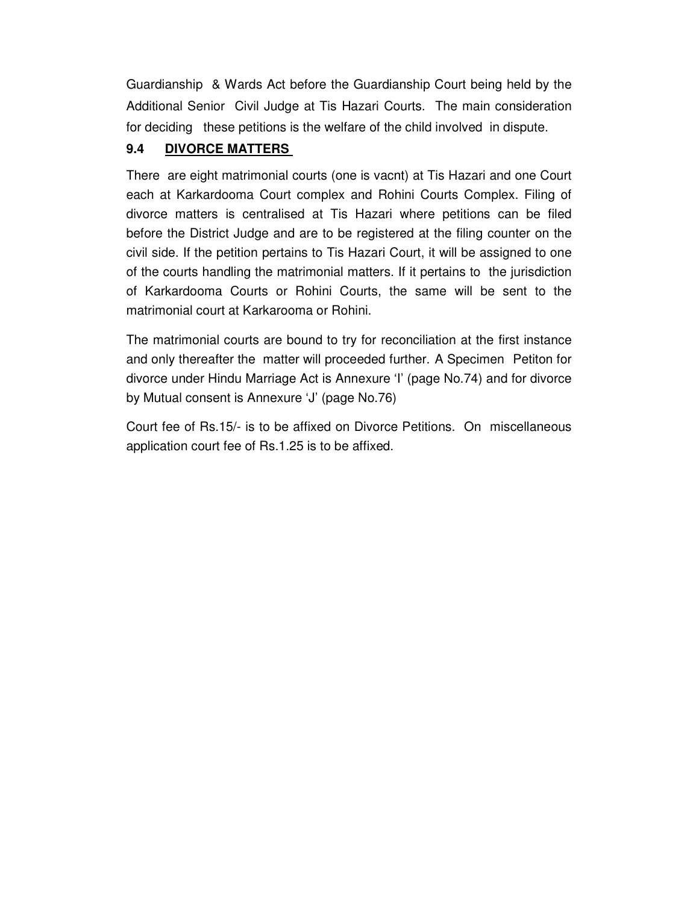Guardianship & Wards Act before the Guardianship Court being held by the Additional Senior Civil Judge at Tis Hazari Courts. The main consideration for deciding these petitions is the welfare of the child involved in dispute.

## **9.4 DIVORCE MATTERS**

There are eight matrimonial courts (one is vacnt) at Tis Hazari and one Court each at Karkardooma Court complex and Rohini Courts Complex. Filing of divorce matters is centralised at Tis Hazari where petitions can be filed before the District Judge and are to be registered at the filing counter on the civil side. If the petition pertains to Tis Hazari Court, it will be assigned to one of the courts handling the matrimonial matters. If it pertains to the jurisdiction of Karkardooma Courts or Rohini Courts, the same will be sent to the matrimonial court at Karkarooma or Rohini.

The matrimonial courts are bound to try for reconciliation at the first instance and only thereafter the matter will proceeded further. A Specimen Petiton for divorce under Hindu Marriage Act is Annexure 'I' (page No.74) and for divorce by Mutual consent is Annexure 'J' (page No.76)

Court fee of Rs.15/- is to be affixed on Divorce Petitions. On miscellaneous application court fee of Rs.1.25 is to be affixed.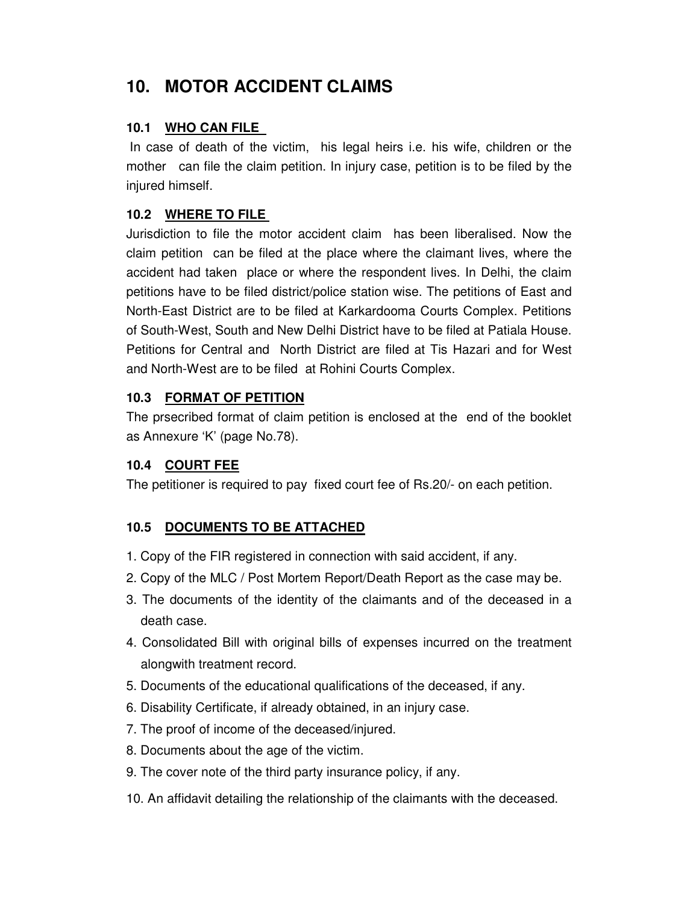# **10. MOTOR ACCIDENT CLAIMS**

#### **10.1 WHO CAN FILE**

 In case of death of the victim, his legal heirs i.e. his wife, children or the mother can file the claim petition. In injury case, petition is to be filed by the injured himself.

## **10.2 WHERE TO FILE**

Jurisdiction to file the motor accident claim has been liberalised. Now the claim petition can be filed at the place where the claimant lives, where the accident had taken place or where the respondent lives. In Delhi, the claim petitions have to be filed district/police station wise. The petitions of East and North-East District are to be filed at Karkardooma Courts Complex. Petitions of South-West, South and New Delhi District have to be filed at Patiala House. Petitions for Central and North District are filed at Tis Hazari and for West and North-West are to be filed at Rohini Courts Complex.

#### **10.3 FORMAT OF PETITION**

The prsecribed format of claim petition is enclosed at the end of the booklet as Annexure 'K' (page No.78).

#### **10.4 COURT FEE**

The petitioner is required to pay fixed court fee of Rs.20/- on each petition.

## **10.5 DOCUMENTS TO BE ATTACHED**

- 1. Copy of the FIR registered in connection with said accident, if any.
- 2. Copy of the MLC / Post Mortem Report/Death Report as the case may be.
- 3. The documents of the identity of the claimants and of the deceased in a death case.
- 4. Consolidated Bill with original bills of expenses incurred on the treatment alongwith treatment record.
- 5. Documents of the educational qualifications of the deceased, if any.
- 6. Disability Certificate, if already obtained, in an injury case.
- 7. The proof of income of the deceased/injured.
- 8. Documents about the age of the victim.
- 9. The cover note of the third party insurance policy, if any.
- 10. An affidavit detailing the relationship of the claimants with the deceased.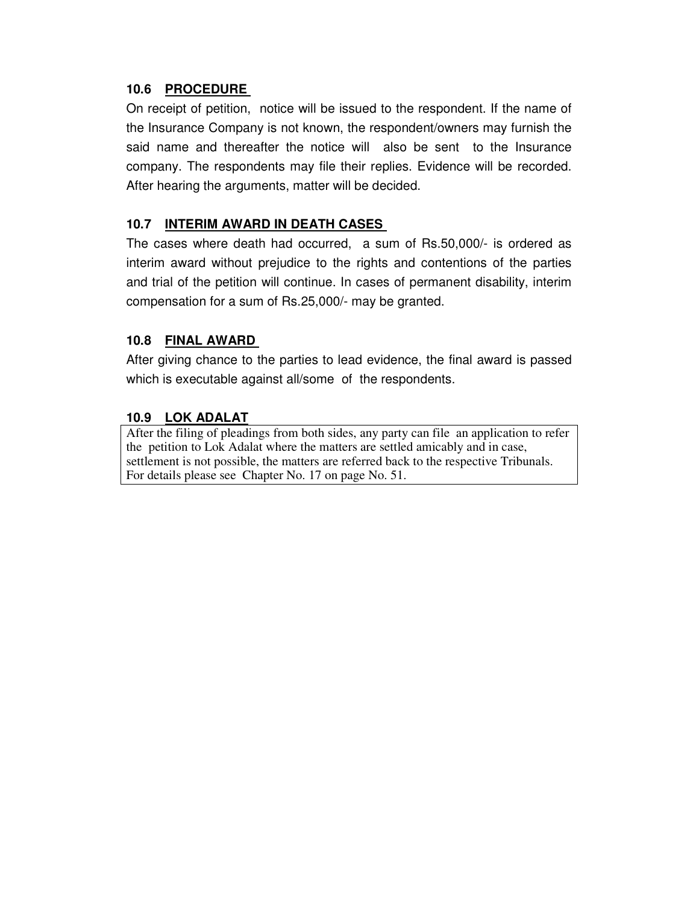#### **10.6 PROCEDURE**

On receipt of petition, notice will be issued to the respondent. If the name of the Insurance Company is not known, the respondent/owners may furnish the said name and thereafter the notice will also be sent to the Insurance company. The respondents may file their replies. Evidence will be recorded. After hearing the arguments, matter will be decided.

#### **10.7 INTERIM AWARD IN DEATH CASES**

The cases where death had occurred, a sum of Rs.50,000/- is ordered as interim award without prejudice to the rights and contentions of the parties and trial of the petition will continue. In cases of permanent disability, interim compensation for a sum of Rs.25,000/- may be granted.

#### **10.8 FINAL AWARD**

After giving chance to the parties to lead evidence, the final award is passed which is executable against all/some of the respondents.

#### **10.9 LOK ADALAT**

After the filing of pleadings from both sides, any party can file an application to refer the petition to Lok Adalat where the matters are settled amicably and in case, settlement is not possible, the matters are referred back to the respective Tribunals. For details please see Chapter No. 17 on page No. 51.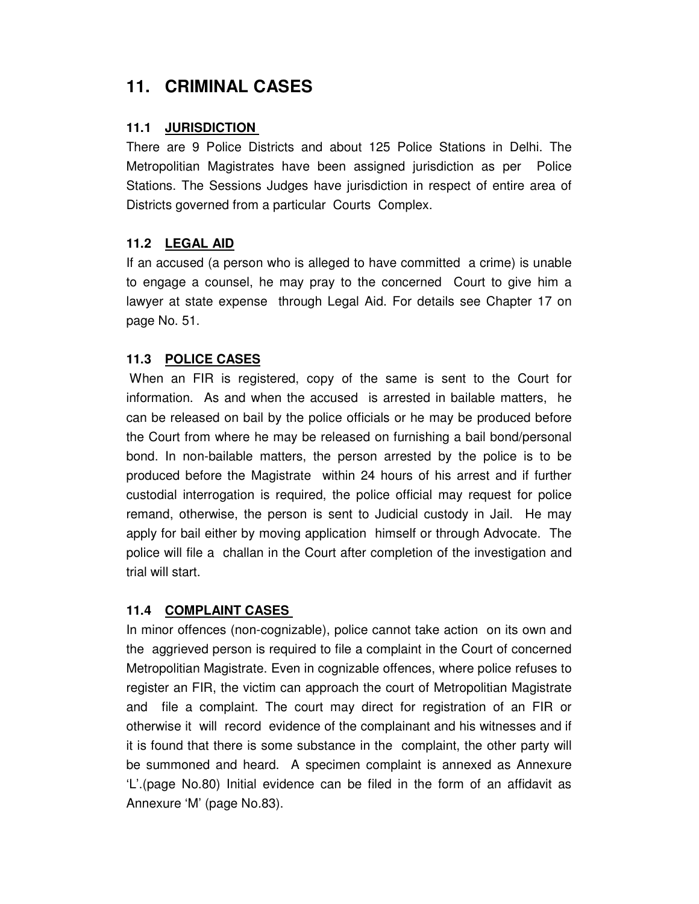## **11. CRIMINAL CASES**

#### **11.1 JURISDICTION**

There are 9 Police Districts and about 125 Police Stations in Delhi. The Metropolitian Magistrates have been assigned jurisdiction as per Police Stations. The Sessions Judges have jurisdiction in respect of entire area of Districts governed from a particular Courts Complex.

### **11.2 LEGAL AID**

If an accused (a person who is alleged to have committed a crime) is unable to engage a counsel, he may pray to the concerned Court to give him a lawyer at state expense through Legal Aid. For details see Chapter 17 on page No. 51.

## **11.3 POLICE CASES**

 When an FIR is registered, copy of the same is sent to the Court for information. As and when the accused is arrested in bailable matters, he can be released on bail by the police officials or he may be produced before the Court from where he may be released on furnishing a bail bond/personal bond. In non-bailable matters, the person arrested by the police is to be produced before the Magistrate within 24 hours of his arrest and if further custodial interrogation is required, the police official may request for police remand, otherwise, the person is sent to Judicial custody in Jail. He may apply for bail either by moving application himself or through Advocate. The police will file a challan in the Court after completion of the investigation and trial will start.

#### **11.4 COMPLAINT CASES**

In minor offences (non-cognizable), police cannot take action on its own and the aggrieved person is required to file a complaint in the Court of concerned Metropolitian Magistrate. Even in cognizable offences, where police refuses to register an FIR, the victim can approach the court of Metropolitian Magistrate and file a complaint. The court may direct for registration of an FIR or otherwise it will record evidence of the complainant and his witnesses and if it is found that there is some substance in the complaint, the other party will be summoned and heard. A specimen complaint is annexed as Annexure 'L'.(page No.80) Initial evidence can be filed in the form of an affidavit as Annexure 'M' (page No.83).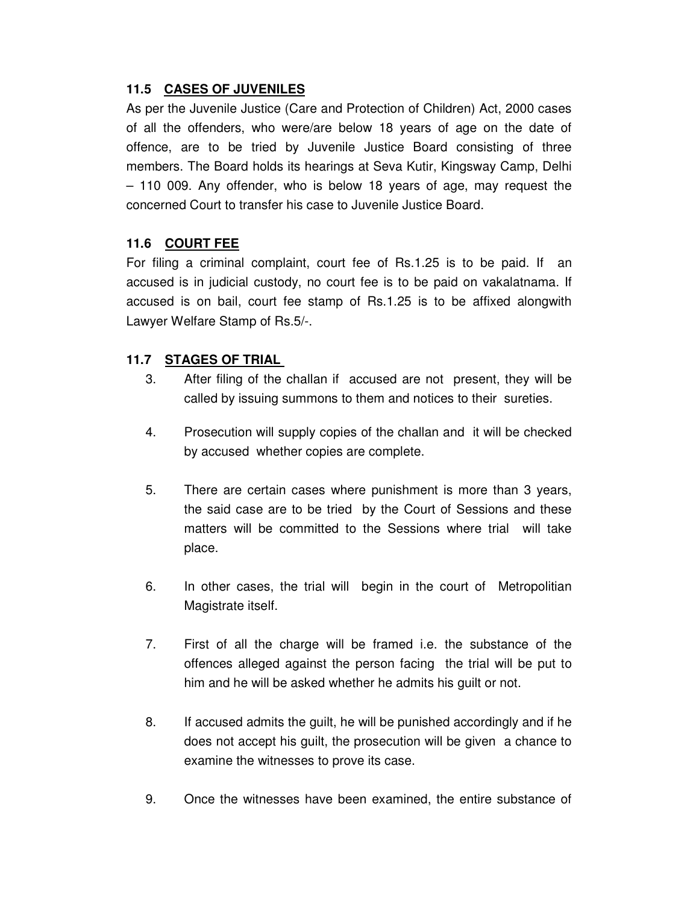#### **11.5 CASES OF JUVENILES**

As per the Juvenile Justice (Care and Protection of Children) Act, 2000 cases of all the offenders, who were/are below 18 years of age on the date of offence, are to be tried by Juvenile Justice Board consisting of three members. The Board holds its hearings at Seva Kutir, Kingsway Camp, Delhi – 110 009. Any offender, who is below 18 years of age, may request the concerned Court to transfer his case to Juvenile Justice Board.

#### **11.6 COURT FEE**

For filing a criminal complaint, court fee of Rs.1.25 is to be paid. If an accused is in judicial custody, no court fee is to be paid on vakalatnama. If accused is on bail, court fee stamp of Rs.1.25 is to be affixed alongwith Lawyer Welfare Stamp of Rs.5/-.

### **11.7 STAGES OF TRIAL**

- 3. After filing of the challan if accused are not present, they will be called by issuing summons to them and notices to their sureties.
- 4. Prosecution will supply copies of the challan and it will be checked by accused whether copies are complete.
- 5. There are certain cases where punishment is more than 3 years, the said case are to be tried by the Court of Sessions and these matters will be committed to the Sessions where trial will take place.
- 6. In other cases, the trial will begin in the court of Metropolitian Magistrate itself.
- 7. First of all the charge will be framed i.e. the substance of the offences alleged against the person facing the trial will be put to him and he will be asked whether he admits his guilt or not.
- 8. If accused admits the guilt, he will be punished accordingly and if he does not accept his guilt, the prosecution will be given a chance to examine the witnesses to prove its case.
- 9. Once the witnesses have been examined, the entire substance of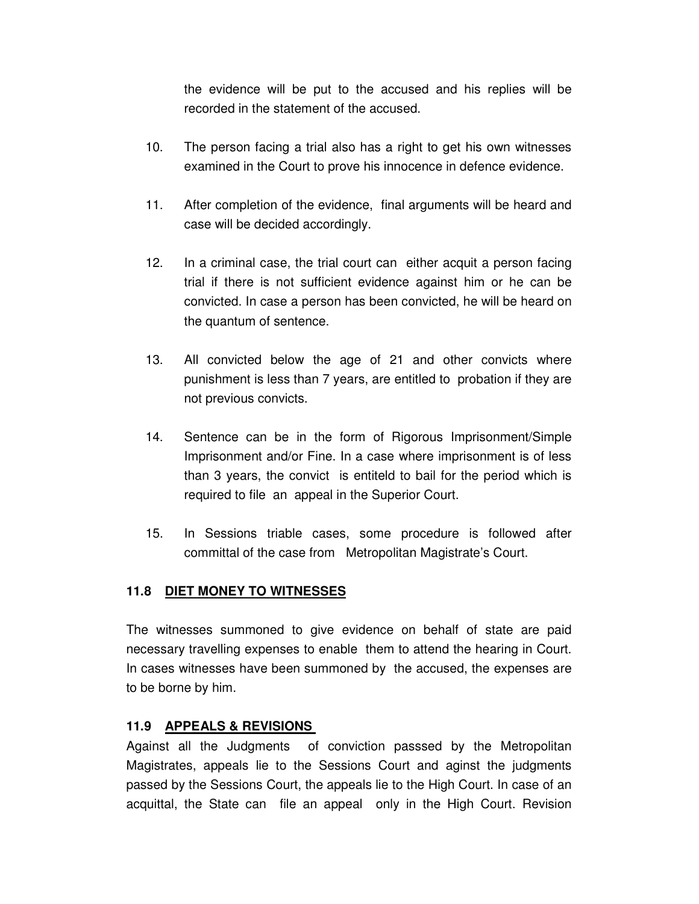the evidence will be put to the accused and his replies will be recorded in the statement of the accused.

- 10. The person facing a trial also has a right to get his own witnesses examined in the Court to prove his innocence in defence evidence.
- 11. After completion of the evidence, final arguments will be heard and case will be decided accordingly.
- 12. In a criminal case, the trial court can either acquit a person facing trial if there is not sufficient evidence against him or he can be convicted. In case a person has been convicted, he will be heard on the quantum of sentence.
- 13. All convicted below the age of 21 and other convicts where punishment is less than 7 years, are entitled to probation if they are not previous convicts.
- 14. Sentence can be in the form of Rigorous Imprisonment/Simple Imprisonment and/or Fine. In a case where imprisonment is of less than 3 years, the convict is entiteld to bail for the period which is required to file an appeal in the Superior Court.
- 15. In Sessions triable cases, some procedure is followed after committal of the case from Metropolitan Magistrate's Court.

#### **11.8 DIET MONEY TO WITNESSES**

The witnesses summoned to give evidence on behalf of state are paid necessary travelling expenses to enable them to attend the hearing in Court. In cases witnesses have been summoned by the accused, the expenses are to be borne by him.

#### **11.9 APPEALS & REVISIONS**

Against all the Judgments of conviction passsed by the Metropolitan Magistrates, appeals lie to the Sessions Court and aginst the judgments passed by the Sessions Court, the appeals lie to the High Court. In case of an acquittal, the State can file an appeal only in the High Court. Revision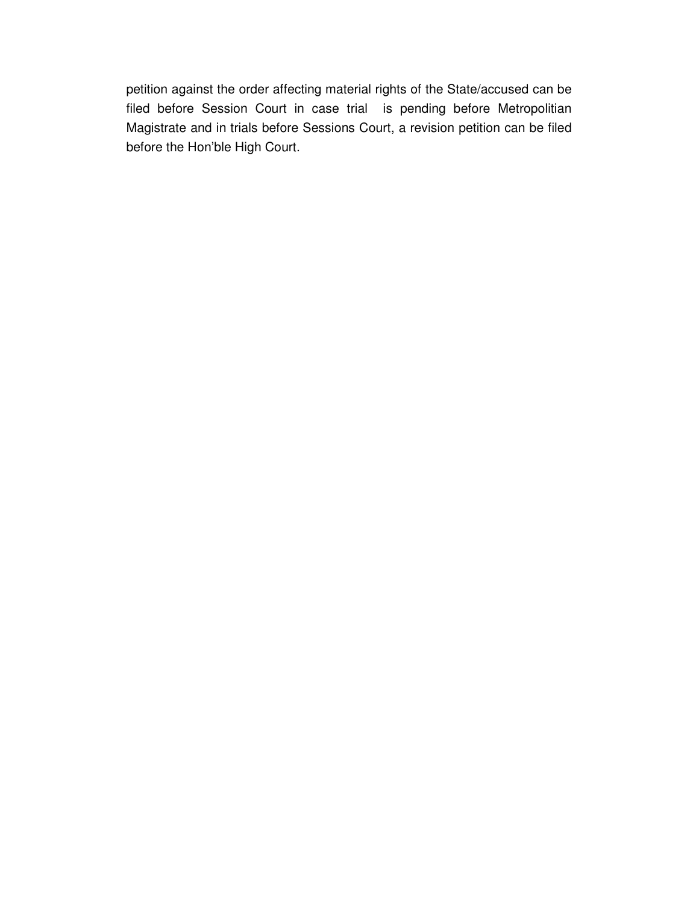petition against the order affecting material rights of the State/accused can be filed before Session Court in case trial is pending before Metropolitian Magistrate and in trials before Sessions Court, a revision petition can be filed before the Hon'ble High Court.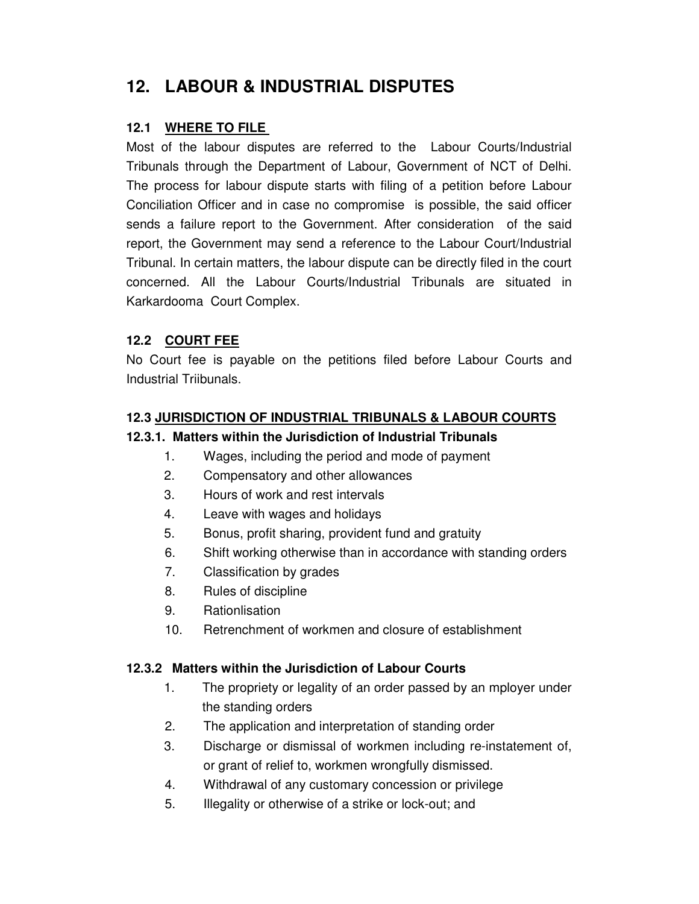# **12. LABOUR & INDUSTRIAL DISPUTES**

#### **12.1 WHERE TO FILE**

Most of the labour disputes are referred to the Labour Courts/Industrial Tribunals through the Department of Labour, Government of NCT of Delhi. The process for labour dispute starts with filing of a petition before Labour Conciliation Officer and in case no compromise is possible, the said officer sends a failure report to the Government. After consideration of the said report, the Government may send a reference to the Labour Court/Industrial Tribunal. In certain matters, the labour dispute can be directly filed in the court concerned. All the Labour Courts/Industrial Tribunals are situated in Karkardooma Court Complex.

## **12.2 COURT FEE**

No Court fee is payable on the petitions filed before Labour Courts and Industrial Triibunals.

#### **12.3 JURISDICTION OF INDUSTRIAL TRIBUNALS & LABOUR COURTS**

#### **12.3.1. Matters within the Jurisdiction of Industrial Tribunals**

- 1. Wages, including the period and mode of payment
- 2. Compensatory and other allowances
- 3. Hours of work and rest intervals
- 4. Leave with wages and holidays
- 5. Bonus, profit sharing, provident fund and gratuity
- 6. Shift working otherwise than in accordance with standing orders
- 7. Classification by grades
- 8. Rules of discipline
- 9. Rationlisation
- 10. Retrenchment of workmen and closure of establishment

#### **12.3.2 Matters within the Jurisdiction of Labour Courts**

- 1. The propriety or legality of an order passed by an mployer under the standing orders
- 2. The application and interpretation of standing order
- 3. Discharge or dismissal of workmen including re-instatement of, or grant of relief to, workmen wrongfully dismissed.
- 4. Withdrawal of any customary concession or privilege
- 5. Illegality or otherwise of a strike or lock-out; and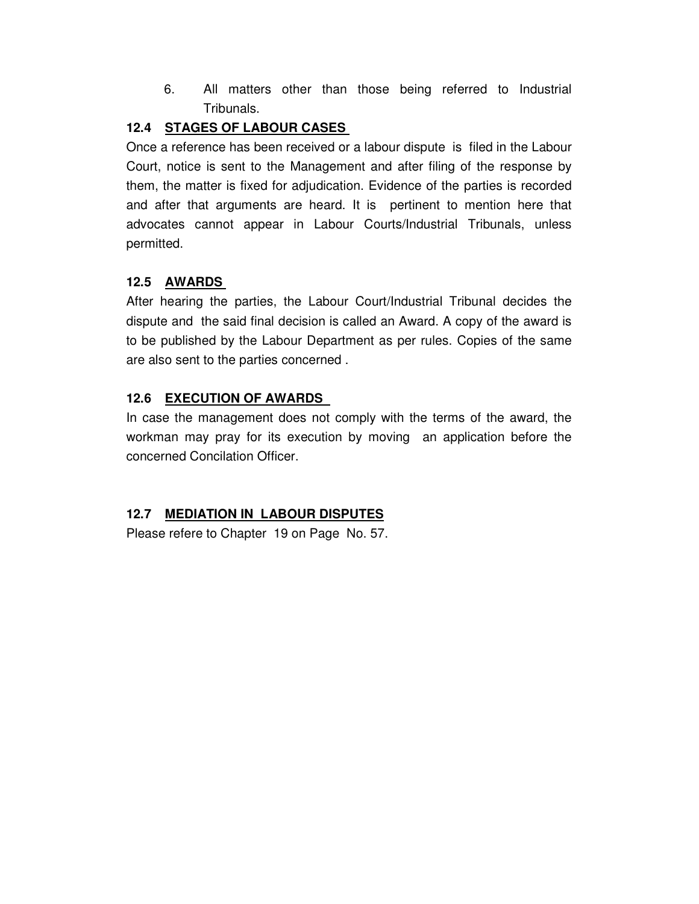6. All matters other than those being referred to Industrial Tribunals.

## **12.4 STAGES OF LABOUR CASES**

Once a reference has been received or a labour dispute is filed in the Labour Court, notice is sent to the Management and after filing of the response by them, the matter is fixed for adjudication. Evidence of the parties is recorded and after that arguments are heard. It is pertinent to mention here that advocates cannot appear in Labour Courts/Industrial Tribunals, unless permitted.

## **12.5 AWARDS**

After hearing the parties, the Labour Court/Industrial Tribunal decides the dispute and the said final decision is called an Award. A copy of the award is to be published by the Labour Department as per rules. Copies of the same are also sent to the parties concerned .

## **12.6 EXECUTION OF AWARDS**

In case the management does not comply with the terms of the award, the workman may pray for its execution by moving an application before the concerned Concilation Officer.

## **12.7 MEDIATION IN LABOUR DISPUTES**

Please refere to Chapter 19 on Page No. 57.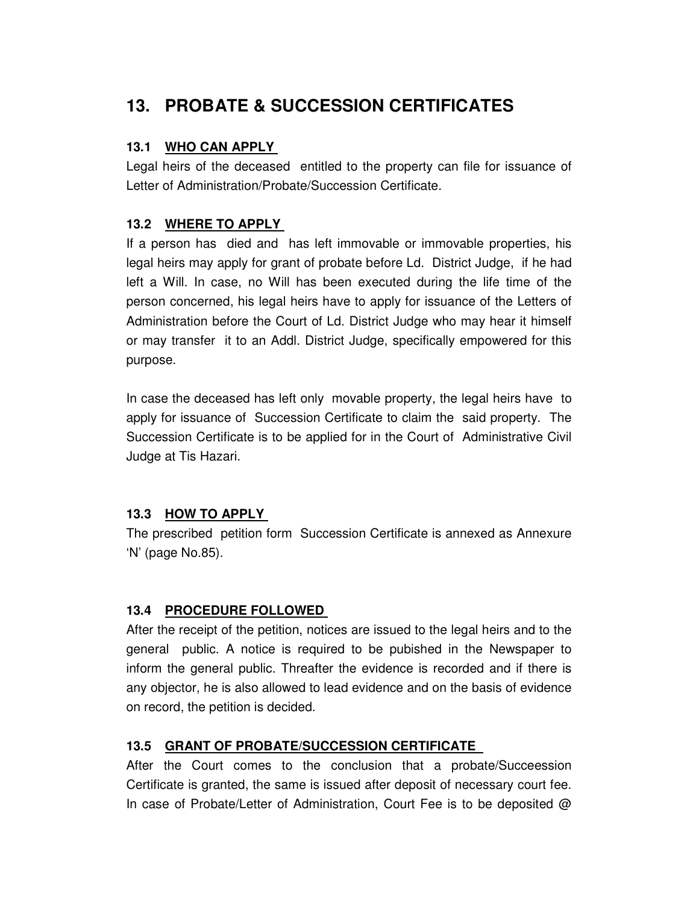# **13. PROBATE & SUCCESSION CERTIFICATES**

#### **13.1 WHO CAN APPLY**

Legal heirs of the deceased entitled to the property can file for issuance of Letter of Administration/Probate/Succession Certificate.

#### **13.2 WHERE TO APPLY**

If a person has died and has left immovable or immovable properties, his legal heirs may apply for grant of probate before Ld. District Judge, if he had left a Will. In case, no Will has been executed during the life time of the person concerned, his legal heirs have to apply for issuance of the Letters of Administration before the Court of Ld. District Judge who may hear it himself or may transfer it to an Addl. District Judge, specifically empowered for this purpose.

In case the deceased has left only movable property, the legal heirs have to apply for issuance of Succession Certificate to claim the said property. The Succession Certificate is to be applied for in the Court of Administrative Civil Judge at Tis Hazari.

## **13.3 HOW TO APPLY**

The prescribed petition form Succession Certificate is annexed as Annexure 'N' (page No.85).

#### **13.4 PROCEDURE FOLLOWED**

After the receipt of the petition, notices are issued to the legal heirs and to the general public. A notice is required to be pubished in the Newspaper to inform the general public. Threafter the evidence is recorded and if there is any objector, he is also allowed to lead evidence and on the basis of evidence on record, the petition is decided.

## **13.5 GRANT OF PROBATE/SUCCESSION CERTIFICATE**

After the Court comes to the conclusion that a probate/Succeession Certificate is granted, the same is issued after deposit of necessary court fee. In case of Probate/Letter of Administration, Court Fee is to be deposited @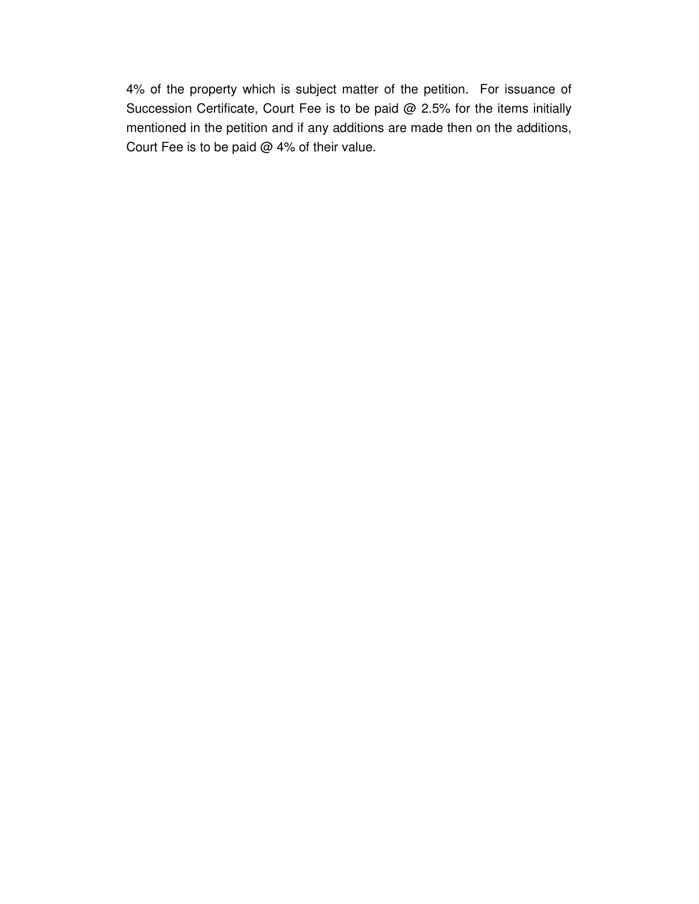4% of the property which is subject matter of the petition. For issuance of Succession Certificate, Court Fee is to be paid @ 2.5% for the items initially mentioned in the petition and if any additions are made then on the additions, Court Fee is to be paid @ 4% of their value.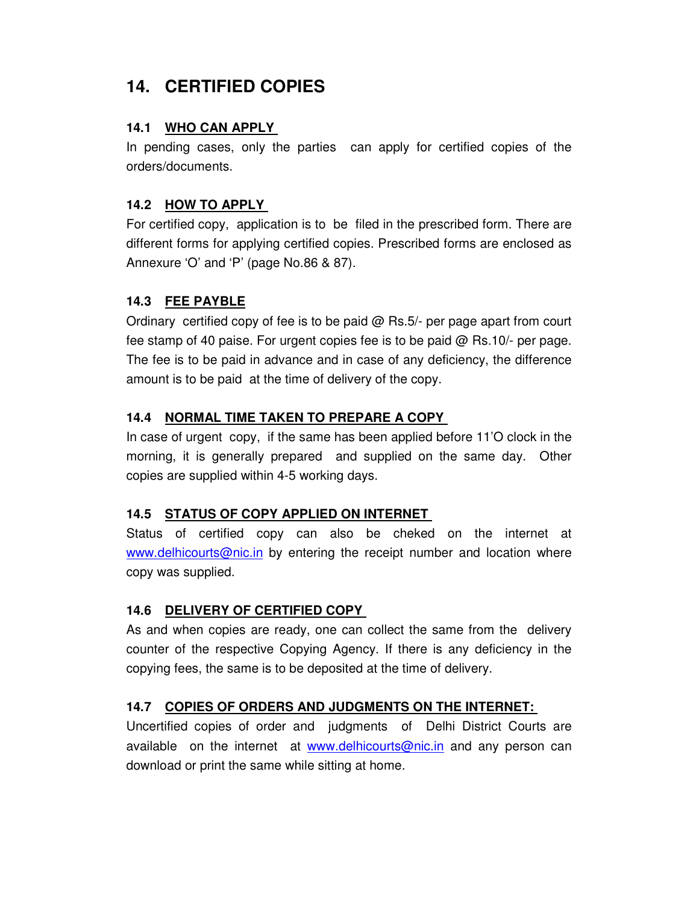# **14. CERTIFIED COPIES**

#### **14.1 WHO CAN APPLY**

In pending cases, only the parties can apply for certified copies of the orders/documents.

### **14.2 HOW TO APPLY**

For certified copy, application is to be filed in the prescribed form. There are different forms for applying certified copies. Prescribed forms are enclosed as Annexure 'O' and 'P' (page No.86 & 87).

## **14.3 FEE PAYBLE**

Ordinary certified copy of fee is to be paid @ Rs.5/- per page apart from court fee stamp of 40 paise. For urgent copies fee is to be paid @ Rs.10/- per page. The fee is to be paid in advance and in case of any deficiency, the difference amount is to be paid at the time of delivery of the copy.

### **14.4 NORMAL TIME TAKEN TO PREPARE A COPY**

In case of urgent copy, if the same has been applied before 11'O clock in the morning, it is generally prepared and supplied on the same day. Other copies are supplied within 4-5 working days.

## **14.5 STATUS OF COPY APPLIED ON INTERNET**

Status of certified copy can also be cheked on the internet at www.delhicourts@nic.in by entering the receipt number and location where copy was supplied.

#### **14.6 DELIVERY OF CERTIFIED COPY**

As and when copies are ready, one can collect the same from the delivery counter of the respective Copying Agency. If there is any deficiency in the copying fees, the same is to be deposited at the time of delivery.

#### **14.7 COPIES OF ORDERS AND JUDGMENTS ON THE INTERNET:**

Uncertified copies of order and judgments of Delhi District Courts are available on the internet at www.delhicourts@nic.in and any person can download or print the same while sitting at home.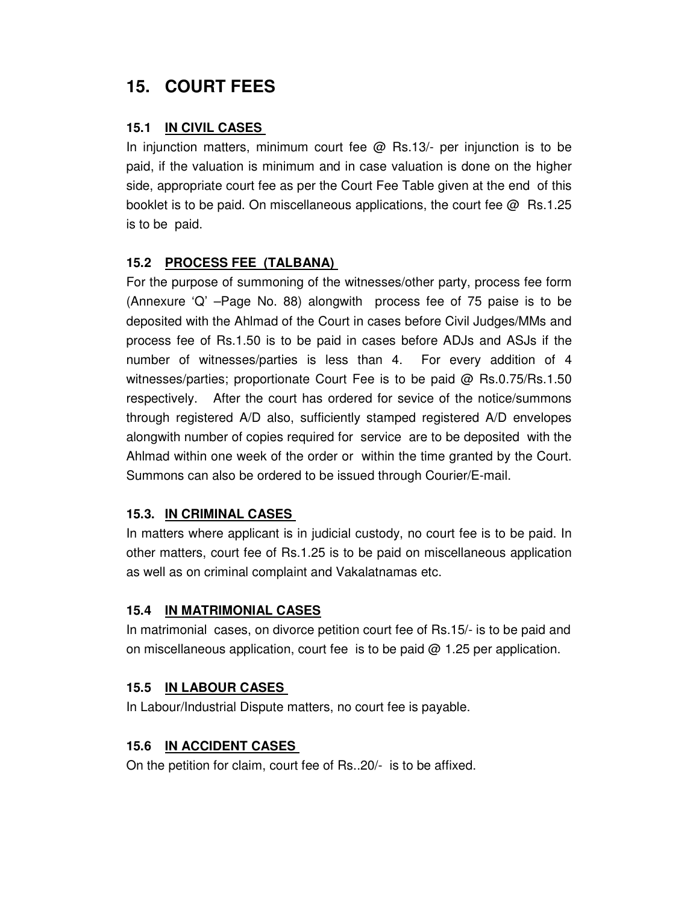# **15. COURT FEES**

#### **15.1 IN CIVIL CASES**

In injunction matters, minimum court fee  $\omega$  Rs.13/- per injunction is to be paid, if the valuation is minimum and in case valuation is done on the higher side, appropriate court fee as per the Court Fee Table given at the end of this booklet is to be paid. On miscellaneous applications, the court fee  $\omega$  Rs.1.25 is to be paid.

### **15.2 PROCESS FEE (TALBANA)**

For the purpose of summoning of the witnesses/other party, process fee form (Annexure 'Q' –Page No. 88) alongwith process fee of 75 paise is to be deposited with the Ahlmad of the Court in cases before Civil Judges/MMs and process fee of Rs.1.50 is to be paid in cases before ADJs and ASJs if the number of witnesses/parties is less than 4. For every addition of 4 witnesses/parties; proportionate Court Fee is to be paid @ Rs.0.75/Rs.1.50 respectively. After the court has ordered for sevice of the notice/summons through registered A/D also, sufficiently stamped registered A/D envelopes alongwith number of copies required for service are to be deposited with the Ahlmad within one week of the order or within the time granted by the Court. Summons can also be ordered to be issued through Courier/E-mail.

## **15.3. IN CRIMINAL CASES**

In matters where applicant is in judicial custody, no court fee is to be paid. In other matters, court fee of Rs.1.25 is to be paid on miscellaneous application as well as on criminal complaint and Vakalatnamas etc.

#### **15.4 IN MATRIMONIAL CASES**

In matrimonial cases, on divorce petition court fee of Rs.15/- is to be paid and on miscellaneous application, court fee is to be paid  $@$  1.25 per application.

#### **15.5 IN LABOUR CASES**

In Labour/Industrial Dispute matters, no court fee is payable.

#### **15.6 IN ACCIDENT CASES**

On the petition for claim, court fee of Rs..20/- is to be affixed.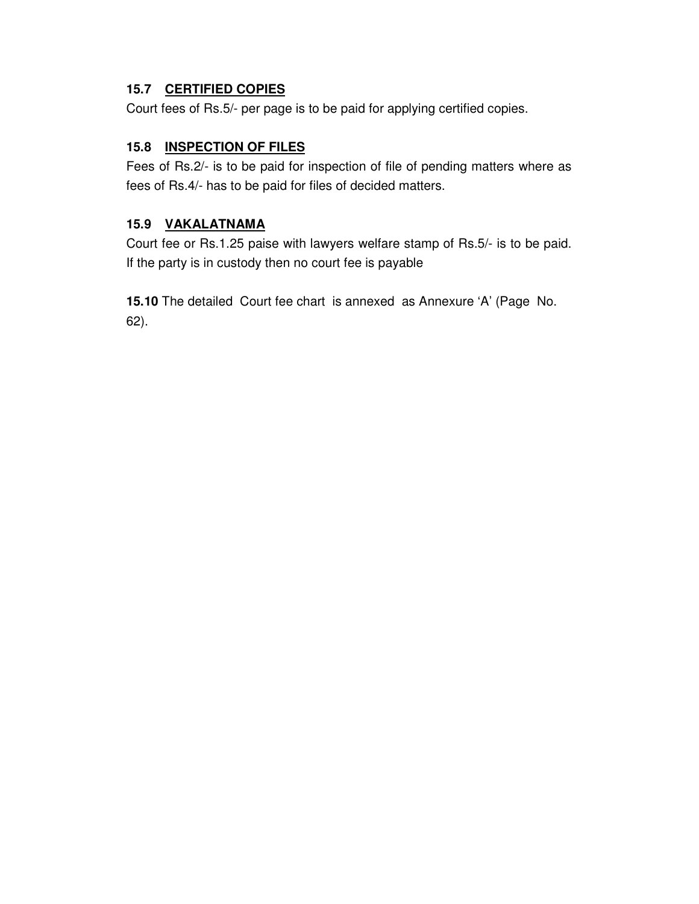### **15.7 CERTIFIED COPIES**

Court fees of Rs.5/- per page is to be paid for applying certified copies.

### **15.8 INSPECTION OF FILES**

Fees of Rs.2/- is to be paid for inspection of file of pending matters where as fees of Rs.4/- has to be paid for files of decided matters.

#### **15.9 VAKALATNAMA**

Court fee or Rs.1.25 paise with lawyers welfare stamp of Rs.5/- is to be paid. If the party is in custody then no court fee is payable

**15.10** The detailed Court fee chart is annexed as Annexure 'A' (Page No. 62).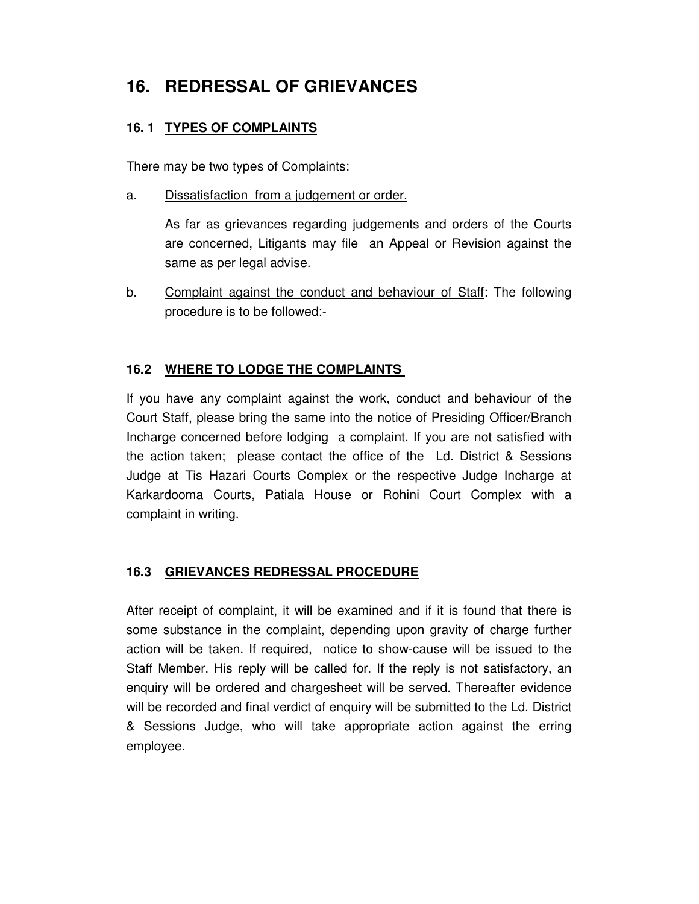# **16. REDRESSAL OF GRIEVANCES**

### **16. 1 TYPES OF COMPLAINTS**

There may be two types of Complaints:

#### a. Dissatisfaction from a judgement or order.

 As far as grievances regarding judgements and orders of the Courts are concerned, Litigants may file an Appeal or Revision against the same as per legal advise.

b. Complaint against the conduct and behaviour of Staff: The following procedure is to be followed:-

### **16.2 WHERE TO LODGE THE COMPLAINTS**

If you have any complaint against the work, conduct and behaviour of the Court Staff, please bring the same into the notice of Presiding Officer/Branch Incharge concerned before lodging a complaint. If you are not satisfied with the action taken; please contact the office of the Ld. District & Sessions Judge at Tis Hazari Courts Complex or the respective Judge Incharge at Karkardooma Courts, Patiala House or Rohini Court Complex with a complaint in writing.

#### **16.3 GRIEVANCES REDRESSAL PROCEDURE**

After receipt of complaint, it will be examined and if it is found that there is some substance in the complaint, depending upon gravity of charge further action will be taken. If required, notice to show-cause will be issued to the Staff Member. His reply will be called for. If the reply is not satisfactory, an enquiry will be ordered and chargesheet will be served. Thereafter evidence will be recorded and final verdict of enquiry will be submitted to the Ld. District & Sessions Judge, who will take appropriate action against the erring employee.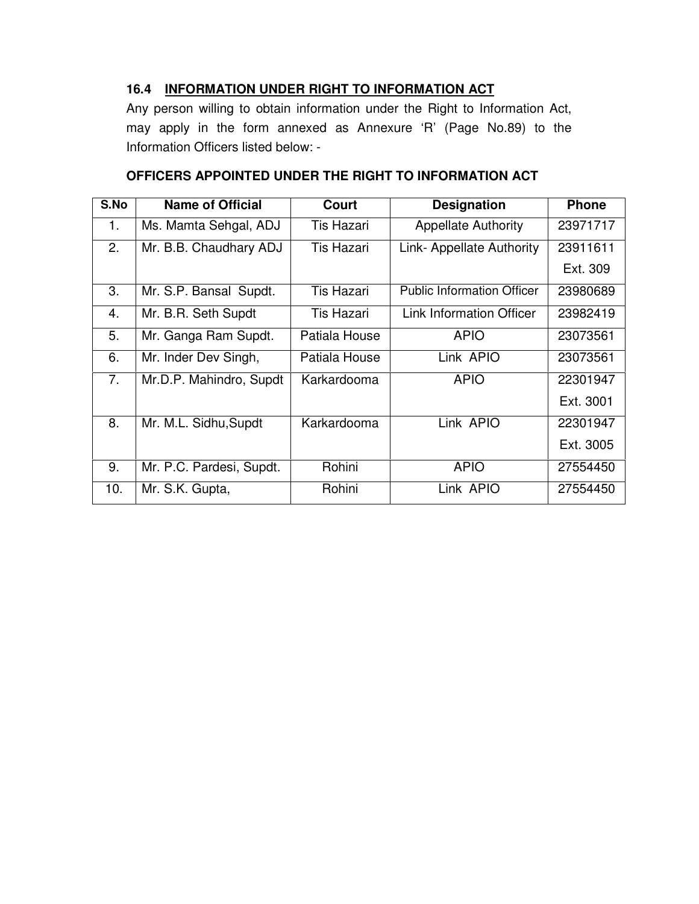### **16.4 INFORMATION UNDER RIGHT TO INFORMATION ACT**

Any person willing to obtain information under the Right to Information Act, may apply in the form annexed as Annexure 'R' (Page No.89) to the Information Officers listed below: -

| S.No           | <b>Name of Official</b>  | <b>Court</b>      | <b>Designation</b>                | <b>Phone</b> |
|----------------|--------------------------|-------------------|-----------------------------------|--------------|
| 1.             | Ms. Mamta Sehgal, ADJ    | Tis Hazari        | <b>Appellate Authority</b>        | 23971717     |
| 2.             | Mr. B.B. Chaudhary ADJ   | <b>Tis Hazari</b> | Link- Appellate Authority         | 23911611     |
|                |                          |                   |                                   | Ext. 309     |
| 3.             | Mr. S.P. Bansal Supdt.   | <b>Tis Hazari</b> | <b>Public Information Officer</b> | 23980689     |
| 4.             | Mr. B.R. Seth Supdt      | Tis Hazari        | <b>Link Information Officer</b>   | 23982419     |
| 5.             | Mr. Ganga Ram Supdt.     | Patiala House     | <b>APIO</b>                       | 23073561     |
| 6.             | Mr. Inder Dev Singh,     | Patiala House     | Link APIO                         | 23073561     |
| 7 <sub>1</sub> | Mr.D.P. Mahindro, Supdt  | Karkardooma       | <b>APIO</b>                       | 22301947     |
|                |                          |                   |                                   | Ext. 3001    |
| 8.             | Mr. M.L. Sidhu, Supdt    | Karkardooma       | Link APIO                         | 22301947     |
|                |                          |                   |                                   | Ext. 3005    |
| 9.             | Mr. P.C. Pardesi, Supdt. | Rohini            | <b>APIO</b>                       | 27554450     |
| 10.            | Mr. S.K. Gupta,          | Rohini            | Link APIO                         | 27554450     |

#### **OFFICERS APPOINTED UNDER THE RIGHT TO INFORMATION ACT**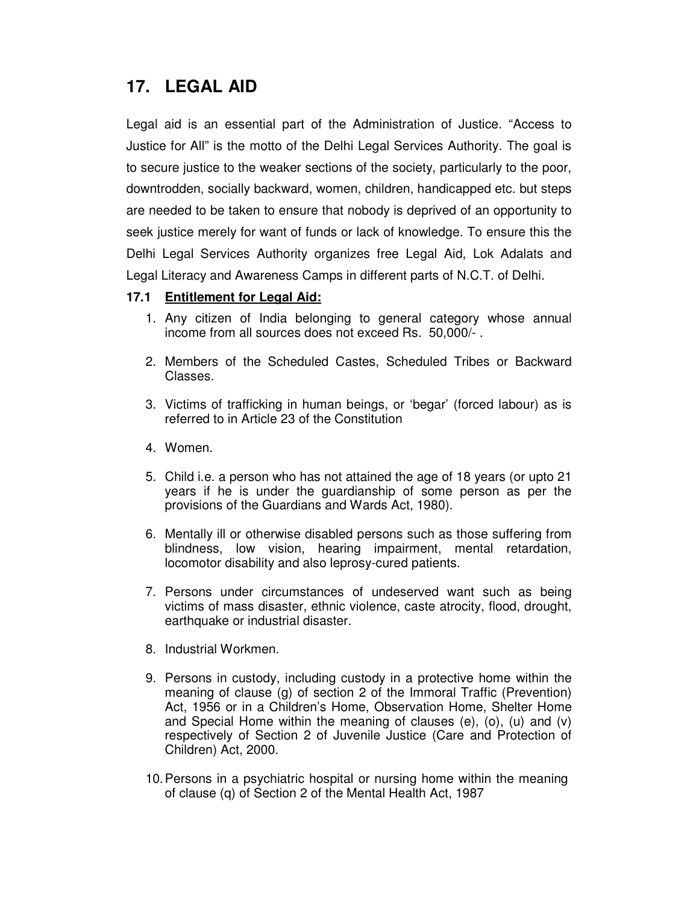## **17. LEGAL AID**

Legal aid is an essential part of the Administration of Justice. "Access to Justice for All" is the motto of the Delhi Legal Services Authority. The goal is to secure justice to the weaker sections of the society, particularly to the poor, downtrodden, socially backward, women, children, handicapped etc. but steps are needed to be taken to ensure that nobody is deprived of an opportunity to seek justice merely for want of funds or lack of knowledge. To ensure this the Delhi Legal Services Authority organizes free Legal Aid, Lok Adalats and Legal Literacy and Awareness Camps in different parts of N.C.T. of Delhi.

#### **17.1 Entitlement for Legal Aid:**

- 1. Any citizen of India belonging to general category whose annual income from all sources does not exceed Rs. 50,000/- .
- 2. Members of the Scheduled Castes, Scheduled Tribes or Backward Classes.
- 3. Victims of trafficking in human beings, or 'begar' (forced labour) as is referred to in Article 23 of the Constitution
- 4. Women.
- 5. Child i.e. a person who has not attained the age of 18 years (or upto 21 years if he is under the guardianship of some person as per the provisions of the Guardians and Wards Act, 1980).
- 6. Mentally ill or otherwise disabled persons such as those suffering from blindness, low vision, hearing impairment, mental retardation, locomotor disability and also leprosy-cured patients.
- 7. Persons under circumstances of undeserved want such as being victims of mass disaster, ethnic violence, caste atrocity, flood, drought, earthquake or industrial disaster.
- 8. Industrial Workmen.
- 9. Persons in custody, including custody in a protective home within the meaning of clause (g) of section 2 of the Immoral Traffic (Prevention) Act, 1956 or in a Children's Home, Observation Home, Shelter Home and Special Home within the meaning of clauses (e), (o), (u) and (v) respectively of Section 2 of Juvenile Justice (Care and Protection of Children) Act, 2000.
- 10. Persons in a psychiatric hospital or nursing home within the meaning of clause (q) of Section 2 of the Mental Health Act, 1987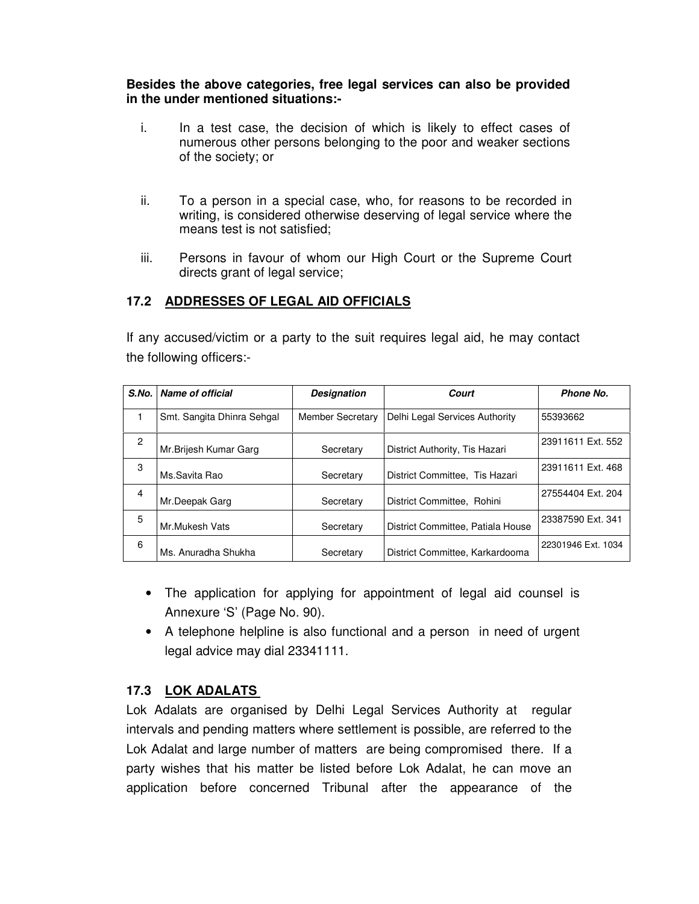#### **Besides the above categories, free legal services can also be provided in the under mentioned situations:-**

- i. In a test case, the decision of which is likely to effect cases of numerous other persons belonging to the poor and weaker sections of the society; or
- ii. To a person in a special case, who, for reasons to be recorded in writing, is considered otherwise deserving of legal service where the means test is not satisfied;
- iii. Persons in favour of whom our High Court or the Supreme Court directs grant of legal service;

#### **17.2 ADDRESSES OF LEGAL AID OFFICIALS**

If any accused/victim or a party to the suit requires legal aid, he may contact the following officers:-

| S.No.          | Name of official           | <b>Designation</b>      | Court                             | Phone No.          |
|----------------|----------------------------|-------------------------|-----------------------------------|--------------------|
|                | Smt. Sangita Dhinra Sehgal | <b>Member Secretary</b> | Delhi Legal Services Authority    | 55393662           |
| $\overline{c}$ | Mr. Brijesh Kumar Garg     | Secretary               | District Authority, Tis Hazari    | 23911611 Ext. 552  |
| 3              | Ms.Savita Rao              | Secretary               | District Committee. Tis Hazari    | 23911611 Ext. 468  |
| $\overline{4}$ | Mr.Deepak Garg             | Secretary               | District Committee. Rohini        | 27554404 Ext. 204  |
| 5              | Mr.Mukesh Vats             | Secretary               | District Committee, Patiala House | 23387590 Ext. 341  |
| 6              | Ms. Anuradha Shukha        | Secretary               | District Committee, Karkardooma   | 22301946 Ext. 1034 |

- The application for applying for appointment of legal aid counsel is Annexure 'S' (Page No. 90).
- A telephone helpline is also functional and a person in need of urgent legal advice may dial 23341111.

#### **17.3 LOK ADALATS**

Lok Adalats are organised by Delhi Legal Services Authority at regular intervals and pending matters where settlement is possible, are referred to the Lok Adalat and large number of matters are being compromised there. If a party wishes that his matter be listed before Lok Adalat, he can move an application before concerned Tribunal after the appearance of the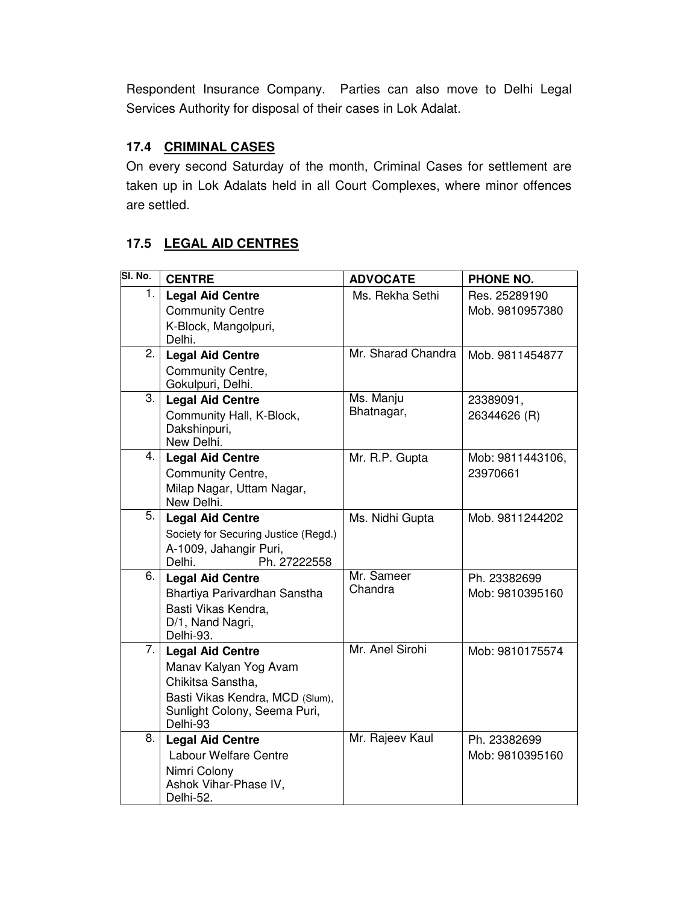Respondent Insurance Company. Parties can also move to Delhi Legal Services Authority for disposal of their cases in Lok Adalat.

### **17.4 CRIMINAL CASES**

On every second Saturday of the month, Criminal Cases for settlement are taken up in Lok Adalats held in all Court Complexes, where minor offences are settled.

### **17.5 LEGAL AID CENTRES**

| SI. No. | <b>CENTRE</b>                                                                                                                                        | <b>ADVOCATE</b>         | PHONE NO.                        |
|---------|------------------------------------------------------------------------------------------------------------------------------------------------------|-------------------------|----------------------------------|
| 1.      | <b>Legal Aid Centre</b><br><b>Community Centre</b><br>K-Block, Mangolpuri,<br>Delhi.                                                                 | Ms. Rekha Sethi         | Res. 25289190<br>Mob. 9810957380 |
| 2.      | <b>Legal Aid Centre</b><br>Community Centre,<br>Gokulpuri, Delhi.                                                                                    | Mr. Sharad Chandra      | Mob. 9811454877                  |
| 3.      | <b>Legal Aid Centre</b><br>Community Hall, K-Block,<br>Dakshinpuri,<br>New Delhi.                                                                    | Ms. Manju<br>Bhatnagar, | 23389091,<br>26344626 (R)        |
| 4.      | <b>Legal Aid Centre</b><br>Community Centre,<br>Milap Nagar, Uttam Nagar,<br>New Delhi.                                                              | Mr. R.P. Gupta          | Mob: 9811443106,<br>23970661     |
| 5.      | <b>Legal Aid Centre</b><br>Society for Securing Justice (Regd.)<br>A-1009, Jahangir Puri,<br>Ph. 27222558<br>Delhi.                                  | Ms. Nidhi Gupta         | Mob. 9811244202                  |
| 6.      | <b>Legal Aid Centre</b><br>Bhartiya Parivardhan Sanstha<br>Basti Vikas Kendra.<br>D/1, Nand Nagri,<br>Delhi-93.                                      | Mr. Sameer<br>Chandra   | Ph. 23382699<br>Mob: 9810395160  |
| 7. I    | <b>Legal Aid Centre</b><br>Manav Kalyan Yog Avam<br>Chikitsa Sanstha,<br>Basti Vikas Kendra, MCD (Slum),<br>Sunlight Colony, Seema Puri,<br>Delhi-93 | Mr. Anel Sirohi         | Mob: 9810175574                  |
| 8.      | <b>Legal Aid Centre</b><br>Labour Welfare Centre<br>Nimri Colony<br>Ashok Vihar-Phase IV,<br>Delhi-52.                                               | Mr. Rajeev Kaul         | Ph. 23382699<br>Mob: 9810395160  |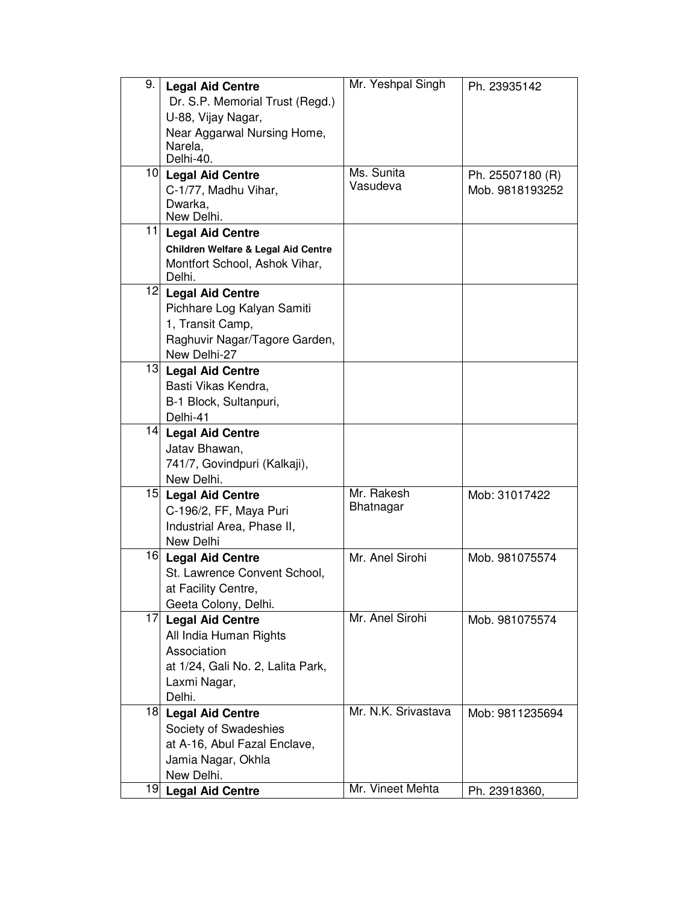| 9.              | <b>Legal Aid Centre</b><br>Dr. S.P. Memorial Trust (Regd.)<br>U-88, Vijay Nagar,<br>Near Aggarwal Nursing Home,<br>Narela,<br>Delhi-40. | Mr. Yeshpal Singh              | Ph. 23935142                        |
|-----------------|-----------------------------------------------------------------------------------------------------------------------------------------|--------------------------------|-------------------------------------|
|                 | 10 Legal Aid Centre<br>C-1/77, Madhu Vihar,<br>Dwarka,<br>New Delhi.                                                                    | Ms. Sunita<br>Vasudeva         | Ph. 25507180 (R)<br>Mob. 9818193252 |
| 11              | <b>Legal Aid Centre</b><br>Children Welfare & Legal Aid Centre<br>Montfort School, Ashok Vihar,<br>Delhi.                               |                                |                                     |
|                 | 12 Legal Aid Centre<br>Pichhare Log Kalyan Samiti<br>1, Transit Camp,<br>Raghuvir Nagar/Tagore Garden,<br>New Delhi-27                  |                                |                                     |
| 13              | <b>Legal Aid Centre</b><br>Basti Vikas Kendra,<br>B-1 Block, Sultanpuri,<br>Delhi-41                                                    |                                |                                     |
|                 | 14 Legal Aid Centre<br>Jatav Bhawan,<br>741/7, Govindpuri (Kalkaji),<br>New Delhi.                                                      |                                |                                     |
| 15 <sub>l</sub> | <b>Legal Aid Centre</b><br>C-196/2, FF, Maya Puri<br>Industrial Area, Phase II,<br>New Delhi                                            | Mr. Rakesh<br><b>Bhatnagar</b> | Mob: 31017422                       |
| 16              | <b>Legal Aid Centre</b><br>St. Lawrence Convent School,<br>at Facility Centre,<br>Geeta Colony, Delhi.                                  | Mr. Anel Sirohi                | Mob. 981075574                      |
| 17              | <b>Legal Aid Centre</b><br>All India Human Rights<br>Association<br>at 1/24, Gali No. 2, Lalita Park,<br>Laxmi Nagar,<br>Delhi.         | Mr. Anel Sirohi                | Mob. 981075574                      |
|                 | 18 Legal Aid Centre<br>Society of Swadeshies<br>at A-16, Abul Fazal Enclave,<br>Jamia Nagar, Okhla<br>New Delhi.                        | Mr. N.K. Srivastava            | Mob: 9811235694                     |
|                 | 19 Legal Aid Centre                                                                                                                     | Mr. Vineet Mehta               | Ph. 23918360,                       |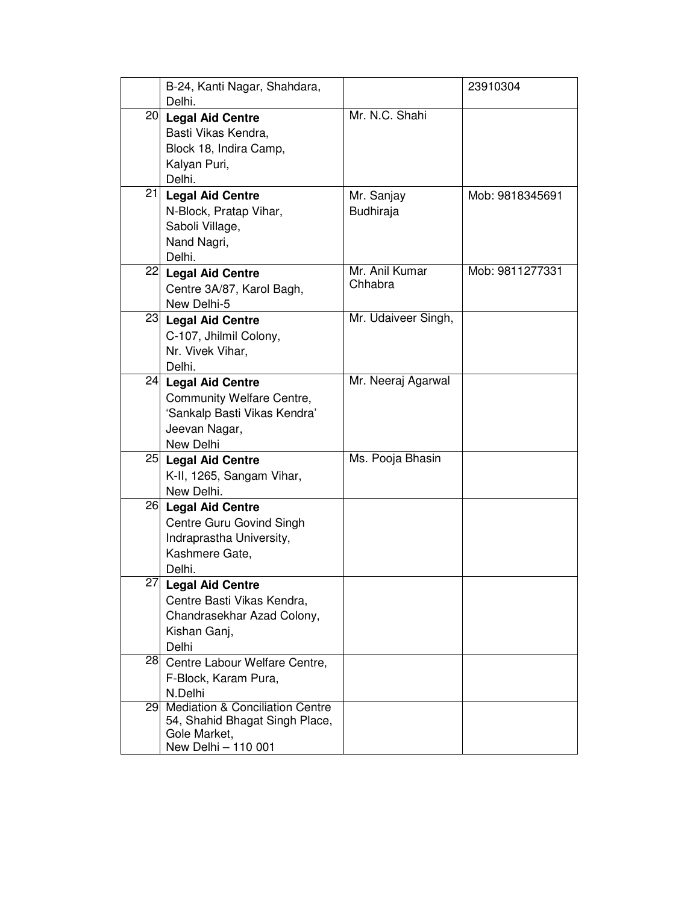|    | B-24, Kanti Nagar, Shahdara,<br>Delhi.                                                                              |                           | 23910304        |
|----|---------------------------------------------------------------------------------------------------------------------|---------------------------|-----------------|
| 20 | <b>Legal Aid Centre</b><br>Basti Vikas Kendra,<br>Block 18, Indira Camp,<br>Kalyan Puri,<br>Delhi.                  | Mr. N.C. Shahi            |                 |
| 21 | <b>Legal Aid Centre</b><br>N-Block, Pratap Vihar,<br>Saboli Village,<br>Nand Nagri,<br>Delhi.                       | Mr. Sanjay<br>Budhiraja   | Mob: 9818345691 |
|    | 22 Legal Aid Centre<br>Centre 3A/87, Karol Bagh,<br>New Delhi-5                                                     | Mr. Anil Kumar<br>Chhabra | Mob: 9811277331 |
|    | 23 Legal Aid Centre<br>C-107, Jhilmil Colony,<br>Nr. Vivek Vihar,<br>Delhi.                                         | Mr. Udaiveer Singh,       |                 |
|    | 24 Legal Aid Centre<br>Community Welfare Centre,<br>'Sankalp Basti Vikas Kendra'<br>Jeevan Nagar,<br>New Delhi      | Mr. Neeraj Agarwal        |                 |
|    | 25 Legal Aid Centre<br>K-II, 1265, Sangam Vihar,<br>New Delhi.                                                      | Ms. Pooja Bhasin          |                 |
|    | 26 Legal Aid Centre<br>Centre Guru Govind Singh<br>Indraprastha University,<br>Kashmere Gate,<br>Delhi.             |                           |                 |
|    | 27 Legal Aid Centre<br>Centre Basti Vikas Kendra,<br>Chandrasekhar Azad Colony,<br>Kishan Ganj,<br>Delhi            |                           |                 |
| 28 | Centre Labour Welfare Centre,<br>F-Block, Karam Pura,<br>N.Delhi                                                    |                           |                 |
| 29 | <b>Mediation &amp; Conciliation Centre</b><br>54, Shahid Bhagat Singh Place,<br>Gole Market,<br>New Delhi - 110 001 |                           |                 |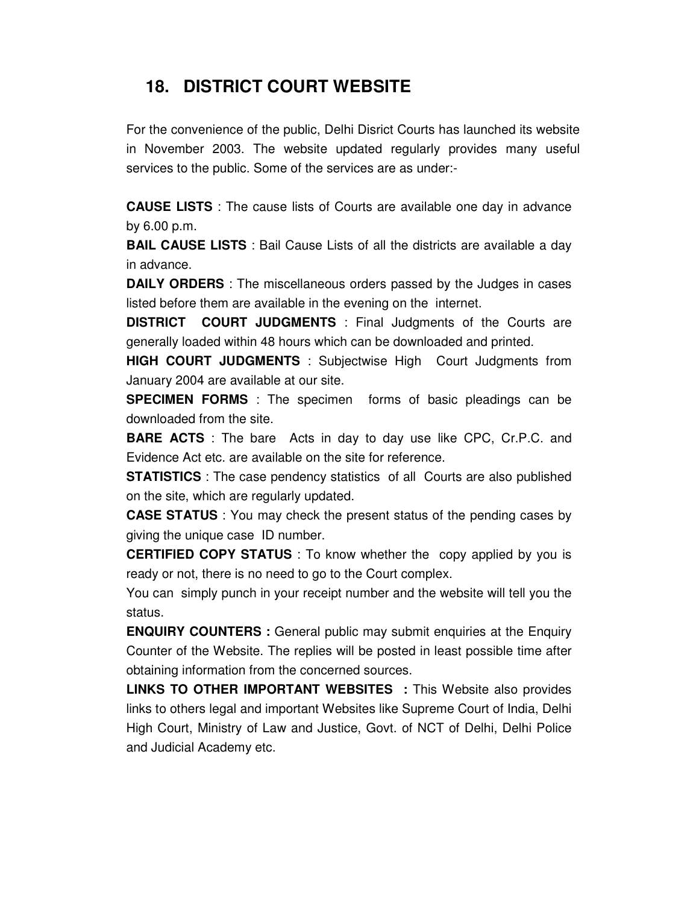## **18. DISTRICT COURT WEBSITE**

For the convenience of the public, Delhi Disrict Courts has launched its website in November 2003. The website updated regularly provides many useful services to the public. Some of the services are as under:-

**CAUSE LISTS** : The cause lists of Courts are available one day in advance by 6.00 p.m.

**BAIL CAUSE LISTS** : Bail Cause Lists of all the districts are available a day in advance.

**DAILY ORDERS** : The miscellaneous orders passed by the Judges in cases listed before them are available in the evening on the internet.

**DISTRICT COURT JUDGMENTS** : Final Judgments of the Courts are generally loaded within 48 hours which can be downloaded and printed.

**HIGH COURT JUDGMENTS** : Subjectwise High Court Judgments from January 2004 are available at our site.

**SPECIMEN FORMS** : The specimen forms of basic pleadings can be downloaded from the site.

**BARE ACTS** : The bare Acts in day to day use like CPC, Cr.P.C. and Evidence Act etc. are available on the site for reference.

**STATISTICS**: The case pendency statistics of all Courts are also published on the site, which are regularly updated.

**CASE STATUS** : You may check the present status of the pending cases by giving the unique case ID number.

**CERTIFIED COPY STATUS** : To know whether the copy applied by you is ready or not, there is no need to go to the Court complex.

You can simply punch in your receipt number and the website will tell you the status.

**ENQUIRY COUNTERS :** General public may submit enquiries at the Enquiry Counter of the Website. The replies will be posted in least possible time after obtaining information from the concerned sources.

**LINKS TO OTHER IMPORTANT WEBSITES :** This Website also provides links to others legal and important Websites like Supreme Court of India, Delhi High Court, Ministry of Law and Justice, Govt. of NCT of Delhi, Delhi Police and Judicial Academy etc.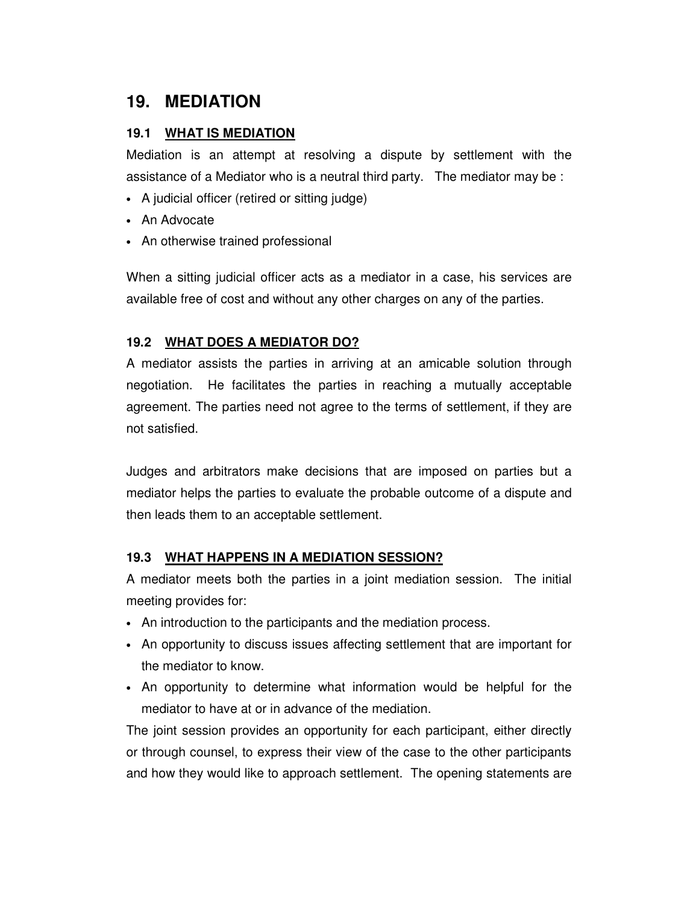## **19. MEDIATION**

#### **19.1 WHAT IS MEDIATION**

Mediation is an attempt at resolving a dispute by settlement with the assistance of a Mediator who is a neutral third party. The mediator may be :

- A judicial officer (retired or sitting judge)
- An Advocate
- An otherwise trained professional

When a sitting judicial officer acts as a mediator in a case, his services are available free of cost and without any other charges on any of the parties.

### **19.2 WHAT DOES A MEDIATOR DO?**

A mediator assists the parties in arriving at an amicable solution through negotiation. He facilitates the parties in reaching a mutually acceptable agreement. The parties need not agree to the terms of settlement, if they are not satisfied.

Judges and arbitrators make decisions that are imposed on parties but a mediator helps the parties to evaluate the probable outcome of a dispute and then leads them to an acceptable settlement.

#### **19.3 WHAT HAPPENS IN A MEDIATION SESSION?**

A mediator meets both the parties in a joint mediation session. The initial meeting provides for:

- An introduction to the participants and the mediation process.
- An opportunity to discuss issues affecting settlement that are important for the mediator to know.
- An opportunity to determine what information would be helpful for the mediator to have at or in advance of the mediation.

The joint session provides an opportunity for each participant, either directly or through counsel, to express their view of the case to the other participants and how they would like to approach settlement. The opening statements are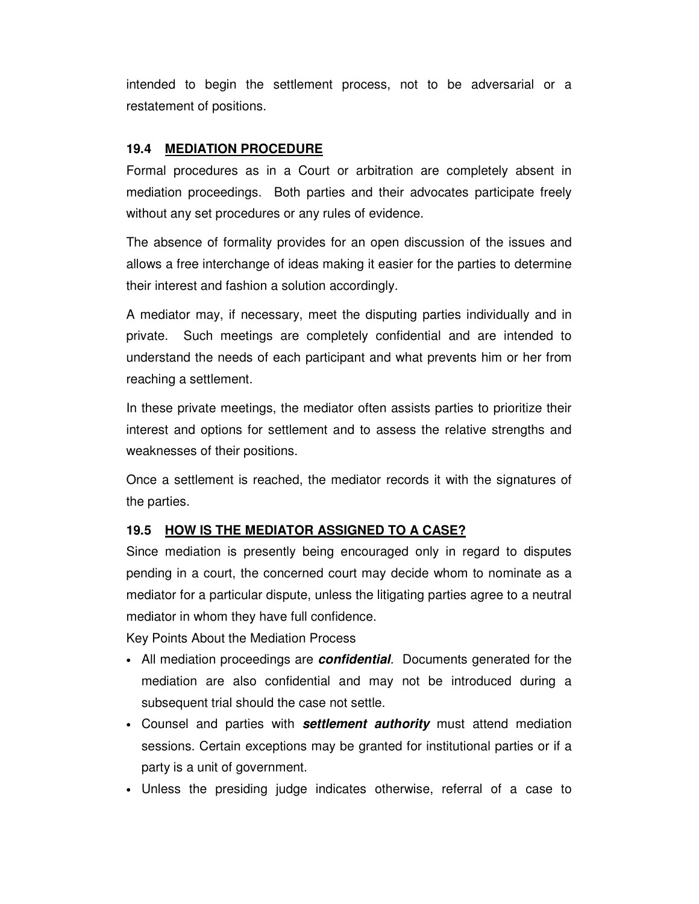intended to begin the settlement process, not to be adversarial or a restatement of positions.

#### **19.4 MEDIATION PROCEDURE**

Formal procedures as in a Court or arbitration are completely absent in mediation proceedings. Both parties and their advocates participate freely without any set procedures or any rules of evidence.

The absence of formality provides for an open discussion of the issues and allows a free interchange of ideas making it easier for the parties to determine their interest and fashion a solution accordingly.

A mediator may, if necessary, meet the disputing parties individually and in private. Such meetings are completely confidential and are intended to understand the needs of each participant and what prevents him or her from reaching a settlement.

In these private meetings, the mediator often assists parties to prioritize their interest and options for settlement and to assess the relative strengths and weaknesses of their positions.

Once a settlement is reached, the mediator records it with the signatures of the parties.

#### **19.5 HOW IS THE MEDIATOR ASSIGNED TO A CASE?**

Since mediation is presently being encouraged only in regard to disputes pending in a court, the concerned court may decide whom to nominate as a mediator for a particular dispute, unless the litigating parties agree to a neutral mediator in whom they have full confidence.

Key Points About the Mediation Process

- All mediation proceedings are **confidential**. Documents generated for the mediation are also confidential and may not be introduced during a subsequent trial should the case not settle.
- Counsel and parties with **settlement authority** must attend mediation sessions. Certain exceptions may be granted for institutional parties or if a party is a unit of government.
- Unless the presiding judge indicates otherwise, referral of a case to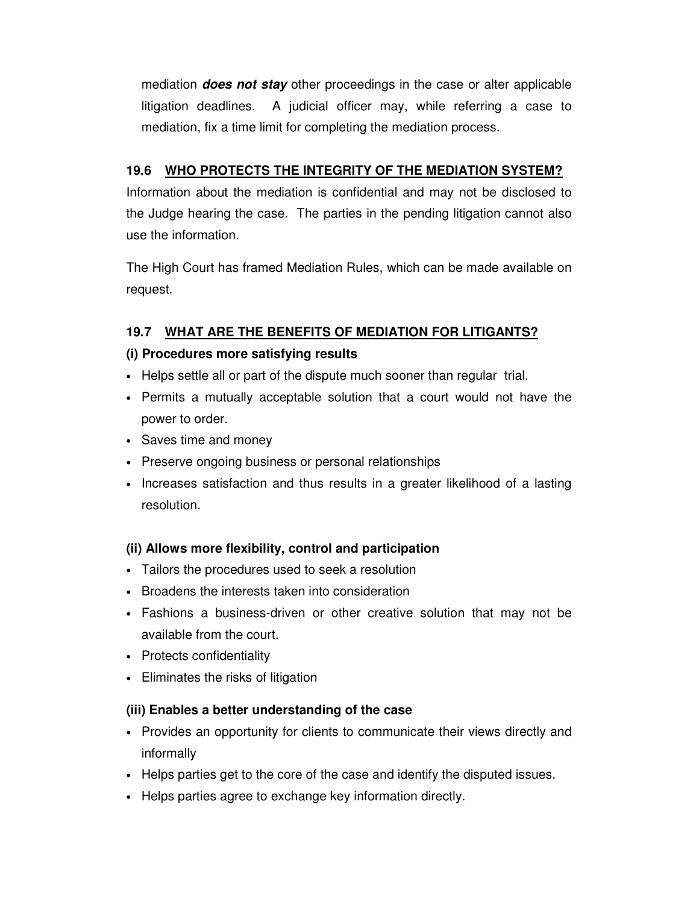mediation **does not stay** other proceedings in the case or alter applicable litigation deadlines. A judicial officer may, while referring a case to mediation, fix a time limit for completing the mediation process.

## **19.6 WHO PROTECTS THE INTEGRITY OF THE MEDIATION SYSTEM?**

Information about the mediation is confidential and may not be disclosed to the Judge hearing the case. The parties in the pending litigation cannot also use the information.

The High Court has framed Mediation Rules, which can be made available on request.

## **19.7 WHAT ARE THE BENEFITS OF MEDIATION FOR LITIGANTS?**

## **(i) Procedures more satisfying results**

- Helps settle all or part of the dispute much sooner than regular trial.
- Permits a mutually acceptable solution that a court would not have the power to order.
- Saves time and money
- Preserve ongoing business or personal relationships
- Increases satisfaction and thus results in a greater likelihood of a lasting resolution.

## **(ii) Allows more flexibility, control and participation**

- Tailors the procedures used to seek a resolution
- Broadens the interests taken into consideration
- Fashions a business-driven or other creative solution that may not be available from the court.
- Protects confidentiality
- Eliminates the risks of litigation

## **(iii) Enables a better understanding of the case**

- Provides an opportunity for clients to communicate their views directly and informally
- Helps parties get to the core of the case and identify the disputed issues.
- Helps parties agree to exchange key information directly.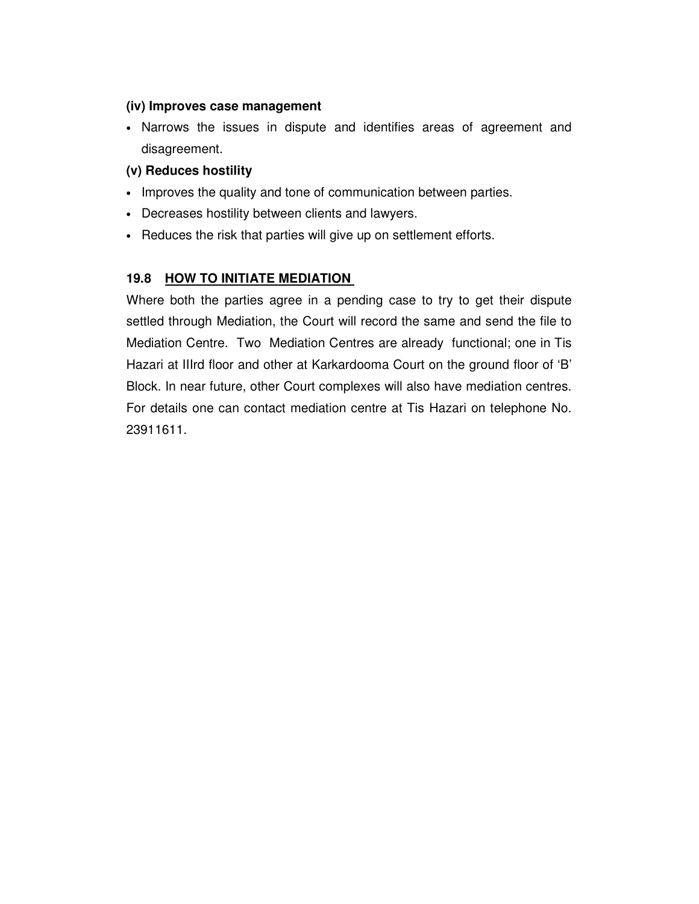### **(iv) Improves case management**

• Narrows the issues in dispute and identifies areas of agreement and disagreement.

## **(v) Reduces hostility**

- Improves the quality and tone of communication between parties.
- Decreases hostility between clients and lawyers.
- Reduces the risk that parties will give up on settlement efforts.

## **19.8 HOW TO INITIATE MEDIATION**

Where both the parties agree in a pending case to try to get their dispute settled through Mediation, the Court will record the same and send the file to Mediation Centre. Two Mediation Centres are already functional; one in Tis Hazari at IIIrd floor and other at Karkardooma Court on the ground floor of 'B' Block. In near future, other Court complexes will also have mediation centres. For details one can contact mediation centre at Tis Hazari on telephone No. 23911611.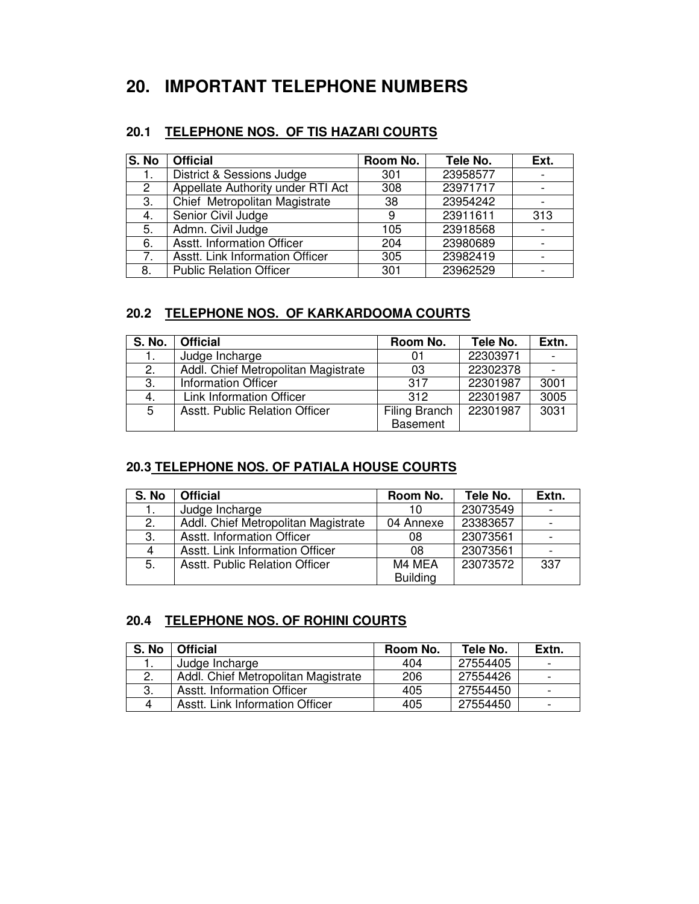# **20. IMPORTANT TELEPHONE NUMBERS**

## **20.1 TELEPHONE NOS. OF TIS HAZARI COURTS**

| S. No                | <b>Official</b>                   | Room No. | Tele No. | Ext. |
|----------------------|-----------------------------------|----------|----------|------|
| 1.                   | District & Sessions Judge         | 301      | 23958577 |      |
| $\mathbf{2}^{\circ}$ | Appellate Authority under RTI Act | 308      | 23971717 |      |
| 3.                   | Chief Metropolitan Magistrate     | 38       | 23954242 |      |
| 4.                   | Senior Civil Judge                | 9        | 23911611 | 313  |
| 5.                   | Admn. Civil Judge                 | 105      | 23918568 |      |
| 6.                   | Asstt. Information Officer        | 204      | 23980689 |      |
| 7.                   | Asstt. Link Information Officer   | 305      | 23982419 |      |
| 8.                   | <b>Public Relation Officer</b>    | 301      | 23962529 |      |

## **20.2 TELEPHONE NOS. OF KARKARDOOMA COURTS**

| <b>S. No.</b> | <b>Official</b>                       | Room No.        | Tele No. | Extn. |
|---------------|---------------------------------------|-----------------|----------|-------|
| 1.            | Judge Incharge                        | 01              | 22303971 |       |
| 2.            | Addl. Chief Metropolitan Magistrate   | 03              | 22302378 |       |
| 3.            | <b>Information Officer</b>            | 317             | 22301987 | 3001  |
| 4.            | Link Information Officer              | 312             | 22301987 | 3005  |
| 5             | <b>Asstt. Public Relation Officer</b> | Filing Branch   | 22301987 | 3031  |
|               |                                       | <b>Basement</b> |          |       |

## **20.3 TELEPHONE NOS. OF PATIALA HOUSE COURTS**

| S. No | <b>Official</b>                     | Room No.        | Tele No. | Extn. |
|-------|-------------------------------------|-----------------|----------|-------|
| 1.    | Judge Incharge                      | 10              | 23073549 |       |
| 2.    | Addl. Chief Metropolitan Magistrate | 04 Annexe       | 23383657 |       |
| 3.    | Asstt. Information Officer          | 08              | 23073561 |       |
| 4     | Asstt. Link Information Officer     | 08              | 23073561 |       |
| 5.    | Asstt. Public Relation Officer      | M4 MEA          | 23073572 | 337   |
|       |                                     | <b>Building</b> |          |       |

## **20.4 TELEPHONE NOS. OF ROHINI COURTS**

| S. No | <b>Official</b>                     | Room No. | Tele No. | Extn.                    |
|-------|-------------------------------------|----------|----------|--------------------------|
| Ι.    | Judge Incharge                      | 404      | 27554405 | $\overline{\phantom{0}}$ |
|       | Addl. Chief Metropolitan Magistrate | 206      | 27554426 |                          |
| 3.    | <b>Asstt. Information Officer</b>   | 405      | 27554450 |                          |
|       | Asstt. Link Information Officer     | 405      | 27554450 |                          |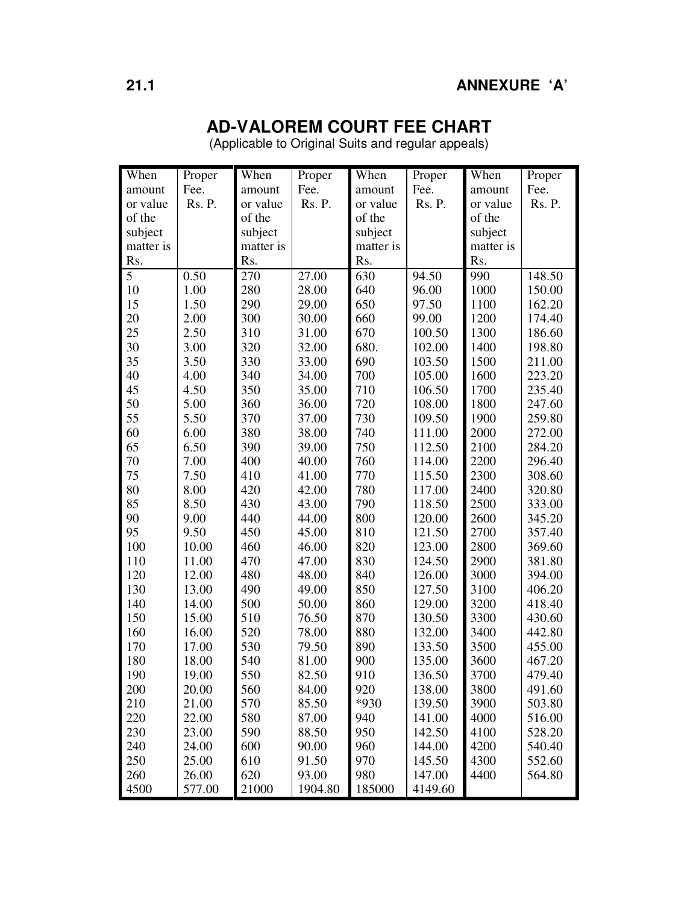# **AD-VALOREM COURT FEE CHART**

(Applicable to Original Suits and regular appeals)

| When      | Proper | When      | Proper  | When      | Proper  | When      | Proper |
|-----------|--------|-----------|---------|-----------|---------|-----------|--------|
| amount    | Fee.   | amount    | Fee.    | amount    | Fee.    | amount    | Fee.   |
| or value  | Rs. P. | or value  | Rs. P.  | or value  | Rs. P.  | or value  | Rs. P. |
| of the    |        | of the    |         | of the    |         | of the    |        |
| subject   |        | subject   |         | subject   |         | subject   |        |
| matter is |        | matter is |         | matter is |         | matter is |        |
| Rs.       |        | Rs.       |         | Rs.       |         | Rs.       |        |
| 5         | 0.50   | 270       | 27.00   | 630       | 94.50   | 990       | 148.50 |
| 10        | 1.00   | 280       | 28.00   | 640       | 96.00   | 1000      | 150.00 |
| 15        | 1.50   | 290       | 29.00   | 650       | 97.50   | 1100      | 162.20 |
| 20        | 2.00   | 300       | 30.00   | 660       | 99.00   | 1200      | 174.40 |
| 25        | 2.50   | 310       | 31.00   | 670       | 100.50  | 1300      | 186.60 |
| 30        | 3.00   | 320       | 32.00   | 680.      | 102.00  | 1400      | 198.80 |
| 35        | 3.50   | 330       | 33.00   | 690       | 103.50  | 1500      | 211.00 |
| 40        | 4.00   | 340       | 34.00   | 700       | 105.00  | 1600      | 223.20 |
| 45        | 4.50   | 350       | 35.00   | 710       | 106.50  | 1700      | 235.40 |
| 50        | 5.00   | 360       | 36.00   | 720       | 108.00  | 1800      | 247.60 |
| 55        | 5.50   | 370       | 37.00   | 730       | 109.50  | 1900      | 259.80 |
| 60        | 6.00   | 380       | 38.00   | 740       | 111.00  | 2000      | 272.00 |
| 65        | 6.50   | 390       | 39.00   | 750       | 112.50  | 2100      | 284.20 |
| 70        | 7.00   | 400       | 40.00   | 760       | 114.00  | 2200      | 296.40 |
| 75        | 7.50   | 410       | 41.00   | 770       | 115.50  | 2300      | 308.60 |
| 80        | 8.00   | 420       | 42.00   | 780       | 117.00  | 2400      | 320.80 |
| 85        | 8.50   | 430       | 43.00   | 790       | 118.50  | 2500      | 333.00 |
| 90        | 9.00   | 440       | 44.00   | 800       | 120.00  | 2600      | 345.20 |
| 95        | 9.50   | 450       | 45.00   | 810       | 121.50  | 2700      | 357.40 |
| 100       | 10.00  | 460       | 46.00   | 820       | 123.00  | 2800      | 369.60 |
| 110       | 11.00  | 470       | 47.00   | 830       | 124.50  | 2900      | 381.80 |
| 120       | 12.00  | 480       | 48.00   | 840       | 126.00  | 3000      | 394.00 |
| 130       | 13.00  | 490       | 49.00   | 850       | 127.50  | 3100      | 406.20 |
| 140       | 14.00  | 500       | 50.00   | 860       | 129.00  | 3200      | 418.40 |
| 150       | 15.00  | 510       | 76.50   | 870       | 130.50  | 3300      | 430.60 |
| 160       | 16.00  | 520       | 78.00   | 880       | 132.00  | 3400      | 442.80 |
| 170       | 17.00  | 530       | 79.50   | 890       | 133.50  | 3500      | 455.00 |
| 180       | 18.00  | 540       | 81.00   | 900       | 135.00  | 3600      | 467.20 |
| 190       | 19.00  | 550       | 82.50   | 910       | 136.50  | 3700      | 479.40 |
| 200       | 20.00  | 560       | 84.00   | 920       | 138.00  | 3800      | 491.60 |
| 210       | 21.00  | 570       | 85.50   | *930      | 139.50  | 3900      | 503.80 |
| 220       | 22.00  | 580       | 87.00   | 940       | 141.00  | 4000      | 516.00 |
| 230       | 23.00  | 590       | 88.50   | 950       | 142.50  | 4100      | 528.20 |
| 240       | 24.00  | 600       | 90.00   | 960       | 144.00  | 4200      | 540.40 |
| 250       | 25.00  | 610       | 91.50   | 970       | 145.50  | 4300      | 552.60 |
| 260       | 26.00  | 620       | 93.00   | 980       | 147.00  | 4400      | 564.80 |
| 4500      | 577.00 | 21000     | 1904.80 | 185000    | 4149.60 |           |        |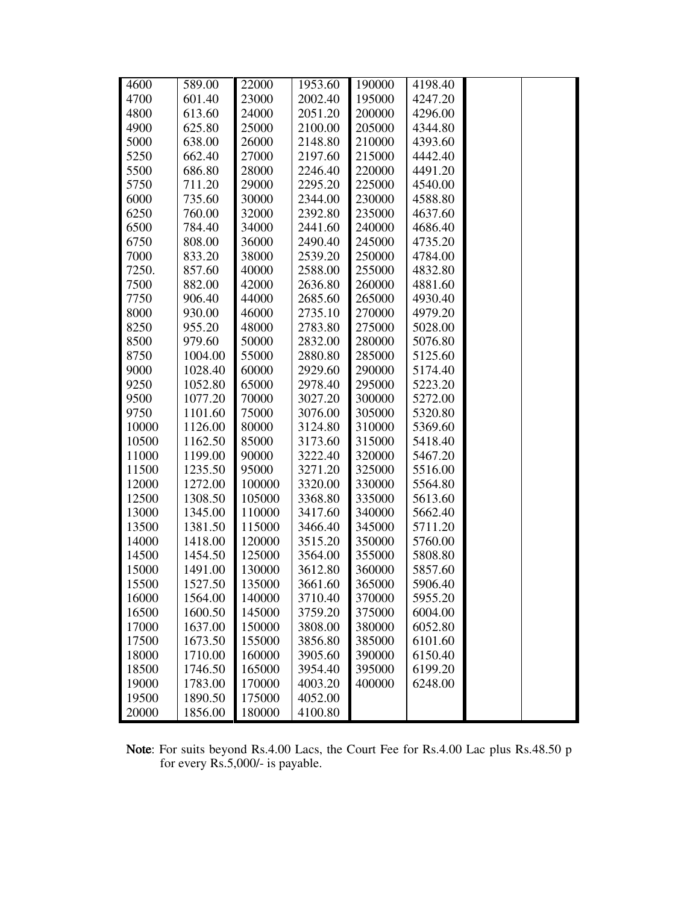| 4600  | 589.00  | 22000  | 1953.60 | 190000 | 4198.40 |  |
|-------|---------|--------|---------|--------|---------|--|
| 4700  | 601.40  | 23000  | 2002.40 | 195000 | 4247.20 |  |
| 4800  | 613.60  | 24000  | 2051.20 | 200000 | 4296.00 |  |
| 4900  | 625.80  | 25000  | 2100.00 | 205000 | 4344.80 |  |
| 5000  | 638.00  | 26000  | 2148.80 | 210000 | 4393.60 |  |
| 5250  | 662.40  | 27000  | 2197.60 | 215000 | 4442.40 |  |
| 5500  | 686.80  | 28000  | 2246.40 | 220000 | 4491.20 |  |
| 5750  | 711.20  | 29000  | 2295.20 | 225000 | 4540.00 |  |
| 6000  | 735.60  | 30000  | 2344.00 | 230000 | 4588.80 |  |
| 6250  | 760.00  | 32000  | 2392.80 | 235000 | 4637.60 |  |
| 6500  | 784.40  | 34000  | 2441.60 | 240000 | 4686.40 |  |
| 6750  | 808.00  | 36000  | 2490.40 | 245000 | 4735.20 |  |
| 7000  | 833.20  | 38000  | 2539.20 | 250000 | 4784.00 |  |
| 7250. | 857.60  | 40000  | 2588.00 | 255000 | 4832.80 |  |
| 7500  | 882.00  | 42000  | 2636.80 | 260000 | 4881.60 |  |
| 7750  | 906.40  | 44000  | 2685.60 | 265000 | 4930.40 |  |
| 8000  | 930.00  | 46000  | 2735.10 | 270000 | 4979.20 |  |
| 8250  | 955.20  | 48000  | 2783.80 | 275000 | 5028.00 |  |
| 8500  | 979.60  | 50000  | 2832.00 | 280000 | 5076.80 |  |
| 8750  | 1004.00 | 55000  | 2880.80 | 285000 | 5125.60 |  |
| 9000  | 1028.40 | 60000  | 2929.60 | 290000 | 5174.40 |  |
| 9250  | 1052.80 | 65000  | 2978.40 | 295000 | 5223.20 |  |
| 9500  | 1077.20 | 70000  | 3027.20 | 300000 | 5272.00 |  |
| 9750  | 1101.60 | 75000  | 3076.00 | 305000 | 5320.80 |  |
| 10000 | 1126.00 | 80000  | 3124.80 | 310000 | 5369.60 |  |
| 10500 | 1162.50 | 85000  | 3173.60 | 315000 | 5418.40 |  |
| 11000 | 1199.00 | 90000  | 3222.40 | 320000 | 5467.20 |  |
| 11500 | 1235.50 | 95000  | 3271.20 | 325000 | 5516.00 |  |
| 12000 | 1272.00 | 100000 | 3320.00 | 330000 | 5564.80 |  |
| 12500 | 1308.50 | 105000 | 3368.80 | 335000 | 5613.60 |  |
| 13000 | 1345.00 | 110000 | 3417.60 | 340000 | 5662.40 |  |
| 13500 | 1381.50 | 115000 | 3466.40 | 345000 | 5711.20 |  |
| 14000 | 1418.00 | 120000 | 3515.20 | 350000 | 5760.00 |  |
| 14500 | 1454.50 | 125000 | 3564.00 | 355000 | 5808.80 |  |
| 15000 | 1491.00 | 130000 | 3612.80 | 360000 | 5857.60 |  |
| 15500 | 1527.50 | 135000 | 3661.60 | 365000 | 5906.40 |  |
| 16000 | 1564.00 | 140000 | 3710.40 | 370000 | 5955.20 |  |
| 16500 | 1600.50 | 145000 | 3759.20 | 375000 | 6004.00 |  |
| 17000 | 1637.00 | 150000 | 3808.00 | 380000 | 6052.80 |  |
| 17500 | 1673.50 | 155000 | 3856.80 | 385000 | 6101.60 |  |
| 18000 | 1710.00 | 160000 | 3905.60 | 390000 | 6150.40 |  |
| 18500 | 1746.50 | 165000 | 3954.40 | 395000 | 6199.20 |  |
| 19000 | 1783.00 | 170000 | 4003.20 | 400000 | 6248.00 |  |
| 19500 | 1890.50 | 175000 | 4052.00 |        |         |  |
| 20000 | 1856.00 | 180000 | 4100.80 |        |         |  |
|       |         |        |         |        |         |  |

Note: For suits beyond Rs.4.00 Lacs, the Court Fee for Rs.4.00 Lac plus Rs.48.50 p for every Rs.5,000/- is payable.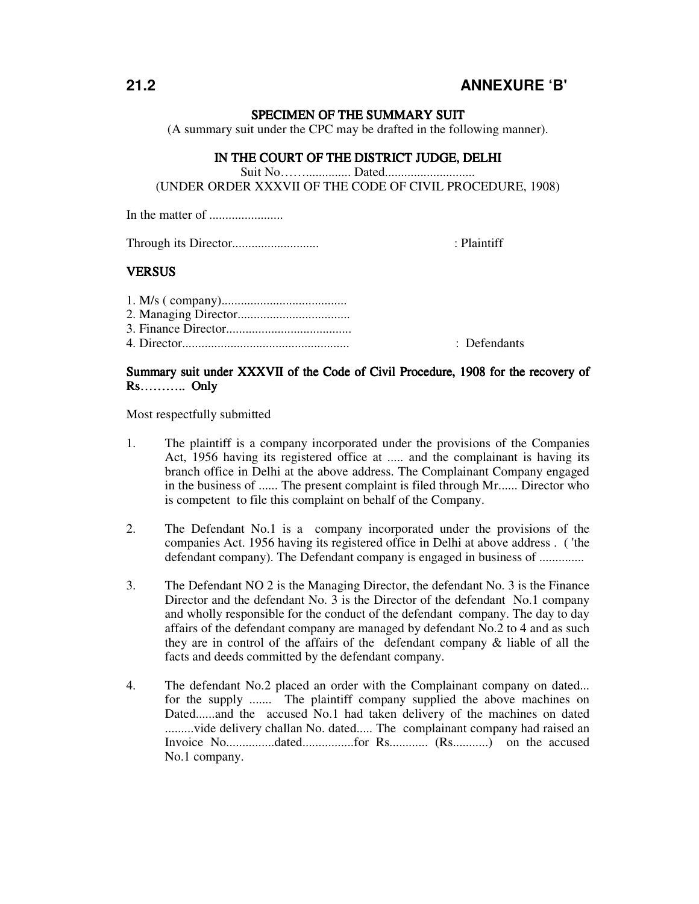## **21.2 ANNEXURE 'B'**

#### SPECIMEN OF THE SUMMARY SUIT

(A summary suit under the CPC may be drafted in the following manner).

### IN THE COURT OF THE DISTRICT JUDGE, DELHI

Suit No…….............. Dated............................

(UNDER ORDER XXXVII OF THE CODE OF CIVIL PROCEDURE, 1908)

In the matter of .......................

Through its Director........................... : Plaintiff

#### **VERSUS**

| : Defendants |
|--------------|

#### Summary suit under XXXVII of the Code of Civil Procedure, 1908 for the recovery of  $Rs... \dots$ ......... Only

Most respectfully submitted

- 1. The plaintiff is a company incorporated under the provisions of the Companies Act, 1956 having its registered office at ..... and the complainant is having its branch office in Delhi at the above address. The Complainant Company engaged in the business of ...... The present complaint is filed through Mr...... Director who is competent to file this complaint on behalf of the Company.
- 2. The Defendant No.1 is a company incorporated under the provisions of the companies Act. 1956 having its registered office in Delhi at above address . ( 'the defendant company). The Defendant company is engaged in business of ..............
- 3. The Defendant NO 2 is the Managing Director, the defendant No. 3 is the Finance Director and the defendant No. 3 is the Director of the defendant No.1 company and wholly responsible for the conduct of the defendant company. The day to day affairs of the defendant company are managed by defendant No.2 to 4 and as such they are in control of the affairs of the defendant company & liable of all the facts and deeds committed by the defendant company.
- 4. The defendant No.2 placed an order with the Complainant company on dated... for the supply ....... The plaintiff company supplied the above machines on Dated......and the accused No.1 had taken delivery of the machines on dated .........vide delivery challan No. dated..... The complainant company had raised an Invoice No...............dated................for Rs............ (Rs...........) on the accused No.1 company.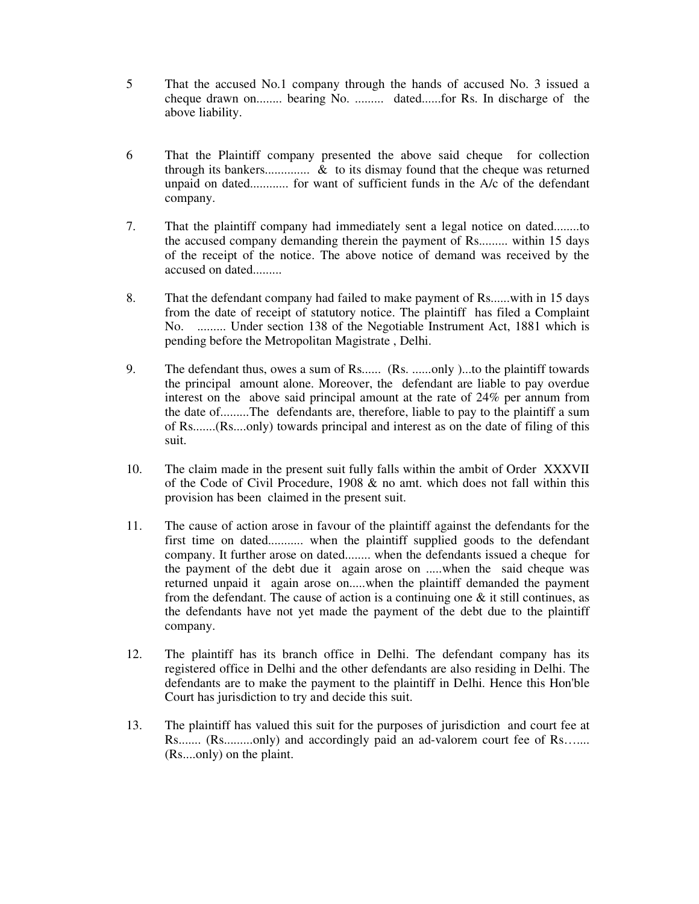- 5 That the accused No.1 company through the hands of accused No. 3 issued a cheque drawn on........ bearing No. ......... dated......for Rs. In discharge of the above liability.
- 6 That the Plaintiff company presented the above said cheque for collection through its bankers.............. & to its dismay found that the cheque was returned unpaid on dated............ for want of sufficient funds in the A/c of the defendant company.
- 7. That the plaintiff company had immediately sent a legal notice on dated........to the accused company demanding therein the payment of Rs......... within 15 days of the receipt of the notice. The above notice of demand was received by the accused on dated.........
- 8. That the defendant company had failed to make payment of Rs......with in 15 days from the date of receipt of statutory notice. The plaintiff has filed a Complaint No. ......... Under section 138 of the Negotiable Instrument Act, 1881 which is pending before the Metropolitan Magistrate , Delhi.
- 9. The defendant thus, owes a sum of Rs...... (Rs. ......only )...to the plaintiff towards the principal amount alone. Moreover, the defendant are liable to pay overdue interest on the above said principal amount at the rate of 24% per annum from the date of.........The defendants are, therefore, liable to pay to the plaintiff a sum of Rs.......(Rs....only) towards principal and interest as on the date of filing of this suit.
- 10. The claim made in the present suit fully falls within the ambit of Order XXXVII of the Code of Civil Procedure, 1908 & no amt. which does not fall within this provision has been claimed in the present suit.
- 11. The cause of action arose in favour of the plaintiff against the defendants for the first time on dated........... when the plaintiff supplied goods to the defendant company. It further arose on dated........ when the defendants issued a cheque for the payment of the debt due it again arose on .....when the said cheque was returned unpaid it again arose on.....when the plaintiff demanded the payment from the defendant. The cause of action is a continuing one  $\&$  it still continues, as the defendants have not yet made the payment of the debt due to the plaintiff company.
- 12. The plaintiff has its branch office in Delhi. The defendant company has its registered office in Delhi and the other defendants are also residing in Delhi. The defendants are to make the payment to the plaintiff in Delhi. Hence this Hon'ble Court has jurisdiction to try and decide this suit.
- 13. The plaintiff has valued this suit for the purposes of jurisdiction and court fee at Rs....... (Rs.........only) and accordingly paid an ad-valorem court fee of Rs....... (Rs....only) on the plaint.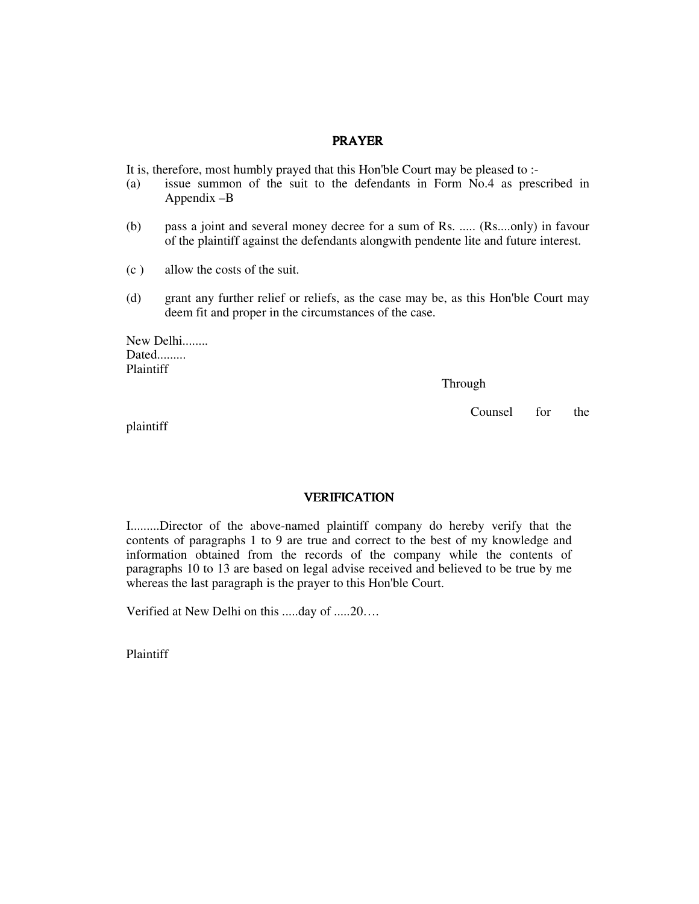#### PRAYER

It is, therefore, most humbly prayed that this Hon'ble Court may be pleased to :-

- (a) issue summon of the suit to the defendants in Form No.4 as prescribed in Appendix –B
- (b) pass a joint and several money decree for a sum of Rs. ..... (Rs....only) in favour of the plaintiff against the defendants alongwith pendente lite and future interest.
- (c ) allow the costs of the suit.
- (d) grant any further relief or reliefs, as the case may be, as this Hon'ble Court may deem fit and proper in the circumstances of the case.

New Delhi........ Dated......... Plaintiff

Through

Counsel for the

plaintiff

#### VERIFICATION VERIFICATION

I.........Director of the above-named plaintiff company do hereby verify that the contents of paragraphs 1 to 9 are true and correct to the best of my knowledge and information obtained from the records of the company while the contents of paragraphs 10 to 13 are based on legal advise received and believed to be true by me whereas the last paragraph is the prayer to this Hon'ble Court.

Verified at New Delhi on this .....day of .....20….

Plaintiff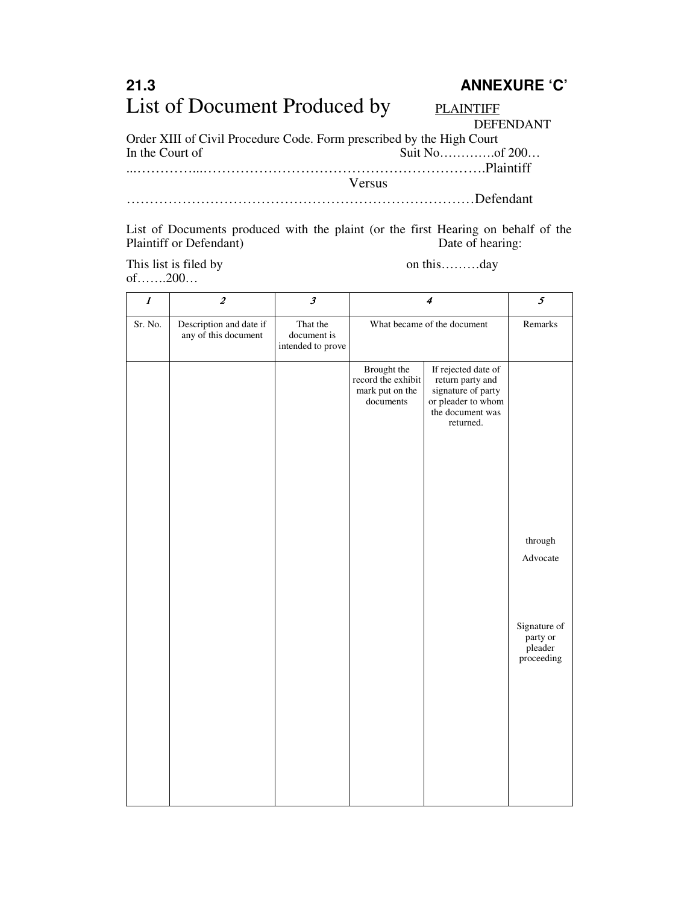# **21.3 ANNEXURE 'C'**  List of Document Produced by PLAINTIFF

DEFENDANT

Order XIII of Civil Procedure Code. Form prescribed by the High Court In the Court of Suit No…………..of 200…

...…………...…………………………………………………….Plaintiff

Versus

…………………………………………………………………Defendant

List of Documents produced with the plaint (or the first Hearing on behalf of the Plaintiff or Defendant) Date of hearing: Plaintiff or Defendant)

This list is filed by on this………day of…….200…

| $\boldsymbol{\mathit{1}}$ | $\boldsymbol{2}$                                | $\pmb{\beta}$                                |                                                                   | $\boldsymbol{4}$                                                                                                     | $\pmb{\mathcal{S}}$                               |
|---------------------------|-------------------------------------------------|----------------------------------------------|-------------------------------------------------------------------|----------------------------------------------------------------------------------------------------------------------|---------------------------------------------------|
| Sr. No.                   | Description and date if<br>any of this document | That the<br>document is<br>intended to prove |                                                                   | What became of the document                                                                                          |                                                   |
|                           |                                                 |                                              | Brought the<br>record the exhibit<br>mark put on the<br>documents | If rejected date of<br>return party and<br>signature of party<br>or pleader to whom<br>the document was<br>returned. |                                                   |
|                           |                                                 |                                              |                                                                   |                                                                                                                      | through<br>Advocate                               |
|                           |                                                 |                                              |                                                                   |                                                                                                                      | Signature of<br>party or<br>pleader<br>proceeding |
|                           |                                                 |                                              |                                                                   |                                                                                                                      |                                                   |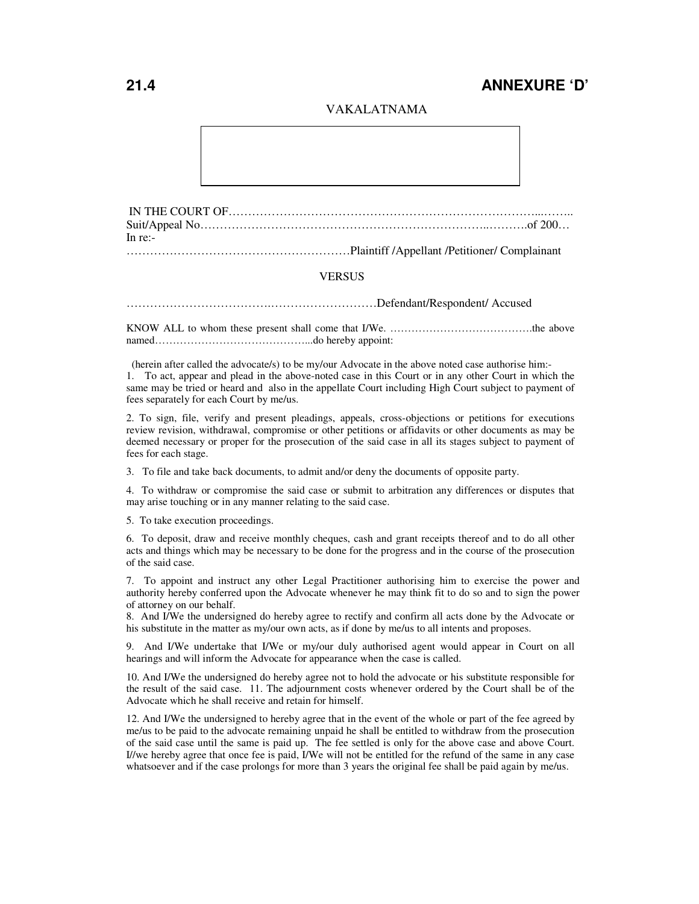## **21.4 ANNEXURE 'D'**

#### VAKALATNAMA

IN THE COURT OF……………………………………………………………………...…….. Suit/Appeal No………………………………………………………………..……….of 200… In re:-

…………………………………………………Plaintiff /Appellant /Petitioner/ Complainant

#### **VERSUS**

……………………………….………………………Defendant/Respondent/ Accused

KNOW ALL to whom these present shall come that I/We. ………………………………….the above named……………………………………...do hereby appoint:

(herein after called the advocate/s) to be my/our Advocate in the above noted case authorise him:-

1. To act, appear and plead in the above-noted case in this Court or in any other Court in which the same may be tried or heard and also in the appellate Court including High Court subject to payment of fees separately for each Court by me/us.

2. To sign, file, verify and present pleadings, appeals, cross-objections or petitions for executions review revision, withdrawal, compromise or other petitions or affidavits or other documents as may be deemed necessary or proper for the prosecution of the said case in all its stages subject to payment of fees for each stage.

3. To file and take back documents, to admit and/or deny the documents of opposite party.

4. To withdraw or compromise the said case or submit to arbitration any differences or disputes that may arise touching or in any manner relating to the said case.

5. To take execution proceedings.

6. To deposit, draw and receive monthly cheques, cash and grant receipts thereof and to do all other acts and things which may be necessary to be done for the progress and in the course of the prosecution of the said case.

7. To appoint and instruct any other Legal Practitioner authorising him to exercise the power and authority hereby conferred upon the Advocate whenever he may think fit to do so and to sign the power of attorney on our behalf.

8. And I/We the undersigned do hereby agree to rectify and confirm all acts done by the Advocate or his substitute in the matter as my/our own acts, as if done by me/us to all intents and proposes.

9. And I/We undertake that I/We or my/our duly authorised agent would appear in Court on all hearings and will inform the Advocate for appearance when the case is called.

10. And I/We the undersigned do hereby agree not to hold the advocate or his substitute responsible for the result of the said case. 11. The adjournment costs whenever ordered by the Court shall be of the Advocate which he shall receive and retain for himself.

12. And I/We the undersigned to hereby agree that in the event of the whole or part of the fee agreed by me/us to be paid to the advocate remaining unpaid he shall be entitled to withdraw from the prosecution of the said case until the same is paid up. The fee settled is only for the above case and above Court. I//we hereby agree that once fee is paid, I/We will not be entitled for the refund of the same in any case whatsoever and if the case prolongs for more than 3 years the original fee shall be paid again by me/us.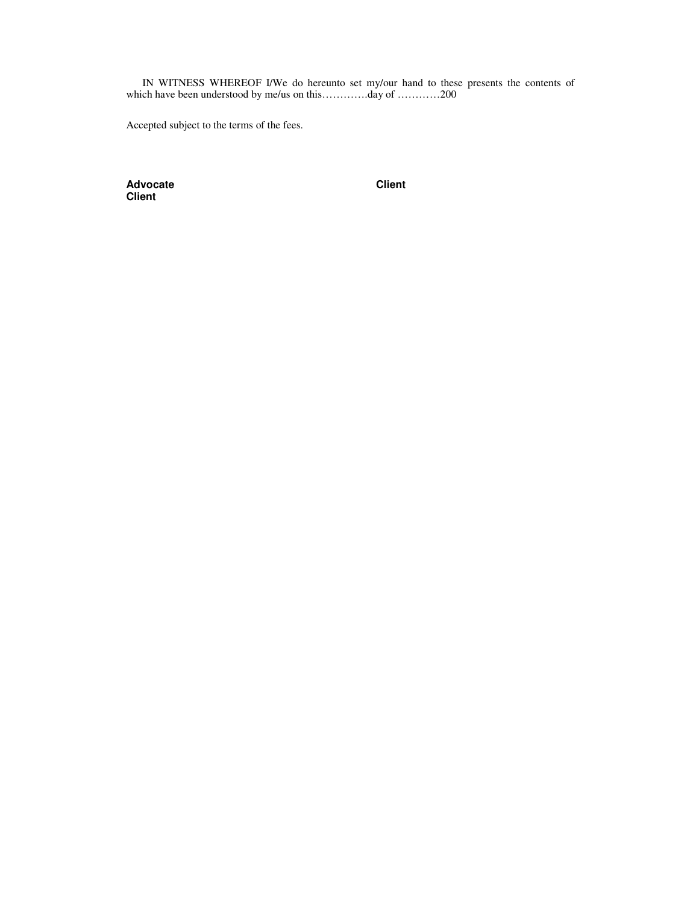IN WITNESS WHEREOF I/We do hereunto set my/our hand to these presents the contents of which have been understood by me/us on this………….day of …………200

Accepted subject to the terms of the fees.

Advocate **Client Client**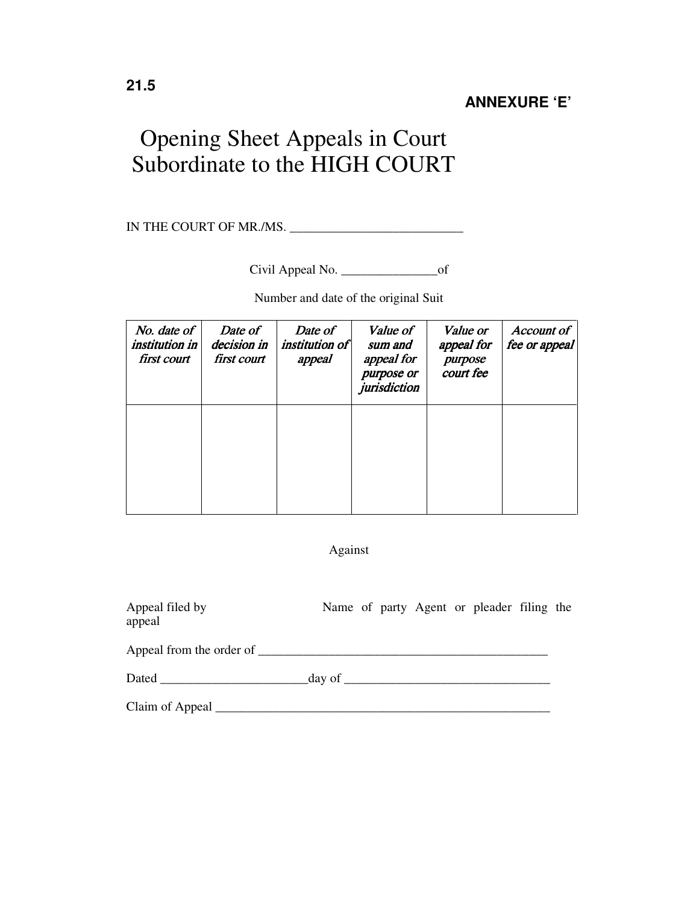# Opening Sheet Appeals in Court Subordinate to the HIGH COURT

IN THE COURT OF MR./MS. \_\_\_\_\_\_\_\_\_\_\_\_\_\_\_\_\_\_\_\_\_\_\_\_\_\_\_

Civil Appeal No. \_\_\_\_\_\_\_\_\_\_\_\_\_\_\_of

Number and date of the original Suit

| No. date of<br><i>institution in</i><br>first court | Date of<br>decision in<br>first court | Date of<br><i>institution of</i><br>appeal | Value of<br>sum and<br>appeal for<br>purpose or<br>jurisdiction | Value or<br>appeal for<br>purpose<br>court fee | <b>Account of</b><br>fee or appeal |
|-----------------------------------------------------|---------------------------------------|--------------------------------------------|-----------------------------------------------------------------|------------------------------------------------|------------------------------------|
|                                                     |                                       |                                            |                                                                 |                                                |                                    |
|                                                     |                                       |                                            |                                                                 |                                                |                                    |

Against

| Appeal filed by<br>appeal                                                                                                                                                                                                      |  |  | Name of party Agent or pleader filing the |  |
|--------------------------------------------------------------------------------------------------------------------------------------------------------------------------------------------------------------------------------|--|--|-------------------------------------------|--|
| Appeal from the order of                                                                                                                                                                                                       |  |  |                                           |  |
| Dated day of day of day of the contract of the contract of the contract of the contract of the contract of the contract of the contract of the contract of the contract of the contract of the contract of the contract of the |  |  |                                           |  |
|                                                                                                                                                                                                                                |  |  |                                           |  |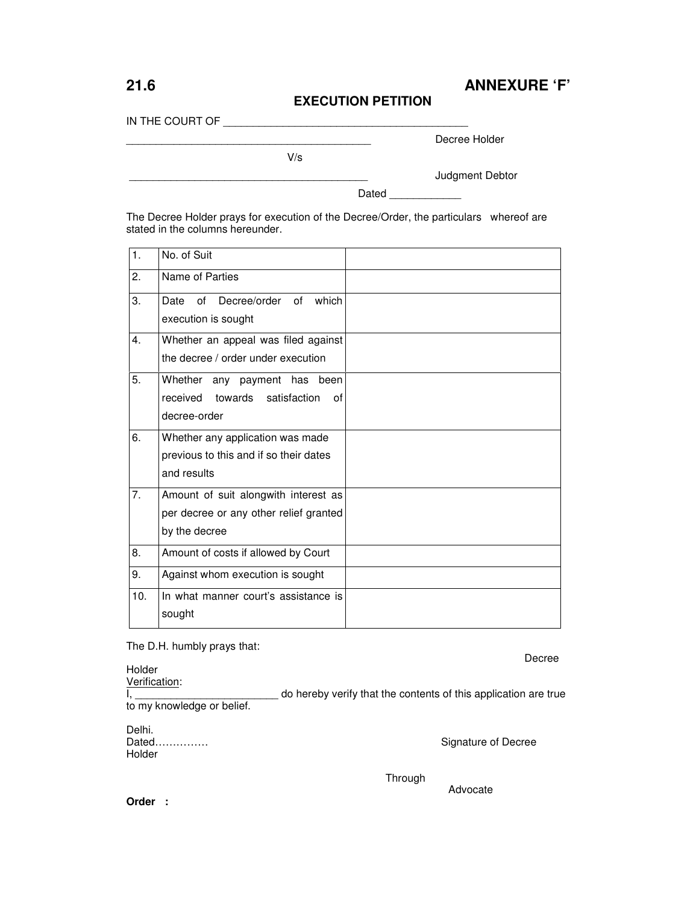## **21.6 ANNEXURE 'F'**

#### **EXECUTION PETITION**

IN THE COURT OF \_\_\_\_\_\_\_\_\_\_\_\_\_\_\_\_\_\_\_\_\_\_\_\_\_\_\_\_\_\_\_\_\_\_\_\_\_\_\_\_\_

Decree Holder

V/s

\_\_\_\_\_\_\_\_\_\_\_\_\_\_\_\_\_\_\_\_\_\_\_\_\_\_\_\_\_\_\_\_\_\_\_\_\_\_\_\_ Judgment Debtor

Dated \_\_\_\_\_\_\_\_\_

The Decree Holder prays for execution of the Decree/Order, the particulars whereof are stated in the columns hereunder.

| 1.               | No. of Suit                                                                                     |  |
|------------------|-------------------------------------------------------------------------------------------------|--|
| 2.               | Name of Parties                                                                                 |  |
| 3.               | of Decree/order of<br>which<br>Date<br>execution is sought                                      |  |
| $\overline{4}$ . | Whether an appeal was filed against<br>the decree / order under execution                       |  |
| 5.               | Whether any payment has been<br>towards satisfaction<br>received<br>0f<br>decree-order          |  |
| 6.               | Whether any application was made<br>previous to this and if so their dates<br>and results       |  |
| 7.               | Amount of suit alongwith interest as<br>per decree or any other relief granted<br>by the decree |  |
| 8.               | Amount of costs if allowed by Court                                                             |  |
| 9.               | Against whom execution is sought                                                                |  |
| 10.              | In what manner court's assistance is<br>sought                                                  |  |

The D.H. humbly prays that:

de la provincia de la provincia de la provincia de la provincia de la provincia de la provincia de la provinci

Holder

Verification: Lettude on hereby verify that the contents of this application are true to my knowledge or belief.

Delhi.<br>Dated............... Holder

Signature of Decree

Advocate

Through

**Order :**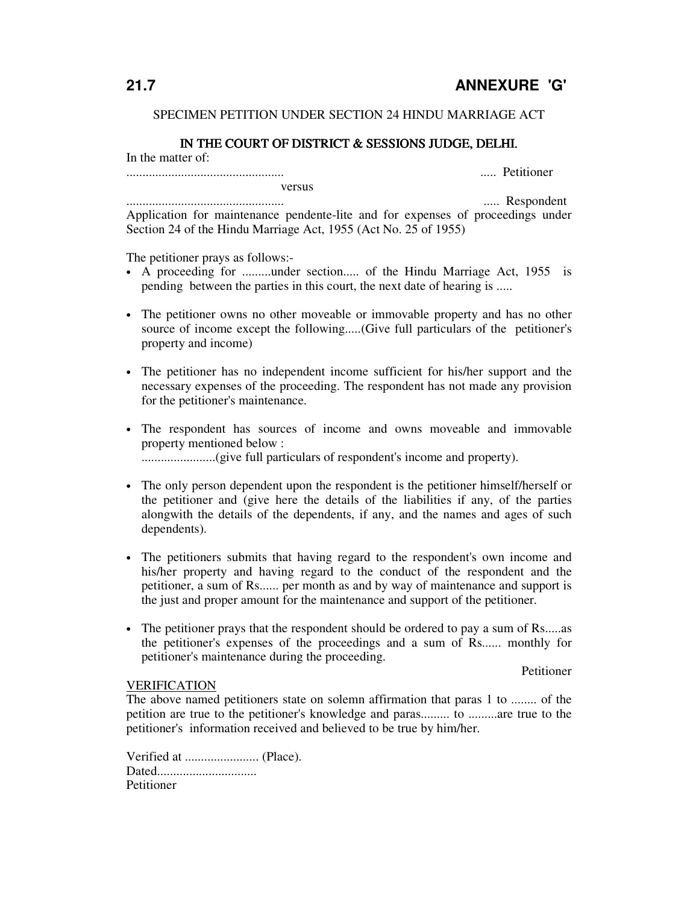#### SPECIMEN PETITION UNDER SECTION 24 HINDU MARRIAGE ACT

#### IN THE COURT OF DISTRICT & SESSIONS JUDGE, DELHI.

In the matter of:

................................................. ..... Petitioner

 versus ................................................. ..... Respondent

Application for maintenance pendente-lite and for expenses of proceedings under Section 24 of the Hindu Marriage Act, 1955 (Act No. 25 of 1955)

The petitioner prays as follows:-

- A proceeding for .........under section..... of the Hindu Marriage Act, 1955 is pending between the parties in this court, the next date of hearing is .....
- The petitioner owns no other moveable or immovable property and has no other source of income except the following.....(Give full particulars of the petitioner's property and income)
- The petitioner has no independent income sufficient for his/her support and the necessary expenses of the proceeding. The respondent has not made any provision for the petitioner's maintenance.
- The respondent has sources of income and owns moveable and immovable property mentioned below : .......................(give full particulars of respondent's income and property).
- The only person dependent upon the respondent is the petitioner himself/herself or the petitioner and (give here the details of the liabilities if any, of the parties alongwith the details of the dependents, if any, and the names and ages of such dependents).
- The petitioners submits that having regard to the respondent's own income and his/her property and having regard to the conduct of the respondent and the petitioner, a sum of Rs...... per month as and by way of maintenance and support is the just and proper amount for the maintenance and support of the petitioner.
- The petitioner prays that the respondent should be ordered to pay a sum of Rs.....as the petitioner's expenses of the proceedings and a sum of Rs...... monthly for petitioner's maintenance during the proceeding.

Petitioner

#### **VERIFICATION**

The above named petitioners state on solemn affirmation that paras 1 to ........ of the petition are true to the petitioner's knowledge and paras......... to .........are true to the petitioner's information received and believed to be true by him/her.

Verified at ....................... (Place). Dated............................... Petitioner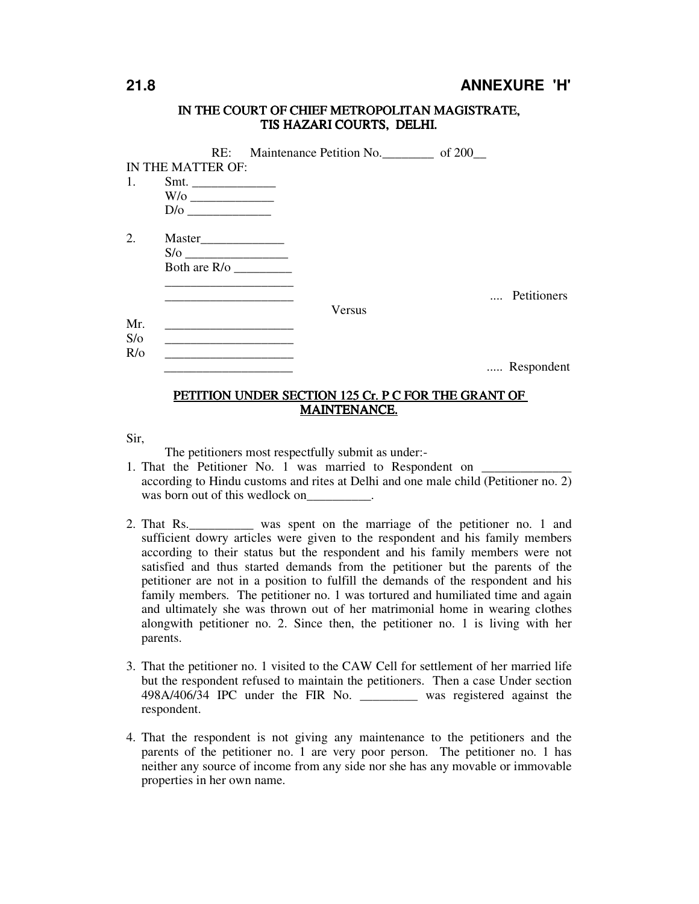### **21.8 ANNEXURE 'H'**

#### IN THE COURT OF CHIEF METROPOLITAN MAGISTRATE, TIS HAZARI COURTS, DELHI.

|               |                        | RE: Maintenance Petition No. ______________ of 200____ |             |  |
|---------------|------------------------|--------------------------------------------------------|-------------|--|
|               | IN THE MATTER OF:      |                                                        |             |  |
|               |                        |                                                        |             |  |
|               | W/o                    |                                                        |             |  |
|               |                        |                                                        |             |  |
| 2.            |                        |                                                        |             |  |
|               |                        |                                                        |             |  |
|               | Both are $R$ / $\circ$ |                                                        |             |  |
|               |                        |                                                        |             |  |
|               |                        |                                                        | Petitioners |  |
|               |                        | Versus                                                 |             |  |
| Mr.           |                        |                                                        |             |  |
| S/O           |                        |                                                        |             |  |
| $R$ / $\circ$ |                        |                                                        | Respondent  |  |
|               |                        |                                                        |             |  |

#### PETITION UNDER SECTION 125 Cr. P C FOR THE GRANT OF MAINTENANCE.

Sir,

The petitioners most respectfully submit as under:-

- 1. That the Petitioner No. 1 was married to Respondent on according to Hindu customs and rites at Delhi and one male child (Petitioner no. 2) was born out of this wedlock on  $\qquad \qquad$ .
- 2. That Rs.\_\_\_\_\_\_\_\_\_\_ was spent on the marriage of the petitioner no. 1 and sufficient dowry articles were given to the respondent and his family members according to their status but the respondent and his family members were not satisfied and thus started demands from the petitioner but the parents of the petitioner are not in a position to fulfill the demands of the respondent and his family members. The petitioner no. 1 was tortured and humiliated time and again and ultimately she was thrown out of her matrimonial home in wearing clothes alongwith petitioner no. 2. Since then, the petitioner no. 1 is living with her parents.
- 3. That the petitioner no. 1 visited to the CAW Cell for settlement of her married life but the respondent refused to maintain the petitioners. Then a case Under section 498A/406/34 IPC under the FIR No. \_\_\_\_\_\_\_\_\_ was registered against the respondent.
- 4. That the respondent is not giving any maintenance to the petitioners and the parents of the petitioner no. 1 are very poor person. The petitioner no. 1 has neither any source of income from any side nor she has any movable or immovable properties in her own name.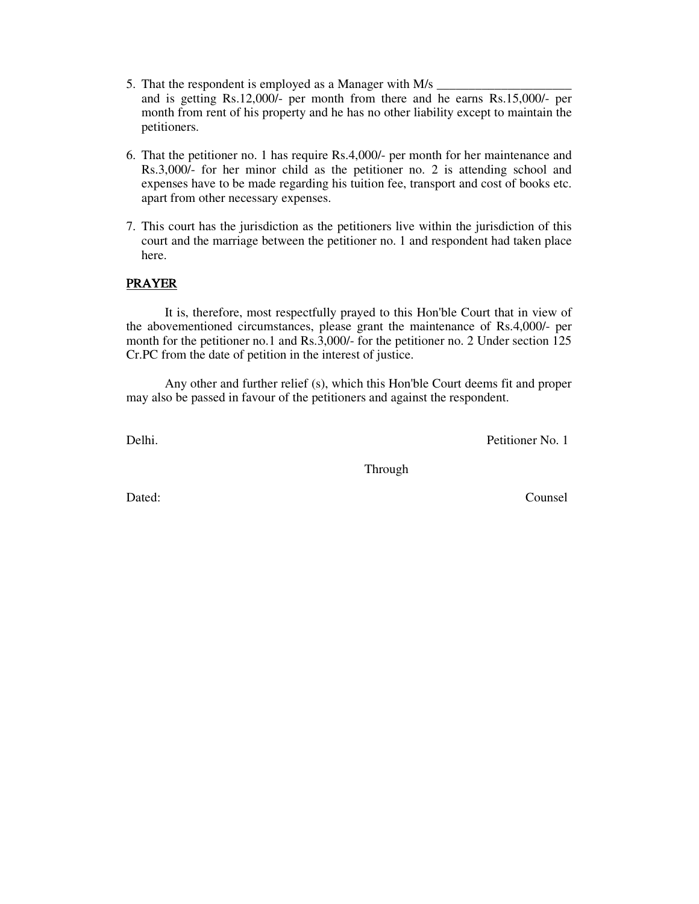- 5. That the respondent is employed as a Manager with M/s and is getting Rs.12,000/- per month from there and he earns Rs.15,000/- per month from rent of his property and he has no other liability except to maintain the petitioners.
- 6. That the petitioner no. 1 has require Rs.4,000/- per month for her maintenance and Rs.3,000/- for her minor child as the petitioner no. 2 is attending school and expenses have to be made regarding his tuition fee, transport and cost of books etc. apart from other necessary expenses.
- 7. This court has the jurisdiction as the petitioners live within the jurisdiction of this court and the marriage between the petitioner no. 1 and respondent had taken place here.

#### PRAYER

It is, therefore, most respectfully prayed to this Hon'ble Court that in view of the abovementioned circumstances, please grant the maintenance of Rs.4,000/- per month for the petitioner no.1 and Rs.3,000/- for the petitioner no. 2 Under section 125 Cr.PC from the date of petition in the interest of justice.

 Any other and further relief (s), which this Hon'ble Court deems fit and proper may also be passed in favour of the petitioners and against the respondent.

Delhi. Petitioner No. 1

Through

Dated: Counsel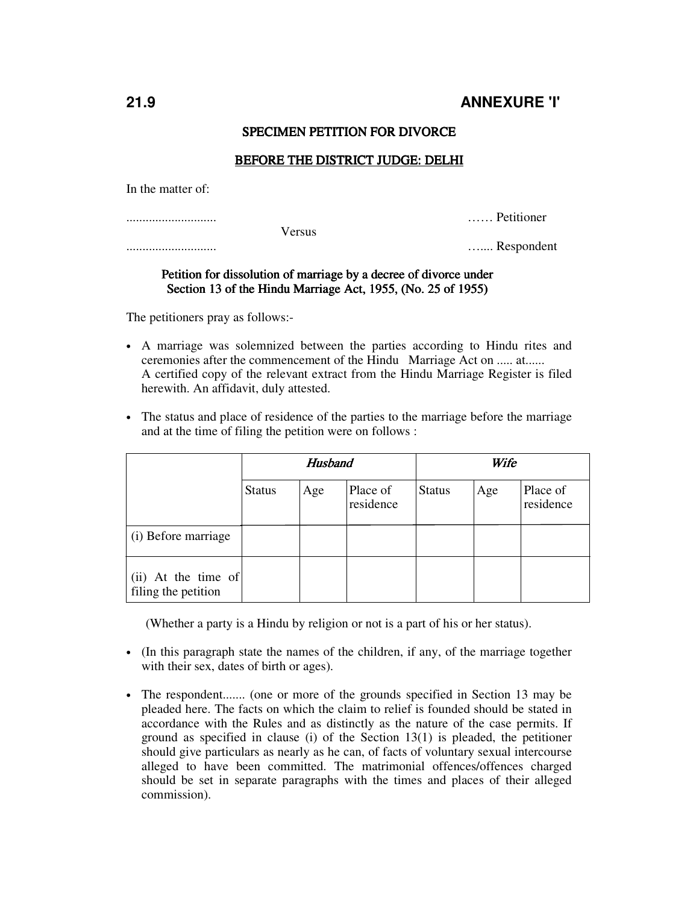#### SPECIMEN PETITION FOR DIVORCE

#### BEFORE THE DISTRICT JUDGE: DELHI

In the matter of:

|        | Petitioner |
|--------|------------|
| 'ersus |            |
|        | Respondent |

#### Petition for dissolution of marriage by a decree of divorce under Section 13 of the Hindu Marriage Act, 1955, (No. 25 of 1955)

The petitioners pray as follows:-

- A marriage was solemnized between the parties according to Hindu rites and ceremonies after the commencement of the Hindu Marriage Act on ..... at...... A certified copy of the relevant extract from the Hindu Marriage Register is filed herewith. An affidavit, duly attested.
- The status and place of residence of the parties to the marriage before the marriage and at the time of filing the petition were on follows :

|                                              | <b>Husband</b> |     |                       |               | Wife |                       |
|----------------------------------------------|----------------|-----|-----------------------|---------------|------|-----------------------|
|                                              | <b>Status</b>  | Age | Place of<br>residence | <b>Status</b> | Age  | Place of<br>residence |
| (i) Before marriage                          |                |     |                       |               |      |                       |
| $(ii)$ At the time of<br>filing the petition |                |     |                       |               |      |                       |

(Whether a party is a Hindu by religion or not is a part of his or her status).

- (In this paragraph state the names of the children, if any, of the marriage together with their sex, dates of birth or ages).
- The respondent....... (one or more of the grounds specified in Section 13 may be pleaded here. The facts on which the claim to relief is founded should be stated in accordance with the Rules and as distinctly as the nature of the case permits. If ground as specified in clause (i) of the Section  $13(1)$  is pleaded, the petitioner should give particulars as nearly as he can, of facts of voluntary sexual intercourse alleged to have been committed. The matrimonial offences/offences charged should be set in separate paragraphs with the times and places of their alleged commission).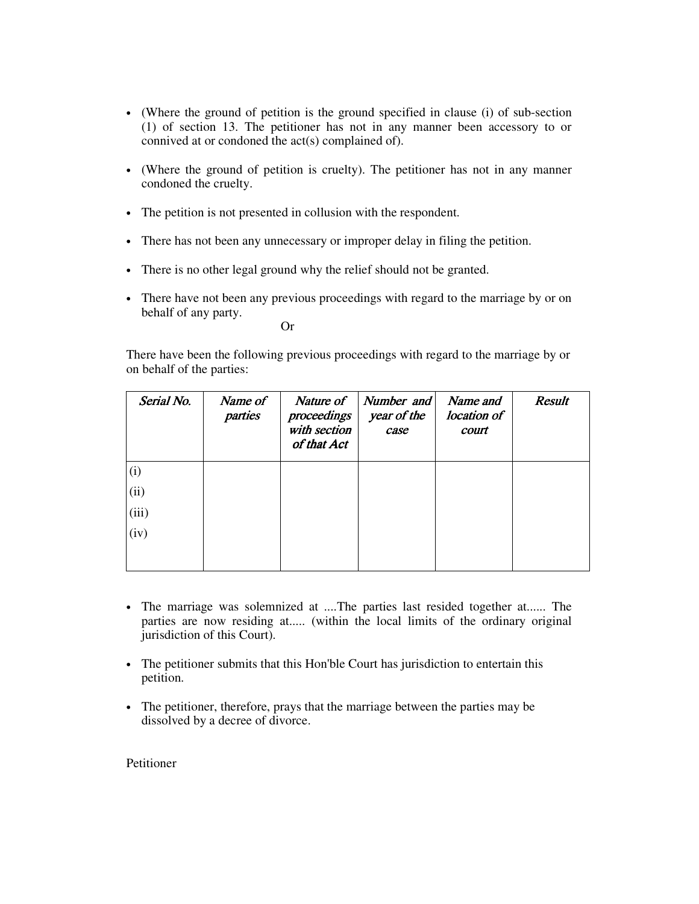- (Where the ground of petition is the ground specified in clause (i) of sub-section (1) of section 13. The petitioner has not in any manner been accessory to or connived at or condoned the act(s) complained of).
- (Where the ground of petition is cruelty). The petitioner has not in any manner condoned the cruelty.
- The petition is not presented in collusion with the respondent.
- There has not been any unnecessary or improper delay in filing the petition.
- There is no other legal ground why the relief should not be granted.
- There have not been any previous proceedings with regard to the marriage by or on behalf of any party.

Or

There have been the following previous proceedings with regard to the marriage by or on behalf of the parties:

| Serial No. | Name of<br>parties | Nature of<br>proceedings<br>with section<br>of that Act | Number and<br>year of the<br>case | Name and<br>location of<br>court | <b>Result</b> |
|------------|--------------------|---------------------------------------------------------|-----------------------------------|----------------------------------|---------------|
| (i)        |                    |                                                         |                                   |                                  |               |
| (ii)       |                    |                                                         |                                   |                                  |               |
| (iii)      |                    |                                                         |                                   |                                  |               |
| (iv)       |                    |                                                         |                                   |                                  |               |
|            |                    |                                                         |                                   |                                  |               |

- The marriage was solemnized at ....The parties last resided together at...... The parties are now residing at..... (within the local limits of the ordinary original jurisdiction of this Court).
- The petitioner submits that this Hon'ble Court has jurisdiction to entertain this petition.
- The petitioner, therefore, prays that the marriage between the parties may be dissolved by a decree of divorce.

Petitioner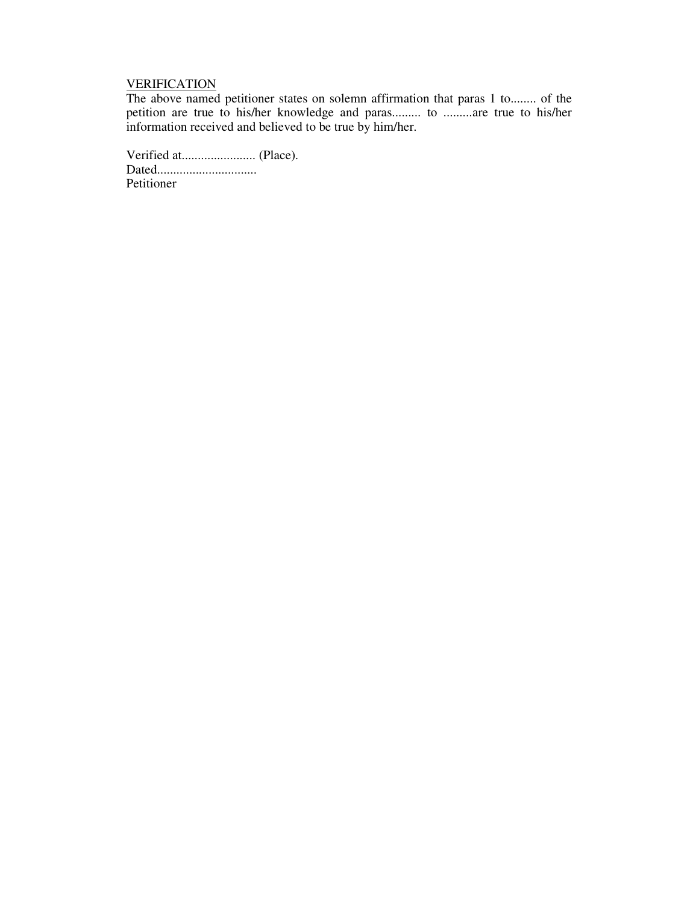### **VERIFICATION**

The above named petitioner states on solemn affirmation that paras 1 to........ of the petition are true to his/her knowledge and paras......... to .........are true to his/her information received and believed to be true by him/her.

Verified at....................... (Place). Dated............................... Petitioner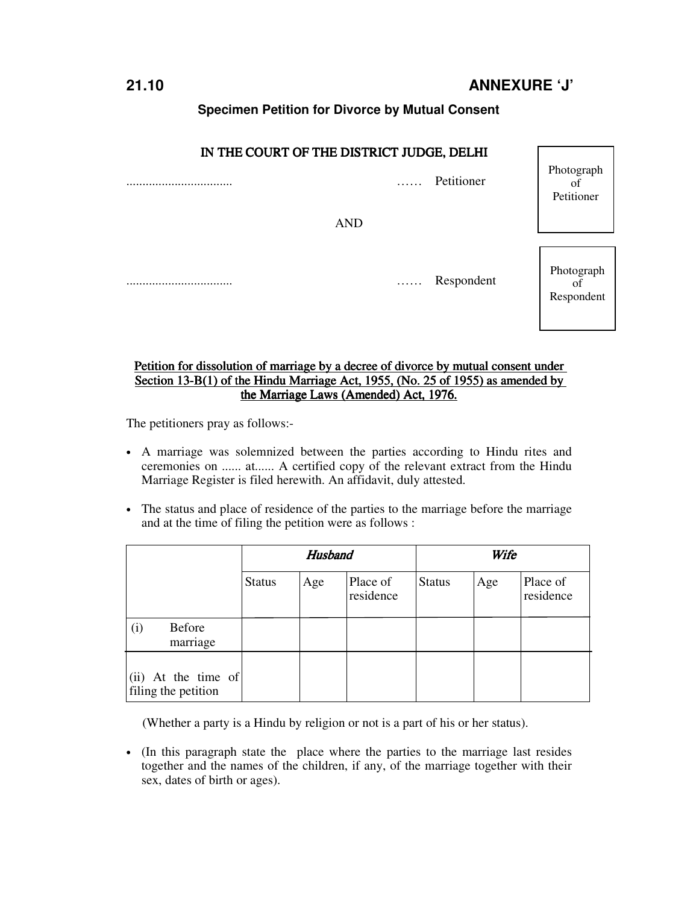### **Specimen Petition for Divorce by Mutual Consent**

### IN THE COURT OF THE DISTRICT JUDGE, DELHI

AND

................................. …… Petitioner

................................. …… Respondent

Photograph of Petitioner

Photograph of Respondent

#### Petition for dissolution of marriage by a decree of divorce by mutual consent under Section 13-B(1) of the Hindu Marriage Act, 1955, (No. 25 of 1955) as amended by the Marriage Laws (Amended) Act, 1976.

The petitioners pray as follows:-

- A marriage was solemnized between the parties according to Hindu rites and ceremonies on ...... at...... A certified copy of the relevant extract from the Hindu Marriage Register is filed herewith. An affidavit, duly attested.
- The status and place of residence of the parties to the marriage before the marriage and at the time of filing the petition were as follows :

|                                            | <b>Husband</b> |     |                       | Wife          |     |                       |
|--------------------------------------------|----------------|-----|-----------------------|---------------|-----|-----------------------|
|                                            | <b>Status</b>  | Age | Place of<br>residence | <b>Status</b> | Age | Place of<br>residence |
| Before<br>(i)<br>marriage                  |                |     |                       |               |     |                       |
| (ii) At the time of<br>filing the petition |                |     |                       |               |     |                       |

(Whether a party is a Hindu by religion or not is a part of his or her status).

• (In this paragraph state the place where the parties to the marriage last resides together and the names of the children, if any, of the marriage together with their sex, dates of birth or ages).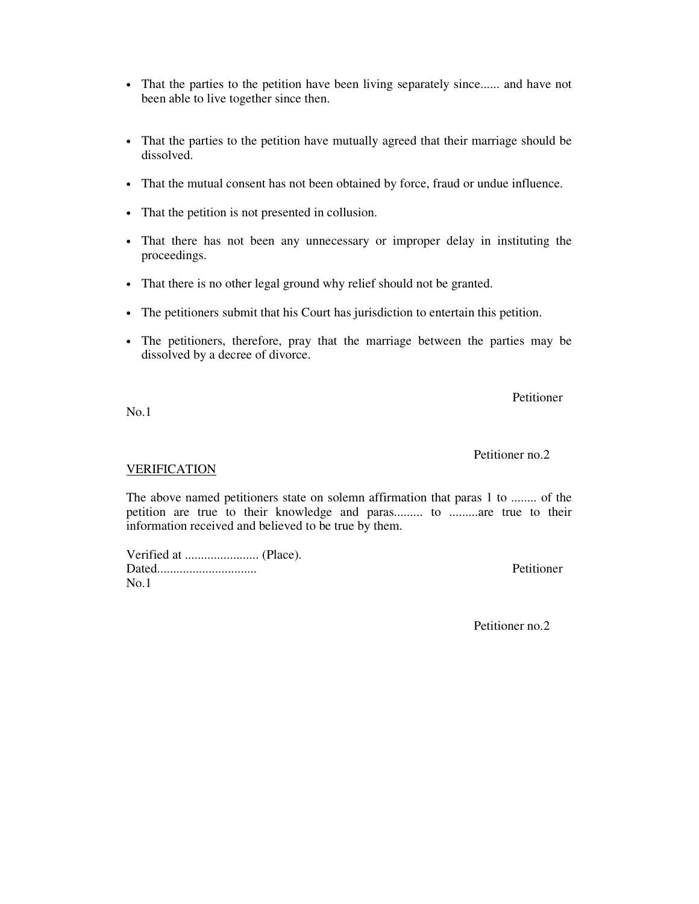- That the parties to the petition have been living separately since...... and have not been able to live together since then.
- That the parties to the petition have mutually agreed that their marriage should be dissolved.
- That the mutual consent has not been obtained by force, fraud or undue influence.
- That the petition is not presented in collusion.
- That there has not been any unnecessary or improper delay in instituting the proceedings.
- That there is no other legal ground why relief should not be granted.
- The petitioners submit that his Court has jurisdiction to entertain this petition.
- The petitioners, therefore, pray that the marriage between the parties may be dissolved by a decree of divorce.

Petitioner

No.1

#### VERIFICATION

The above named petitioners state on solemn affirmation that paras 1 to ........ of the petition are true to their knowledge and paras......... to .........are true to their information received and believed to be true by them.

Verified at ....................... (Place). Dated............................... Petitioner  $No.1$ 

Petitioner no.2

Petitioner no.2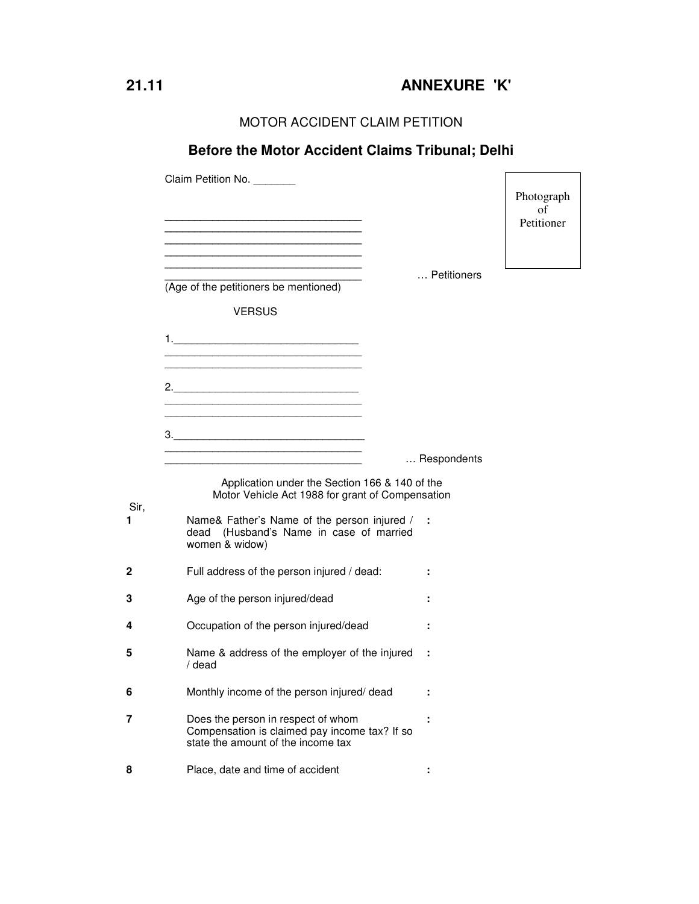MOTOR ACCIDENT CLAIM PETITION

## **Before the Motor Accident Claims Tribunal; Delhi**  Claim Petition No. \_\_\_\_\_\_\_  **\_\_\_\_\_\_\_\_\_\_\_\_\_\_\_\_\_\_\_\_\_\_\_\_\_\_\_\_\_\_\_\_\_ \_\_\_\_\_\_\_\_\_\_\_\_\_\_\_\_\_\_\_\_\_\_\_\_\_\_\_\_\_\_\_\_\_ \_\_\_\_\_\_\_\_\_\_\_\_\_\_\_\_\_\_\_\_\_\_\_\_\_\_\_\_\_\_\_\_\_ \_\_\_\_\_\_\_\_\_\_\_\_\_\_\_\_\_\_\_\_\_\_\_\_\_\_\_\_\_\_\_\_\_ \_\_\_\_\_\_\_\_\_\_\_\_\_\_\_\_\_\_\_\_\_\_\_\_\_\_\_\_\_\_\_\_\_ \_\_\_\_\_\_\_\_\_\_\_\_\_\_\_\_\_\_\_\_\_\_\_\_\_\_\_\_\_\_\_\_\_** … Petitioners (Age of the petitioners be mentioned) VERSUS 1.\_\_\_\_\_\_\_\_\_\_\_\_\_\_\_\_\_\_\_\_\_\_\_\_\_\_\_\_\_\_\_ \_\_\_\_\_\_\_\_\_\_\_\_\_\_\_\_\_\_\_\_\_\_\_\_\_\_\_\_\_\_\_\_\_  $\overline{\phantom{a}}$  ,  $\overline{\phantom{a}}$  ,  $\overline{\phantom{a}}$  ,  $\overline{\phantom{a}}$  ,  $\overline{\phantom{a}}$  ,  $\overline{\phantom{a}}$  ,  $\overline{\phantom{a}}$  ,  $\overline{\phantom{a}}$  ,  $\overline{\phantom{a}}$  ,  $\overline{\phantom{a}}$  ,  $\overline{\phantom{a}}$  ,  $\overline{\phantom{a}}$  ,  $\overline{\phantom{a}}$  ,  $\overline{\phantom{a}}$  ,  $\overline{\phantom{a}}$  ,  $\overline{\phantom{a}}$ 2.\_\_\_\_\_\_\_\_\_\_\_\_\_\_\_\_\_\_\_\_\_\_\_\_\_\_\_\_\_\_\_  $\overline{\phantom{a}}$  ,  $\overline{\phantom{a}}$  ,  $\overline{\phantom{a}}$  ,  $\overline{\phantom{a}}$  ,  $\overline{\phantom{a}}$  ,  $\overline{\phantom{a}}$  ,  $\overline{\phantom{a}}$  ,  $\overline{\phantom{a}}$  ,  $\overline{\phantom{a}}$  ,  $\overline{\phantom{a}}$  ,  $\overline{\phantom{a}}$  ,  $\overline{\phantom{a}}$  ,  $\overline{\phantom{a}}$  ,  $\overline{\phantom{a}}$  ,  $\overline{\phantom{a}}$  ,  $\overline{\phantom{a}}$  $\overline{\phantom{a}}$  ,  $\overline{\phantom{a}}$  ,  $\overline{\phantom{a}}$  ,  $\overline{\phantom{a}}$  ,  $\overline{\phantom{a}}$  ,  $\overline{\phantom{a}}$  ,  $\overline{\phantom{a}}$  ,  $\overline{\phantom{a}}$  ,  $\overline{\phantom{a}}$  ,  $\overline{\phantom{a}}$  ,  $\overline{\phantom{a}}$  ,  $\overline{\phantom{a}}$  ,  $\overline{\phantom{a}}$  ,  $\overline{\phantom{a}}$  ,  $\overline{\phantom{a}}$  ,  $\overline{\phantom{a}}$ 3.  $\overline{\phantom{a}}$  ,  $\overline{\phantom{a}}$  ,  $\overline{\phantom{a}}$  ,  $\overline{\phantom{a}}$  ,  $\overline{\phantom{a}}$  ,  $\overline{\phantom{a}}$  ,  $\overline{\phantom{a}}$  ,  $\overline{\phantom{a}}$  ,  $\overline{\phantom{a}}$  ,  $\overline{\phantom{a}}$  ,  $\overline{\phantom{a}}$  ,  $\overline{\phantom{a}}$  ,  $\overline{\phantom{a}}$  ,  $\overline{\phantom{a}}$  ,  $\overline{\phantom{a}}$  ,  $\overline{\phantom{a}}$  \_\_\_\_\_\_\_\_\_\_\_\_\_\_\_\_\_\_\_\_\_\_\_\_\_\_\_\_\_\_\_\_\_ … Respondents Application under the Section 166 & 140 of the Motor Vehicle Act 1988 for grant of Compensation Sir, **1** Name& Father's Name of the person injured / **:**  dead (Husband's Name in case of married women & widow) **2** Full address of the person injured / dead: **: 3** Age of the person injured/dead **: 4** Occupation of the person injured/dead **: 5** Name & address of the employer of the injured **:**  / dead **6** Monthly income of the person injured/ dead **: 7** Does the person in respect of whom Compensation is claimed pay income tax? If so state the amount of the income tax **: 8** Place, date and time of accident **:**  Photograph of Petitioner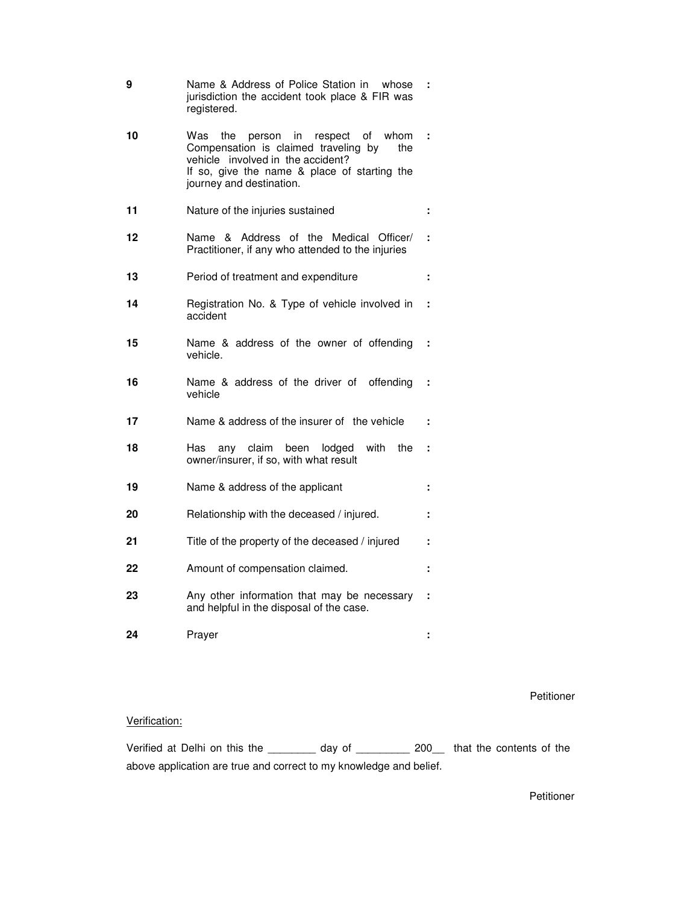| 9  | Name & Address of Police Station in whose<br>jurisdiction the accident took place & FIR was<br>registered.                                                                                                 |   |
|----|------------------------------------------------------------------------------------------------------------------------------------------------------------------------------------------------------------|---|
| 10 | Was<br>the<br>person in respect<br>of whom<br>Compensation is claimed traveling by<br>the<br>vehicle involved in the accident?<br>If so, give the name & place of starting the<br>journey and destination. | ÷ |
| 11 | Nature of the injuries sustained                                                                                                                                                                           | ÷ |
| 12 | & Address of the Medical Officer/<br>Name<br>Practitioner, if any who attended to the injuries                                                                                                             | ÷ |
| 13 | Period of treatment and expenditure                                                                                                                                                                        | ÷ |
| 14 | Registration No. & Type of vehicle involved in<br>accident                                                                                                                                                 | ÷ |
| 15 | Name & address of the owner of offending<br>vehicle.                                                                                                                                                       | ÷ |
| 16 | Name & address of the driver of<br>offending<br>vehicle                                                                                                                                                    | ÷ |
| 17 | Name & address of the insurer of the vehicle                                                                                                                                                               | ÷ |
| 18 | any claim been lodged<br>with<br>the<br>Has<br>owner/insurer, if so, with what result                                                                                                                      | ÷ |
| 19 | Name & address of the applicant                                                                                                                                                                            |   |
| 20 | Relationship with the deceased / injured.                                                                                                                                                                  |   |
| 21 | Title of the property of the deceased / injured                                                                                                                                                            |   |
| 22 | Amount of compensation claimed.                                                                                                                                                                            |   |
| 23 | Any other information that may be necessary<br>and helpful in the disposal of the case.                                                                                                                    | ÷ |
| 24 | Prayer                                                                                                                                                                                                     |   |

Petitioner

#### Verification:

Verified at Delhi on this the \_\_\_\_\_\_\_\_ day of \_\_\_\_\_\_\_\_\_ 200\_\_ that the contents of the above application are true and correct to my knowledge and belief.

Petitioner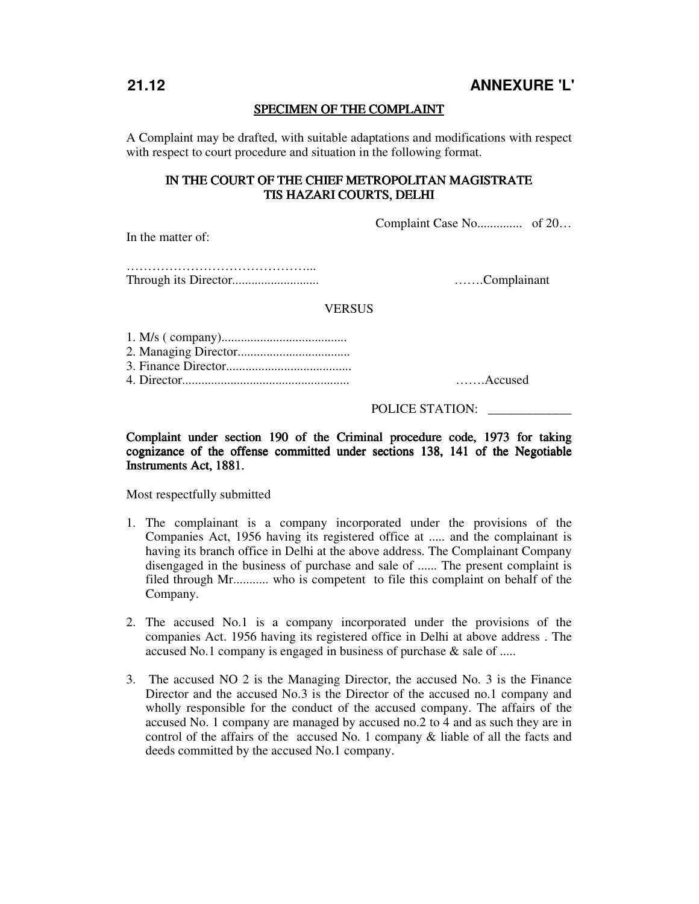#### SPECIMEN OF THE COMPLAINT

A Complaint may be drafted, with suitable adaptations and modifications with respect with respect to court procedure and situation in the following format.

#### IN THE COURT OF THE CHIEF METROPOLITAN MAGISTRATE TIS HAZARI COURTS, DELHI

Complaint Case No.............. of 20…

In the matter of:

……………………………………………… Through its Director........................... …….Complainant

#### **VERSUS**

4. Director.................................................... …….Accused

#### POLICE STATION: \_\_\_\_\_\_\_\_\_\_\_\_\_

Complaint under section 190 of the Criminal procedure code, 1973 for taking cognizance of the offense committed under sections 138, 141 of the Negotiable Instruments Act, 1881.

Most respectfully submitted

- 1. The complainant is a company incorporated under the provisions of the Companies Act, 1956 having its registered office at ..... and the complainant is having its branch office in Delhi at the above address. The Complainant Company disengaged in the business of purchase and sale of ...... The present complaint is filed through Mr........... who is competent to file this complaint on behalf of the Company.
- 2. The accused No.1 is a company incorporated under the provisions of the companies Act. 1956 having its registered office in Delhi at above address . The accused No.1 company is engaged in business of purchase & sale of .....
- 3. The accused NO 2 is the Managing Director, the accused No. 3 is the Finance Director and the accused No.3 is the Director of the accused no.1 company and wholly responsible for the conduct of the accused company. The affairs of the accused No. 1 company are managed by accused no.2 to 4 and as such they are in control of the affairs of the accused No. 1 company & liable of all the facts and deeds committed by the accused No.1 company.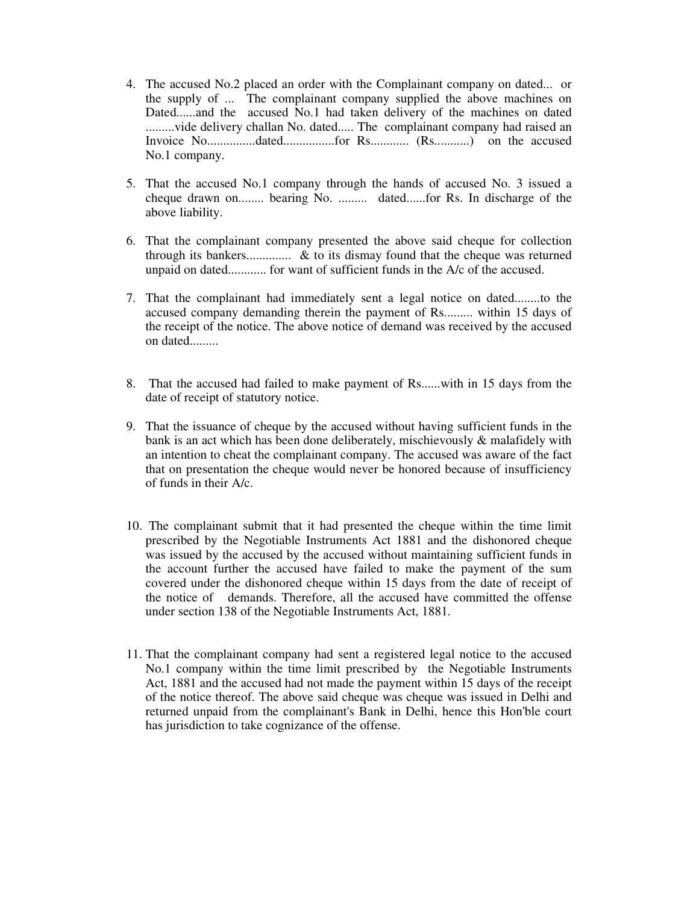- 4. The accused No.2 placed an order with the Complainant company on dated... or the supply of ... The complainant company supplied the above machines on Dated......and the accused No.1 had taken delivery of the machines on dated .........vide delivery challan No. dated..... The complainant company had raised an Invoice No...............dated................for Rs............ (Rs...........) on the accused No.1 company.
- 5. That the accused No.1 company through the hands of accused No. 3 issued a cheque drawn on........ bearing No. ......... dated......for Rs. In discharge of the above liability.
- 6. That the complainant company presented the above said cheque for collection through its bankers.............. & to its dismay found that the cheque was returned unpaid on dated............ for want of sufficient funds in the A/c of the accused.
- 7. That the complainant had immediately sent a legal notice on dated........to the accused company demanding therein the payment of Rs......... within 15 days of the receipt of the notice. The above notice of demand was received by the accused on dated.........
- 8. That the accused had failed to make payment of Rs......with in 15 days from the date of receipt of statutory notice.
- 9. That the issuance of cheque by the accused without having sufficient funds in the bank is an act which has been done deliberately, mischievously & malafidely with an intention to cheat the complainant company. The accused was aware of the fact that on presentation the cheque would never be honored because of insufficiency of funds in their A/c.
- 10. The complainant submit that it had presented the cheque within the time limit prescribed by the Negotiable Instruments Act 1881 and the dishonored cheque was issued by the accused by the accused without maintaining sufficient funds in the account further the accused have failed to make the payment of the sum covered under the dishonored cheque within 15 days from the date of receipt of the notice of demands. Therefore, all the accused have committed the offense under section 138 of the Negotiable Instruments Act, 1881.
- 11. That the complainant company had sent a registered legal notice to the accused No.1 company within the time limit prescribed by the Negotiable Instruments Act, 1881 and the accused had not made the payment within 15 days of the receipt of the notice thereof. The above said cheque was cheque was issued in Delhi and returned unpaid from the complainant's Bank in Delhi, hence this Hon'ble court has jurisdiction to take cognizance of the offense.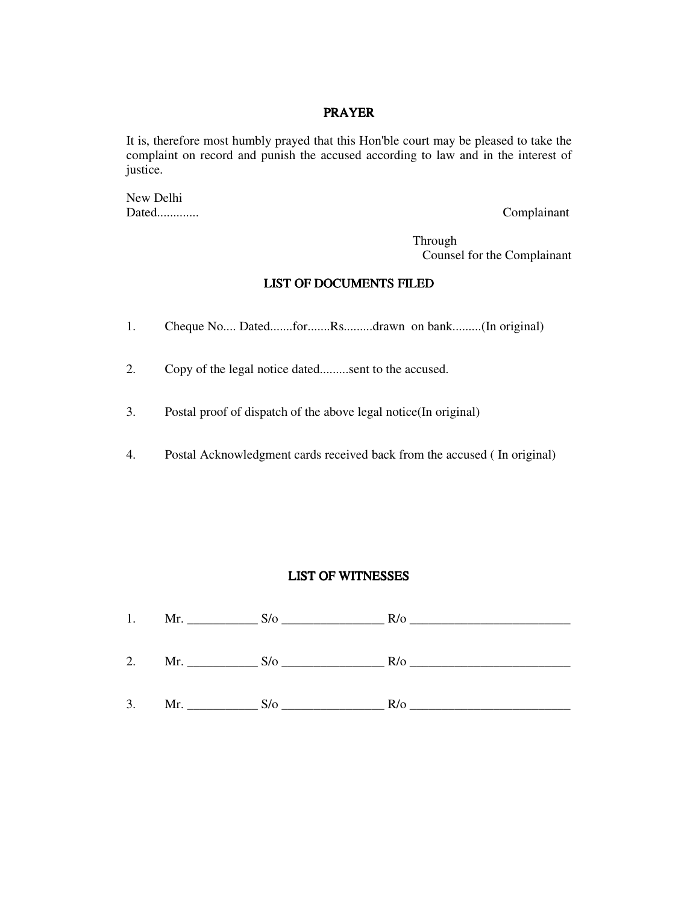#### PRAYER

It is, therefore most humbly prayed that this Hon'ble court may be pleased to take the complaint on record and punish the accused according to law and in the interest of justice.

New Delhi Dated............. Complainant

 Through Counsel for the Complainant

#### LIST OF DOCUMENTS FILED

- 1. Cheque No.... Dated.......for.......Rs.........drawn on bank.........(In original)
- 2. Copy of the legal notice dated.........sent to the accused.
- 3. Postal proof of dispatch of the above legal notice(In original)
- 4. Postal Acknowledgment cards received back from the accused ( In original)

#### LIST OF WITNESSES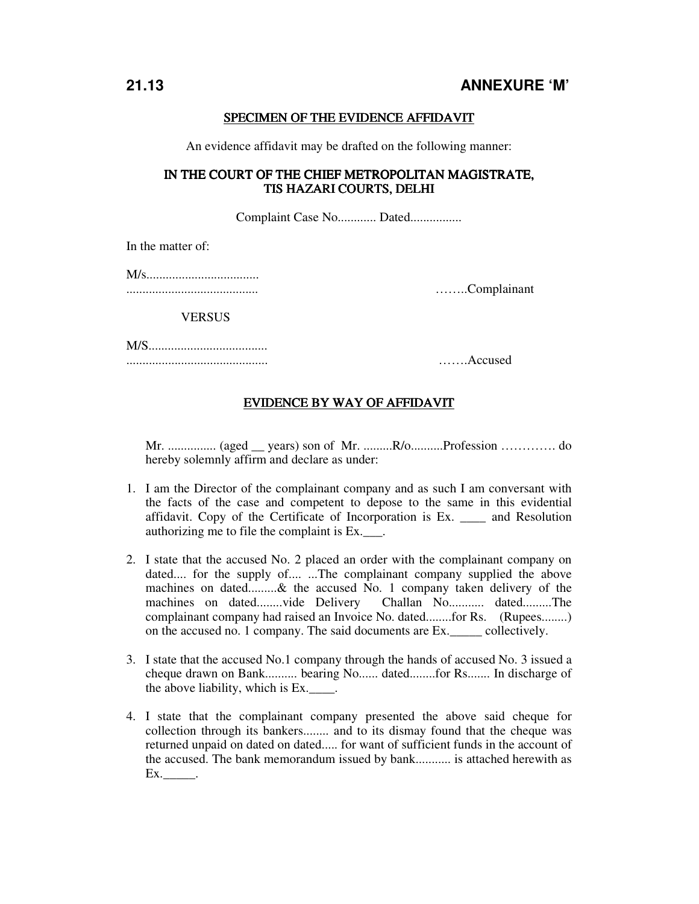#### SPECIMEN OF THE EVIDENCE AFFIDAVIT

An evidence affidavit may be drafted on the following manner:

#### IN THE COURT OF THE CHIEF METROPOLITAN MAGISTRATE. TIS HAZARI COURTS, DELHI

Complaint Case No............ Dated................

In the matter of:

|--|--|

......................................... ……..Complainant

**VERSUS** 

M/S..................................... ............................................ …….Accused

#### EVIDENCE BY WAY OF AFFIDAVIT

Mr. ............... (aged \_\_ years) son of Mr. .........R/o..........Profession …………. do hereby solemnly affirm and declare as under:

- 1. I am the Director of the complainant company and as such I am conversant with the facts of the case and competent to depose to the same in this evidential affidavit. Copy of the Certificate of Incorporation is Ex. \_\_\_\_ and Resolution authorizing me to file the complaint is Ex.
- 2. I state that the accused No. 2 placed an order with the complainant company on dated.... for the supply of.... ...The complainant company supplied the above machines on dated.........& the accused No. 1 company taken delivery of the machines on dated........vide Delivery Challan No........... dated.........The complainant company had raised an Invoice No. dated........for Rs. (Rupees........) on the accused no. 1 company. The said documents are Ex.\_\_\_\_\_ collectively.
- 3. I state that the accused No.1 company through the hands of accused No. 3 issued a cheque drawn on Bank.......... bearing No...... dated........for Rs....... In discharge of the above liability, which is Ex.\_\_\_\_.
- 4. I state that the complainant company presented the above said cheque for collection through its bankers........ and to its dismay found that the cheque was returned unpaid on dated on dated..... for want of sufficient funds in the account of the accused. The bank memorandum issued by bank........... is attached herewith as Ex.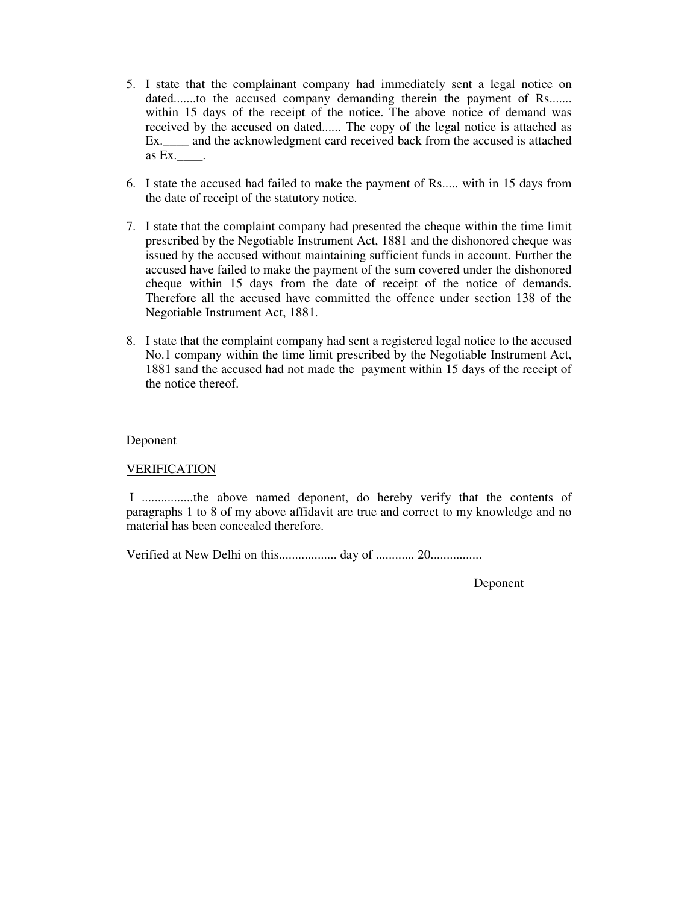- 5. I state that the complainant company had immediately sent a legal notice on dated.......to the accused company demanding therein the payment of Rs....... within 15 days of the receipt of the notice. The above notice of demand was received by the accused on dated...... The copy of the legal notice is attached as Ex.\_\_\_\_ and the acknowledgment card received back from the accused is attached as Ex.\_\_\_\_.
- 6. I state the accused had failed to make the payment of Rs..... with in 15 days from the date of receipt of the statutory notice.
- 7. I state that the complaint company had presented the cheque within the time limit prescribed by the Negotiable Instrument Act, 1881 and the dishonored cheque was issued by the accused without maintaining sufficient funds in account. Further the accused have failed to make the payment of the sum covered under the dishonored cheque within 15 days from the date of receipt of the notice of demands. Therefore all the accused have committed the offence under section 138 of the Negotiable Instrument Act, 1881.
- 8. I state that the complaint company had sent a registered legal notice to the accused No.1 company within the time limit prescribed by the Negotiable Instrument Act, 1881 sand the accused had not made the payment within 15 days of the receipt of the notice thereof.

#### Deponent

#### VERIFICATION

 I ................the above named deponent, do hereby verify that the contents of paragraphs 1 to 8 of my above affidavit are true and correct to my knowledge and no material has been concealed therefore.

Verified at New Delhi on this.................. day of ............ 20................

Deponent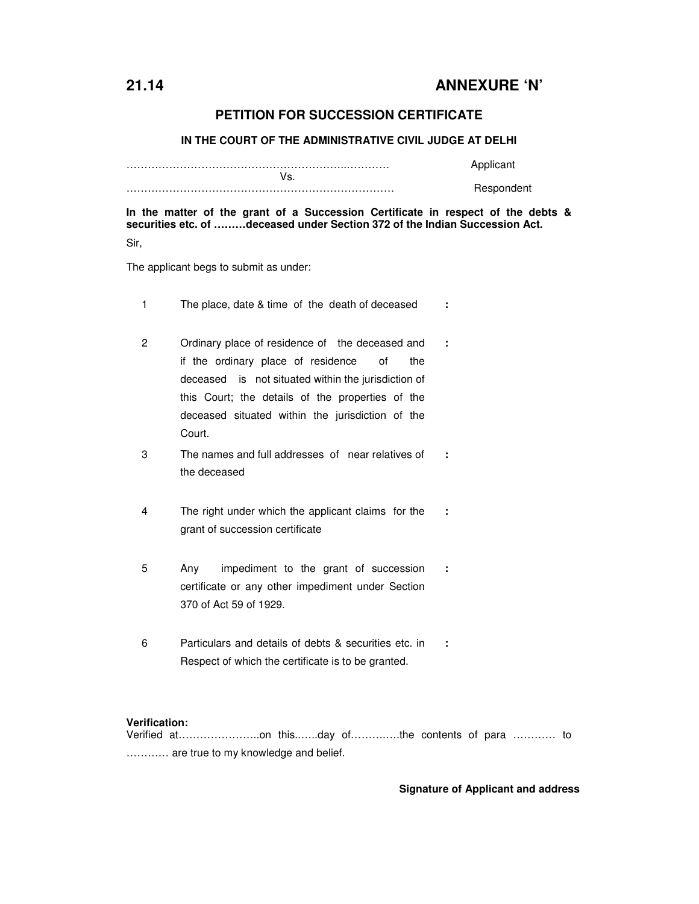### **21.14 ANNEXURE 'N'**

#### **PETITION FOR SUCCESSION CERTIFICATE**

**IN THE COURT OF THE ADMINISTRATIVE CIVIL JUDGE AT DELHI** 

|           | Applicant  |
|-----------|------------|
| ◠<br>v 5. |            |
|           | Respondent |

**In the matter of the grant of a Succession Certificate in respect of the debts & securities etc. of ………deceased under Section 372 of the Indian Succession Act.**  Sir,

The applicant begs to submit as under:

- 1 The place, date & time of the death of deceased **:**
- 2 Ordinary place of residence of the deceased and if the ordinary place of residence of the deceased is not situated within the jurisdiction of this Court; the details of the properties of the deceased situated within the jurisdiction of the Court. **:**
- 3 The names and full addresses of near relatives of the deceased **:**
- 4 The right under which the applicant claims for the grant of succession certificate **:**
- 5 Any impediment to the grant of succession certificate or any other impediment under Section 370 of Act 59 of 1929. **:**
- 6 Particulars and details of debts & securities etc. in Respect of which the certificate is to be granted. **:**

#### **Verification:**

Verified at…………………..on this..…..day of……….….the contents of para ………… to ………… are true to my knowledge and belief.

#### **Signature of Applicant and address**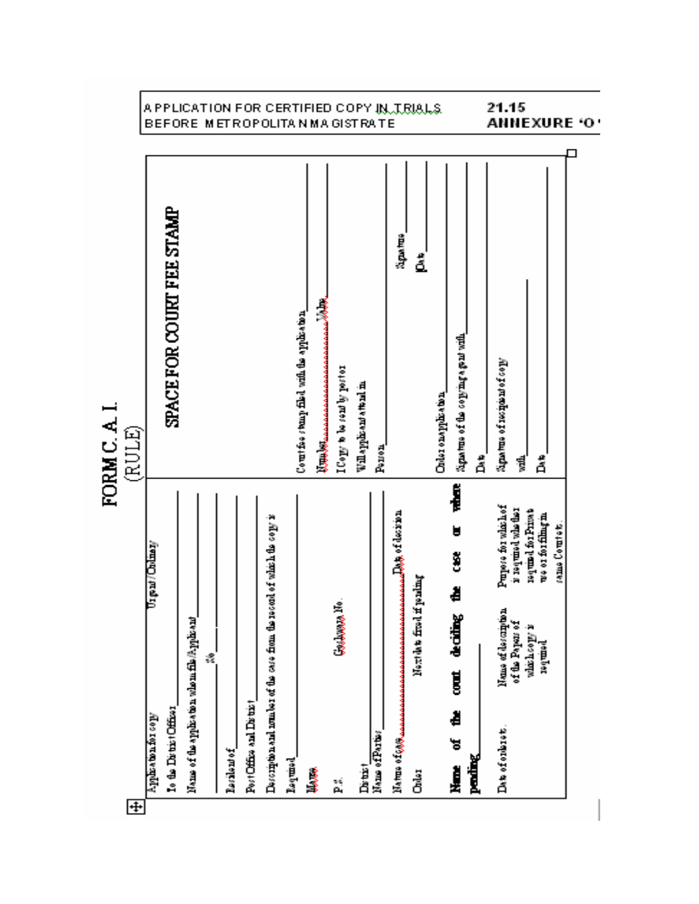

 $\overline{\mathbf{H}}$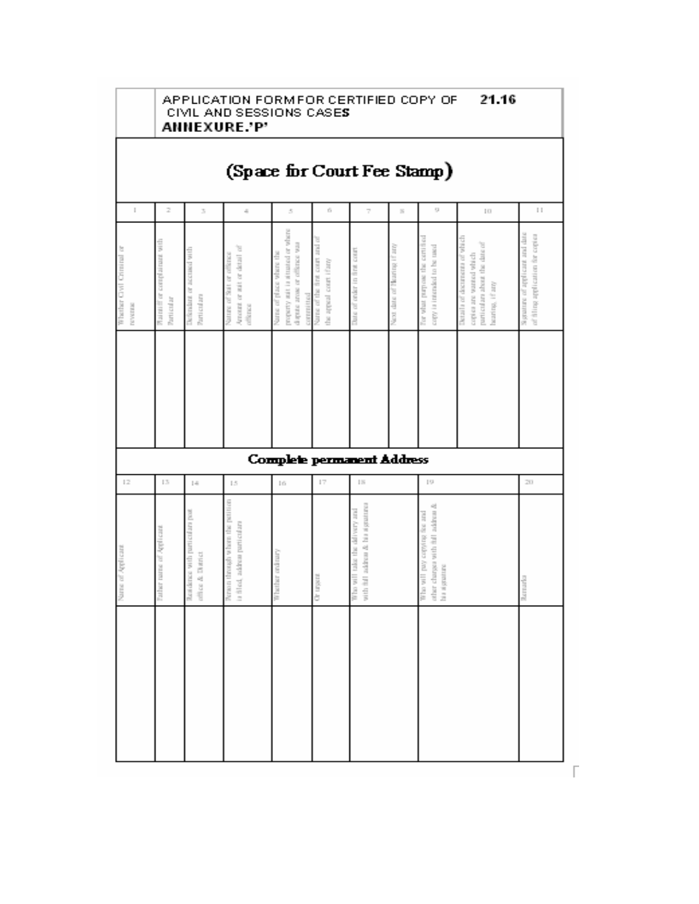|                                        | 21.16<br>APPLICATION FORMFOR CERTIFIED COPY OF<br>CIVIL AND SESSIONS CASES<br><b>ANNEXURE.'P'</b> |                                                     |                                                                     |                                                                                                           |                                                              |                                                                       |                             |                                                                                       |                                                                                                             |                                                                      |
|----------------------------------------|---------------------------------------------------------------------------------------------------|-----------------------------------------------------|---------------------------------------------------------------------|-----------------------------------------------------------------------------------------------------------|--------------------------------------------------------------|-----------------------------------------------------------------------|-----------------------------|---------------------------------------------------------------------------------------|-------------------------------------------------------------------------------------------------------------|----------------------------------------------------------------------|
|                                        |                                                                                                   |                                                     | (Space for Court Fee Stamp)                                         |                                                                                                           |                                                              |                                                                       |                             |                                                                                       |                                                                                                             |                                                                      |
| J.                                     | 2                                                                                                 | $\mathcal{G}_1$                                     | á,                                                                  | $\mathcal{G}_i$                                                                                           | $\mathbb{C}^{\times}_{\mathbb{C}}$                           | 7                                                                     | $\vert \chi \vert$          | $\mathbb{S}^1$                                                                        | 10.                                                                                                         | $\ \cdot\ $                                                          |
| b<br>Whether Civil Criminal<br>NAVIGAS | which the first complete that with<br>Particular                                                  | Defendent or account with<br>Particulars            | Amount or unit or detail of<br>Nature of Solt or offered<br>direct  | property anti-randomed or where<br>dispute arose or offence was<br>Name of place where the<br>connumition | court and of<br>the appeal court (fany<br>Norse of the first | Date of order in first court                                          | Next data of Bearing if any | For what purpose the certified<br>copy is intended to be used                         | Detail a of documents of which<br>particulars about the data of<br>copies toward with ch<br>bearing, if any | Signature of applicant and data<br>of filling application for copies |
|                                        |                                                                                                   |                                                     |                                                                     |                                                                                                           |                                                              |                                                                       |                             |                                                                                       |                                                                                                             |                                                                      |
|                                        |                                                                                                   |                                                     |                                                                     | <b>Complete permanent Address</b>                                                                         |                                                              |                                                                       |                             |                                                                                       |                                                                                                             |                                                                      |
| 12                                     | 13                                                                                                | $\ \cdot\ _2$                                       | 15                                                                  | $\pm 6$                                                                                                   | $\Gamma$                                                     | $\  \cdot \ _2^2$                                                     |                             | $\mid \cdot \rangle$                                                                  |                                                                                                             | 20                                                                   |
| Name of Applicant                      | Pather rame of Applicant                                                                          | Rendered with particulars post<br>office & District | Person through where the petition<br>is filled, subtest particulars | Whather ordinary                                                                                          | Chromatical CD                                               | with full acknow & bia signatures<br>time you have the call youry and |                             | other charges with full actinue &<br>the set only copying the and<br>hi a ai gruature |                                                                                                             | Acrosfo                                                              |
|                                        |                                                                                                   |                                                     |                                                                     |                                                                                                           |                                                              |                                                                       |                             |                                                                                       |                                                                                                             |                                                                      |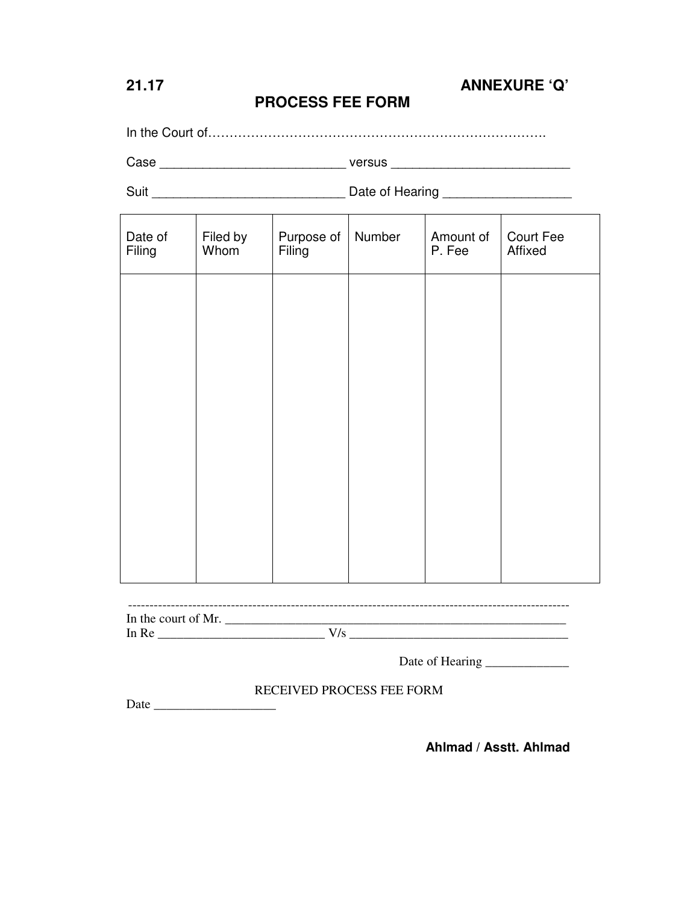## **21.17 ANNEXURE 'Q'**

## **PROCESS FEE FORM**

In the Court of…………………………………………………………………….

Case \_\_\_\_\_\_\_\_\_\_\_\_\_\_\_\_\_\_\_\_\_\_\_\_\_\_ versus \_\_\_\_\_\_\_\_\_\_\_\_\_\_\_\_\_\_\_\_\_\_\_\_\_

Suit \_\_\_\_\_\_\_\_\_\_\_\_\_\_\_\_\_\_\_\_\_\_\_\_\_\_\_ Date of Hearing \_\_\_\_\_\_\_\_\_\_\_\_\_\_\_\_\_\_

| Date of<br>Filing                  | Filed by<br>Whom | Purpose of<br>Filing | Number | Amount of<br>P. Fee | Court Fee<br>Affixed |
|------------------------------------|------------------|----------------------|--------|---------------------|----------------------|
|                                    |                  |                      |        |                     |                      |
|                                    |                  |                      |        |                     |                      |
|                                    |                  |                      |        |                     |                      |
|                                    |                  |                      |        |                     |                      |
|                                    |                  |                      |        |                     |                      |
|                                    |                  |                      |        |                     |                      |
| ---------------------------------- |                  |                      |        |                     |                      |
| In the court of Mr.                |                  |                      |        |                     |                      |

Date of Hearing \_\_\_\_\_\_\_\_\_\_\_\_\_

#### RECEIVED PROCESS FEE FORM

Date  $\Box$ 

**Ahlmad / Asstt. Ahlmad**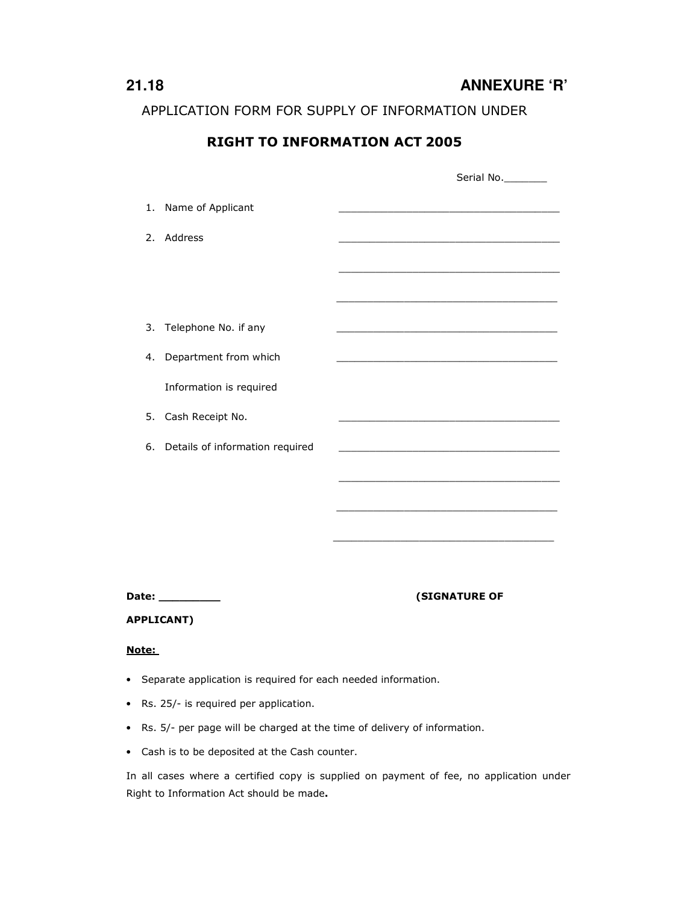**21.18 ANNEXURE 'R'** 

APPLICATION FORM FOR SUPPLY OF INFORMATION UNDER

## RIGHT TO INFORMATION ACT 2005

|                   |                                 | Serial No.                                                 |
|-------------------|---------------------------------|------------------------------------------------------------|
| 1.                | Name of Applicant               |                                                            |
| 2.                | Address                         |                                                            |
|                   |                                 |                                                            |
|                   |                                 | <u> 1989 - Johann Barn, amerikansk politiker (d. 1989)</u> |
| 3.                | Telephone No. if any            |                                                            |
| 4.                | Department from which           |                                                            |
|                   | Information is required         |                                                            |
| 5.                | Cash Receipt No.                |                                                            |
| 6.                | Details of information required |                                                            |
|                   |                                 |                                                            |
|                   |                                 |                                                            |
|                   |                                 |                                                            |
|                   |                                 |                                                            |
|                   | Date: __________                | <b>(SIGNATURE OF</b>                                       |
| <b>APPLICANT)</b> |                                 |                                                            |
| Note:             |                                 |                                                            |

- Separate application is required for each needed information.
- Rs. 25/- is required per application.
- Rs. 5/- per page will be charged at the time of delivery of information.
- Cash is to be deposited at the Cash counter.

In all cases where a certified copy is supplied on payment of fee, no application under Right to Information Act should be made.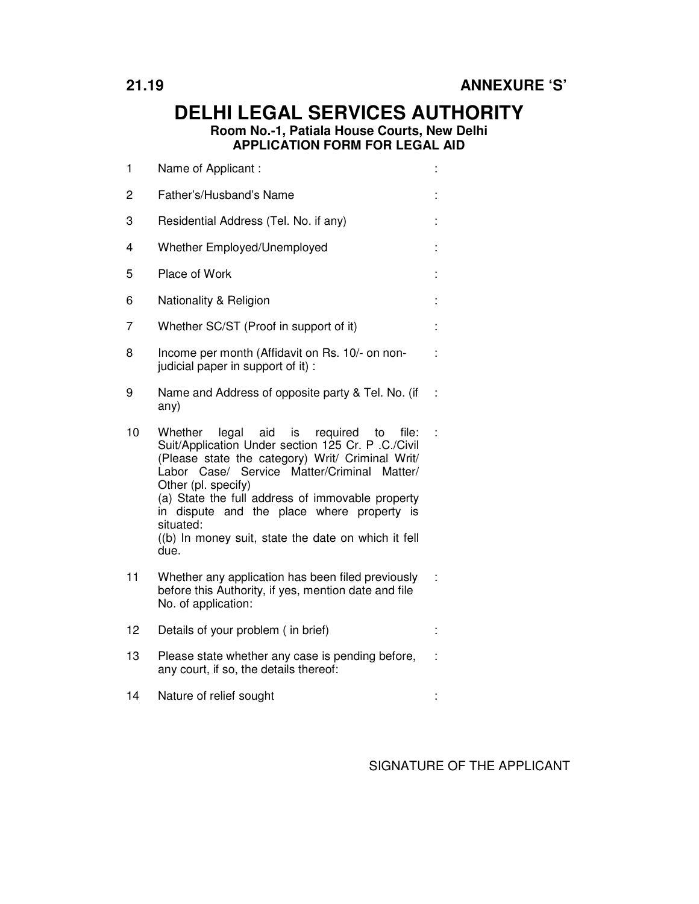## **DELHI LEGAL SERVICES AUTHORITY Room No.-1, Patiala House Courts, New Delhi APPLICATION FORM FOR LEGAL AID**

| 1  | Name of Applicant:                                                                                                                                                                                                                                                                                                                                                                                                  |  |
|----|---------------------------------------------------------------------------------------------------------------------------------------------------------------------------------------------------------------------------------------------------------------------------------------------------------------------------------------------------------------------------------------------------------------------|--|
| 2  | Father's/Husband's Name                                                                                                                                                                                                                                                                                                                                                                                             |  |
| 3  | Residential Address (Tel. No. if any)                                                                                                                                                                                                                                                                                                                                                                               |  |
| 4  | Whether Employed/Unemployed                                                                                                                                                                                                                                                                                                                                                                                         |  |
| 5  | Place of Work                                                                                                                                                                                                                                                                                                                                                                                                       |  |
| 6  | Nationality & Religion                                                                                                                                                                                                                                                                                                                                                                                              |  |
| 7  | Whether SC/ST (Proof in support of it)                                                                                                                                                                                                                                                                                                                                                                              |  |
| 8  | Income per month (Affidavit on Rs. 10/- on non-<br>judicial paper in support of it) :                                                                                                                                                                                                                                                                                                                               |  |
| 9  | Name and Address of opposite party & Tel. No. (if<br>any)                                                                                                                                                                                                                                                                                                                                                           |  |
| 10 | legal<br>aid is<br>required<br>to file:<br>Whether<br>Suit/Application Under section 125 Cr. P .C./Civil<br>(Please state the category) Writ/ Criminal Writ/<br>Labor Case/ Service Matter/Criminal<br>Matter/<br>Other (pl. specify)<br>(a) State the full address of immovable property<br>in dispute and the place where property is<br>situated:<br>((b) In money suit, state the date on which it fell<br>due. |  |
| 11 | Whether any application has been filed previously<br>before this Authority, if yes, mention date and file<br>No. of application:                                                                                                                                                                                                                                                                                    |  |
| 12 | Details of your problem (in brief)                                                                                                                                                                                                                                                                                                                                                                                  |  |
| 13 | Please state whether any case is pending before,<br>any court, if so, the details thereof:                                                                                                                                                                                                                                                                                                                          |  |
| 14 | Nature of relief sought                                                                                                                                                                                                                                                                                                                                                                                             |  |

SIGNATURE OF THE APPLICANT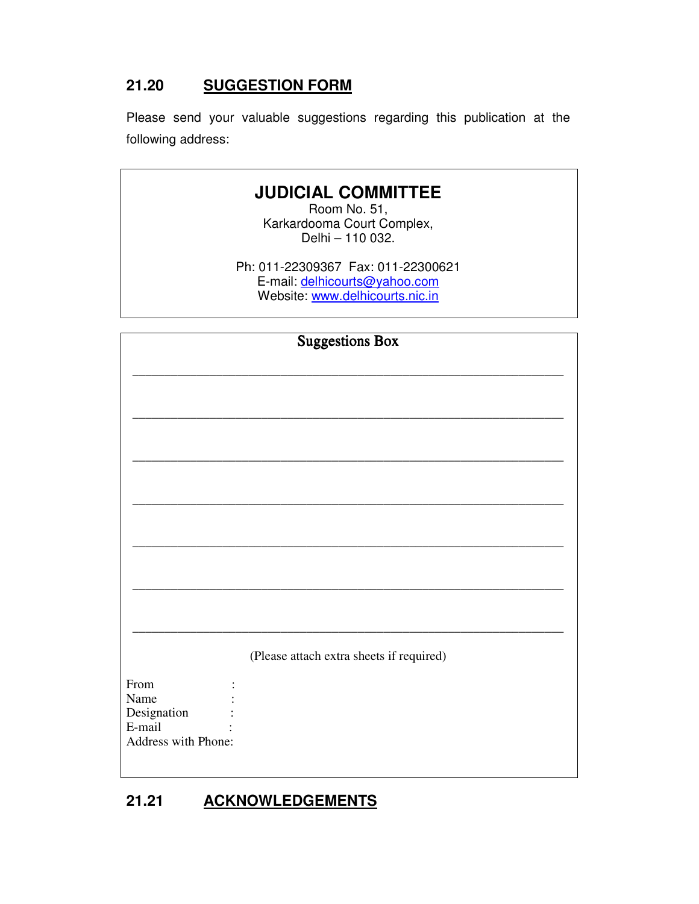## **21.20 SUGGESTION FORM**

Please send your valuable suggestions regarding this publication at the following address:

# **JUDICIAL COMMITTEE**

Room No. 51, Karkardooma Court Complex, Delhi – 110 032.

Ph: 011-22309367 Fax: 011-22300621 E-mail: delhicourts@yahoo.com Website: www.delhicourts.nic.in

|                     | <b>Suggestions Box</b>                   |  |  |
|---------------------|------------------------------------------|--|--|
|                     |                                          |  |  |
|                     |                                          |  |  |
|                     |                                          |  |  |
|                     |                                          |  |  |
|                     |                                          |  |  |
|                     |                                          |  |  |
|                     |                                          |  |  |
|                     |                                          |  |  |
|                     |                                          |  |  |
|                     |                                          |  |  |
|                     |                                          |  |  |
|                     |                                          |  |  |
|                     |                                          |  |  |
|                     |                                          |  |  |
|                     |                                          |  |  |
|                     |                                          |  |  |
|                     |                                          |  |  |
|                     |                                          |  |  |
|                     | (Please attach extra sheets if required) |  |  |
|                     |                                          |  |  |
| From<br>Name        |                                          |  |  |
| Designation         |                                          |  |  |
| E-mail              |                                          |  |  |
| Address with Phone: |                                          |  |  |
|                     |                                          |  |  |
|                     |                                          |  |  |

## **21.21 ACKNOWLEDGEMENTS**